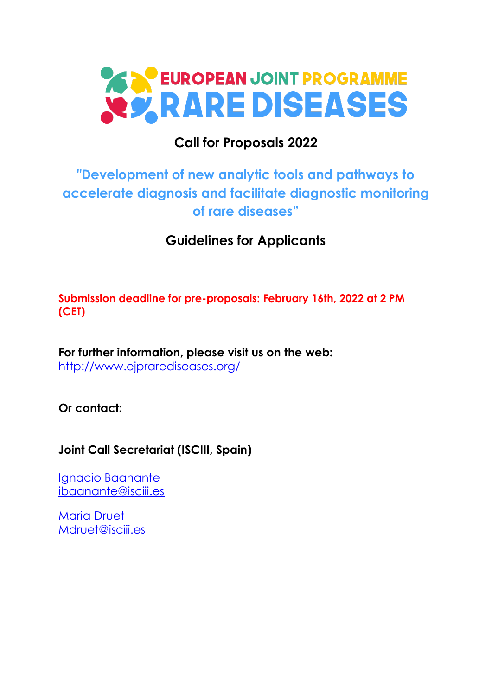

# **Call for Proposals 2022**

# **"Development of new analytic tools and pathways to accelerate diagnosis and facilitate diagnostic monitoring of rare diseases"**

# **Guidelines for Applicants**

**Submission deadline for pre-proposals: February 16th, 2022 at 2 PM (CET)**

**For further information, please visit us on the web:** <http://www.ejprarediseases.org/>

**Or contact:**

**Joint Call Secretariat (ISCIII, Spain)**

Ignacio Baanante [ibaanante@isciii.es](mailto:ibaanante@isciii.es)

Maria Druet Mdruet@isciii.es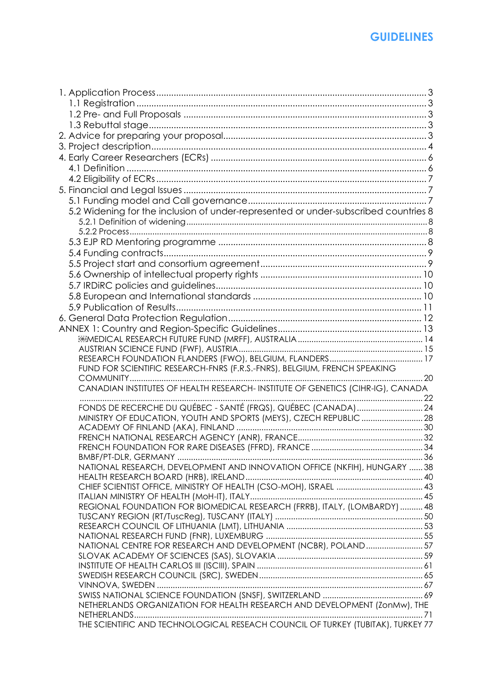| 5.2 Widening for the inclusion of under-represented or under-subscribed countries 8 |    |
|-------------------------------------------------------------------------------------|----|
|                                                                                     |    |
|                                                                                     |    |
|                                                                                     |    |
|                                                                                     |    |
|                                                                                     |    |
|                                                                                     |    |
|                                                                                     |    |
|                                                                                     |    |
|                                                                                     |    |
|                                                                                     |    |
|                                                                                     |    |
|                                                                                     |    |
|                                                                                     |    |
|                                                                                     |    |
| FUND FOR SCIENTIFIC RESEARCH-FNRS (F.R.S.-FNRS), BELGIUM, FRENCH SPEAKING           |    |
|                                                                                     | 20 |
| CANADIAN INSTITUTES OF HEALTH RESEARCH- INSTITUTE OF GENETICS (CIHR-IG), CANADA     |    |
| FONDS DE RECERCHE DU QUÉBEC - SANTÉ (FRQS), QUÉBEC (CANADA) 24                      |    |
| MINISTRY OF EDUCATION, YOUTH AND SPORTS (MEYS), CZECH REPUBLIC 28                   |    |
|                                                                                     |    |
|                                                                                     |    |
|                                                                                     |    |
|                                                                                     |    |
| NATIONAL RESEARCH, DEVELOPMENT AND INNOVATION OFFICE (NKFIH), HUNGARY 38            |    |
|                                                                                     |    |
|                                                                                     |    |
| REGIONAL FOUNDATION FOR BIOMEDICAL RESEARCH (FRRB), ITALY, (LOMBARDY)  48           |    |
|                                                                                     |    |
|                                                                                     |    |
|                                                                                     |    |
| NATIONAL CENTRE FOR RESEARCH AND DEVELOPMENT (NCBR), POLAND 57                      |    |
|                                                                                     |    |
|                                                                                     |    |
|                                                                                     |    |
|                                                                                     |    |
|                                                                                     |    |
| NETHERLANDS ORGANIZATION FOR HEALTH RESEARCH AND DEVELOPMENT (ZonMw), THE           |    |
|                                                                                     |    |
| THE SCIENTIFIC AND TECHNOLOGICAL RESEACH COUNCIL OF TURKEY (TUBITAK), TURKEY 77     |    |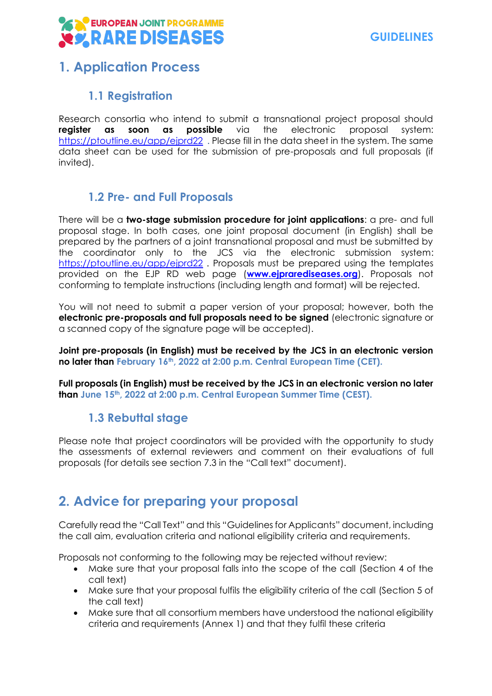

# <span id="page-2-0"></span>**1. Application Process**

## **1.1 Registration**

<span id="page-2-1"></span>Research consortia who intend to submit a transnational project proposal should **register as soon as possible** via the electronic proposal system: <https://ptoutline.eu/app/ejprd22>. Please fill in the data sheet in the system. The same data sheet can be used for the submission of pre-proposals and full proposals (if invited).

## **1.2 Pre- and Full Proposals**

<span id="page-2-2"></span>There will be a **two-stage submission procedure for joint applications**: a pre- and full proposal stage. In both cases, one joint proposal document (in English) shall be prepared by the partners of a joint transnational proposal and must be submitted by the coordinator only to the JCS via the electronic submission system: <https://ptoutline.eu/app/ejprd22>. Proposals must be prepared using the templates provided on the EJP RD web page (**[www.ejprarediseases.org](http://www.ejprarediseases.org/)**). Proposals not conforming to template instructions (including length and format) will be rejected.

You will not need to submit a paper version of your proposal; however, both the **electronic pre-proposals and full proposals need to be signed** (electronic signature or a scanned copy of the signature page will be accepted).

**Joint pre-proposals (in English) must be received by the JCS in an electronic version no later than February 16th, 2022 at 2:00 p.m. Central European Time (CET).** 

**Full proposals (in English) must be received by the JCS in an electronic version no later than June 15th, 2022 at 2:00 p.m. Central European Summer Time (CEST).**

## **1.3 Rebuttal stage**

<span id="page-2-3"></span>Please note that project coordinators will be provided with the opportunity to study the assessments of external reviewers and comment on their evaluations of full proposals (for details see section 7.3 in the "Call text" document).

# <span id="page-2-4"></span>**2. Advice for preparing your proposal**

Carefully read the "Call Text" and this "Guidelines for Applicants" document, including the call aim, evaluation criteria and national eligibility criteria and requirements.

Proposals not conforming to the following may be rejected without review:

- Make sure that your proposal falls into the scope of the call (Section 4 of the call text)
- Make sure that your proposal fulfils the eligibility criteria of the call (Section 5 of the call text)
- Make sure that all consortium members have understood the national eligibility criteria and requirements (Annex 1) and that they fulfil these criteria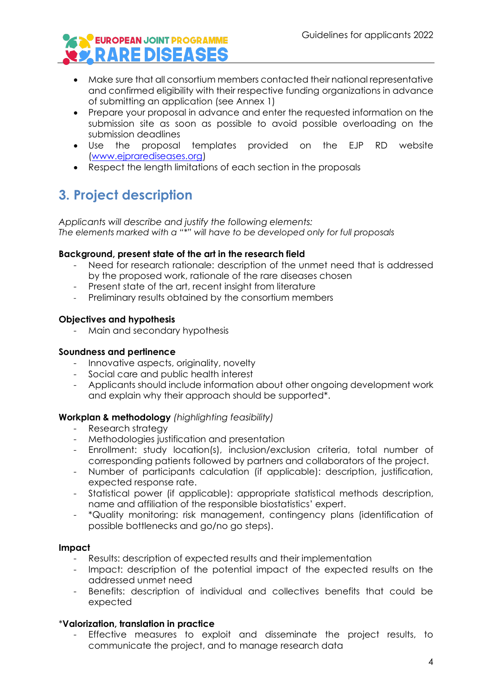

- Make sure that all consortium members contacted their national representative and confirmed eligibility with their respective funding organizations in advance of submitting an application (see Annex 1)
- Prepare your proposal in advance and enter the requested information on the submission site as soon as possible to avoid possible overloading on the submission deadlines
- Use the proposal templates provided on the EJP RD website [\(www.ejprarediseases.org\)](file://///ANR-SRV-FILER01/Departements/36-DOS/01-BS/Archivage_AAP_Biologie%20Sante/11_International/EJP%20RD/AAPs%20-%20EJPRD/JTC2020/2%20-%20Call%20Docs/www.ejprarediseases.org)
- Respect the length limitations of each section in the proposals

# <span id="page-3-0"></span>**3. Project description**

*Applicants will describe and justify the following elements: The elements marked with a "\*" will have to be developed only for full proposals*

#### **Background, present state of the art in the research field**

- Need for research rationale: description of the unmet need that is addressed by the proposed work, rationale of the rare diseases chosen
- Present state of the art, recent insight from literature
- Preliminary results obtained by the consortium members

#### **Objectives and hypothesis**

- Main and secondary hypothesis

#### **Soundness and pertinence**

- Innovative aspects, originality, novelty
- Social care and public health interest<br>- Applicants should include information
- Applicants should include information about other ongoing development work and explain why their approach should be supported\*.

#### **Workplan & methodology** *(highlighting feasibility)*

- Research strategy
- Methodologies justification and presentation
- Enrollment: study location(s), inclusion/exclusion criteria, total number of corresponding patients followed by partners and collaborators of the project.
- Number of participants calculation (if applicable): description, justification, expected response rate.
- Statistical power (if applicable): appropriate statistical methods description, name and affiliation of the responsible biostatistics' expert.
- \*Quality monitoring: risk management, contingency plans (identification of possible bottlenecks and go/no go steps).

#### **Impact**

- Results: description of expected results and their implementation
- Impact: description of the potential impact of the expected results on the addressed unmet need
- Benefits: description of individual and collectives benefits that could be expected

#### \***Valorization, translation in practice**

Effective measures to exploit and disseminate the project results, to communicate the project, and to manage research data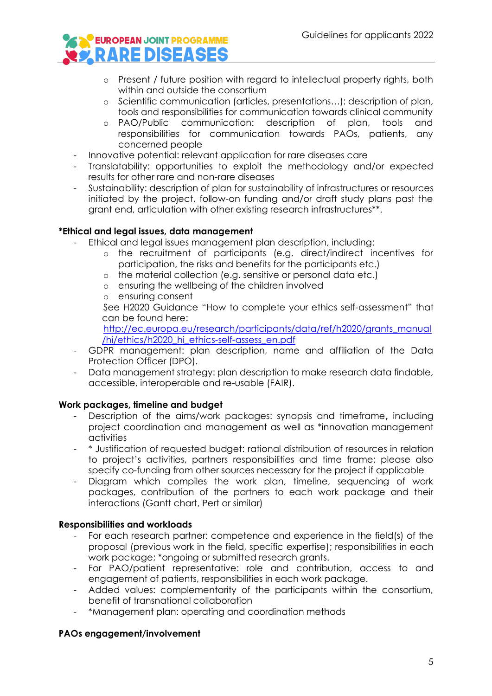

- o Present / future position with regard to intellectual property rights, both within and outside the consortium
- o Scientific communication (articles, presentations…): description of plan, tools and responsibilities for communication towards clinical community
- o PAO/Public communication: description of plan, tools and responsibilities for communication towards PAOs, patients, any concerned people
- Innovative potential: relevant application for rare diseases care
- Translatability: opportunities to exploit the methodology and/or expected results for other rare and non-rare diseases
- Sustainability: description of plan for sustainability of infrastructures or resources initiated by the project, follow-on funding and/or draft study plans past the grant end, articulation with other existing research infrastructures\*\*.

#### **\*Ethical and legal issues, data management**

- Ethical and legal issues management plan description, including:
	- o the recruitment of participants (e.g. direct/indirect incentives for participation, the risks and benefits for the participants etc.)
	- o the material collection (e.g. sensitive or personal data etc.)
	- o ensuring the wellbeing of the children involved
	- o ensuring consent

See H2020 Guidance "How to complete your ethics self-assessment" that can be found here:

[http://ec.europa.eu/research/participants/data/ref/h2020/grants\\_manual](http://ec.europa.eu/research/participants/data/ref/h2020/grants_manual/hi/ethics/h2020_hi_ethics-self-assess_en.pdf) [/hi/ethics/h2020\\_hi\\_ethics-self-assess\\_en.pdf](http://ec.europa.eu/research/participants/data/ref/h2020/grants_manual/hi/ethics/h2020_hi_ethics-self-assess_en.pdf)

- GDPR management: plan description, name and affiliation of the Data Protection Officer (DPO).
- Data management strategy: plan description to make research data findable, accessible, interoperable and re-usable (FAIR).

#### **Work packages, timeline and budget**

- Description of the aims/work packages: synopsis and timeframe**,** including project coordination and management as well as \*innovation management activities
- \* Justification of requested budget: rational distribution of resources in relation to project's activities, partners responsibilities and time frame; please also specify co-funding from other sources necessary for the project if applicable
- Diagram which compiles the work plan, timeline, sequencing of work packages, contribution of the partners to each work package and their interactions (Gantt chart, Pert or similar)

#### **Responsibilities and workloads**

- For each research partner: competence and experience in the field(s) of the proposal (previous work in the field, specific expertise); responsibilities in each work package; \*ongoing or submitted research grants.
- For PAO/patient representative: role and contribution, access to and engagement of patients, responsibilities in each work package.
- Added values: complementarity of the participants within the consortium, benefit of transnational collaboration
- \*Management plan: operating and coordination methods

#### **PAOs engagement/involvement**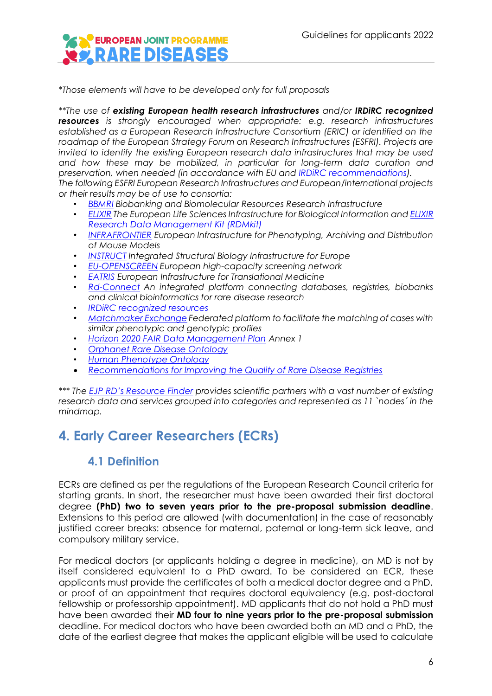

*\*Those elements will have to be developed only for full proposals*

*\*\*The use of existing European health research infrastructures and/or IRDiRC recognized resources is strongly encouraged when appropriate: e.g. research infrastructures established as a European Research Infrastructure Consortium (ERIC) or identified on the roadmap of the European Strategy Forum on Research Infrastructures (ESFRI). Projects are invited to identify the existing European research data infrastructures that may be used and how these may be mobilized, in particular for long-term data curation and preservation, when needed (in accordance with EU and [IRDiRC recommendations\)](http://www.irdirc.org/about-us/about/). The following ESFRI European Research Infrastructures and European/international projects* 

*or their results may be of use to consortia:*

- *[BBMRI](https://bbmri-eric.eu/about) Biobanking and Biomolecular Resources Research Infrastructure*
- *[ELIXIR](https://elixir-europe.org/platforms/data/elixir-deposition-databases-compilingalistofresourcesforthedepositionofexperimental) The European Life Sciences Infrastructure for Biological Information and [ELIXIR](https://rdmkit.elixir-europe.org/)  [Research Data Management Kit \(RDMkit\)](https://rdmkit.elixir-europe.org/)*
- *[INFRAFRONTIER](https://www.infrafrontier.eu/) European Infrastructure for Phenotyping, Archiving and Distribution of Mouse Models*
- *[INSTRUCT](https://www.structuralbiology.eu/) Integrated Structural Biology Infrastructure for Europe*
- *[EU-OPENSCREEN](https://www.eu-openscreen.eu/) European high-capacity screening network*
- *[EATRIS](https://eatris.eu/) European Infrastructure for Translational Medicine*
- *[Rd-Connect](https://rd-connect.eu/) An integrated platform connecting databases, registries, biobanks and clinical bioinformatics for rare disease research*
- *[IRDiRC recognized resources](http://www.ecrin.org/)*
- *[Matchmaker Exchange](https://www.matchmakerexchange.org/) Federated platform to facilitate the matching of cases with similar phenotypic and genotypic profiles*
- *[Horizon 2020 FAIR Data Management Plan](http://ec.europa.eu/research/participants/data/ref/h2020/grants_manual/hi/oa_pilot/h2020-hi-oa-data-mgt_en.pdf) Annex 1*
- *Orphanet Rare [Disease](http://www.orphadata.org/cgibin/) Ontology*
- *[Human Phenotype Ontology](https://hpo.jax.org/app/)*
- *[Recommendations for Improving the Quality of Rare Disease Registries](https://www.mdpi.com/1660-4601/15/8/1644/htm)*

*\*\*\* The [EJP RD's Resource Finder](https://resourcemap.ejprarediseases.org/#/mindmap) provides scientific partners with a vast number of existing research data and services grouped into categories and represented as 11 `nodes´ in the mindmap.*

# <span id="page-5-1"></span><span id="page-5-0"></span>**4. Early Career Researchers (ECRs)**

## **4.1 Definition**

ECRs are defined as per the regulations of the European Research Council criteria for starting grants. In short, the researcher must have been awarded their first doctoral degree **(PhD) two to seven years prior to the pre-proposal submission deadline**. Extensions to this period are allowed (with documentation) in the case of reasonably justified career breaks: absence for maternal, paternal or long-term sick leave, and compulsory military service.

For medical doctors (or applicants holding a degree in medicine), an MD is not by itself considered equivalent to a PhD award. To be considered an ECR, these applicants must provide the certificates of both a medical doctor degree and a PhD, or proof of an appointment that requires doctoral equivalency (e.g. post-doctoral fellowship or professorship appointment). MD applicants that do not hold a PhD must have been awarded their **MD four to nine years prior to the pre-proposal submission** deadline. For medical doctors who have been awarded both an MD and a PhD, the date of the earliest degree that makes the applicant eligible will be used to calculate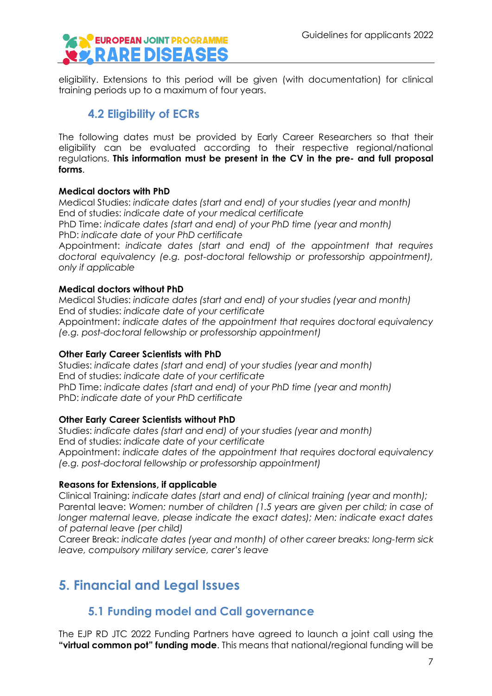

eligibility. Extensions to this period will be given (with documentation) for clinical training periods up to a maximum of four years.

## **4.2 Eligibility of ECRs**

<span id="page-6-0"></span>The following dates must be provided by Early Career Researchers so that their eligibility can be evaluated according to their respective regional/national regulations. **This information must be present in the CV in the pre- and full proposal forms**.

#### **Medical doctors with PhD**

Medical Studies: *indicate dates (start and end) of your studies (year and month)* End of studies: *indicate date of your medical certificate* PhD Time: *indicate dates (start and end) of your PhD time (year and month)* PhD: *indicate date of your PhD certificate* Appointment: *indicate dates (start and end) of the appointment that requires* 

*doctoral equivalency (e.g. post-doctoral fellowship or professorship appointment), only if applicable*

#### **Medical doctors without PhD**

Medical Studies: *indicate dates (start and end) of your studies (year and month)* End of studies: *indicate date of your certificate* Appointment: *indicate dates of the appointment that requires doctoral equivalency (e.g. post-doctoral fellowship or professorship appointment)*

#### **Other Early Career Scientists with PhD**

Studies: *indicate dates (start and end) of your studies (year and month)* End of studies: *indicate date of your certificate* PhD Time: *indicate dates (start and end) of your PhD time (year and month)* PhD: *indicate date of your PhD certificate*

#### **Other Early Career Scientists without PhD**

Studies: *indicate dates (start and end) of your studies (year and month)* End of studies: *indicate date of your certificate* Appointment: *indicate dates of the appointment that requires doctoral equivalency (e.g. post-doctoral fellowship or professorship appointment)*

#### **Reasons for Extensions, if applicable**

Clinical Training: *indicate dates (start and end) of clinical training (year and month);*  Parental leave: *Women: number of children (1.5 years are given per child; in case of longer maternal leave, please indicate the exact dates); Men: indicate exact dates of paternal leave (per child)*

Career Break: *indicate dates (year and month) of other career breaks: long-term sick leave, compulsory military service, carer's leave*

# <span id="page-6-1"></span>**5. Financial and Legal Issues**

### **5.1 Funding model and Call governance**

<span id="page-6-2"></span>The EJP RD JTC 2022 Funding Partners have agreed to launch a joint call using the **"virtual common pot" funding mode**. This means that national/regional funding will be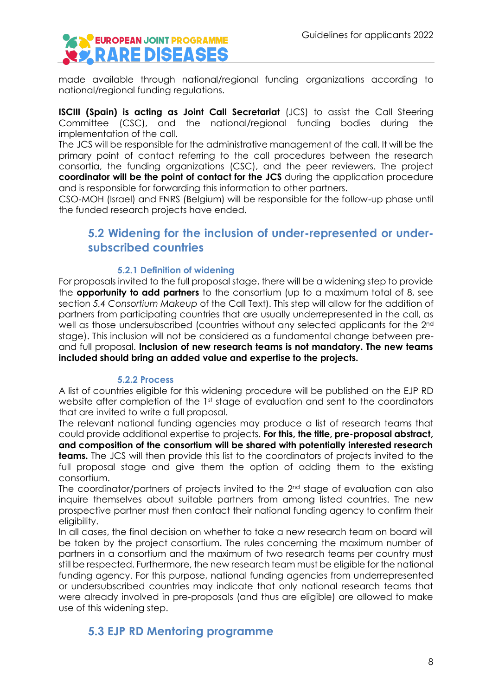

made available through national/regional funding organizations according to national/regional funding regulations.

**ISCIII (Spain) is acting as Joint Call Secretariat** (JCS) to assist the Call Steering Committee (CSC), and the national/regional funding bodies during the implementation of the call.

The JCS will be responsible for the administrative management of the call. It will be the primary point of contact referring to the call procedures between the research consortia, the funding organizations (CSC), and the peer reviewers. The project **coordinator will be the point of contact for the JCS** during the application procedure and is responsible for forwarding this information to other partners.

CSO-MOH (Israel) and FNRS (Belgium) will be responsible for the follow-up phase until the funded research projects have ended.

## <span id="page-7-0"></span>**5.2 Widening for the inclusion of under-represented or undersubscribed countries**

#### **5.2.1 Definition of widening**

<span id="page-7-1"></span>For proposals invited to the full proposal stage, there will be a widening step to provide the **opportunity to add partners** to the consortium (up to a maximum total of 8, see section *5.4 Consortium Makeup* of the Call Text). This step will allow for the addition of partners from participating countries that are usually underrepresented in the call, as well as those undersubscribed (countries without any selected applicants for the 2<sup>nd</sup> stage). This inclusion will not be considered as a fundamental change between preand full proposal. **Inclusion of new research teams is not mandatory. The new teams included should bring an added value and expertise to the projects.**

#### **5.2.2 Process**

<span id="page-7-2"></span>A list of countries eligible for this widening procedure will be published on the EJP RD website after completion of the 1st stage of evaluation and sent to the coordinators that are invited to write a full proposal.

The relevant national funding agencies may produce a list of research teams that could provide additional expertise to projects. **For this, the title, pre-proposal abstract, and composition of the consortium will be shared with potentially interested research teams.** The JCS will then provide this list to the coordinators of projects invited to the full proposal stage and give them the option of adding them to the existing consortium.

The coordinator/partners of projects invited to the 2nd stage of evaluation can also inquire themselves about suitable partners from among listed countries. The new prospective partner must then contact their national funding agency to confirm their eligibility.

In all cases, the final decision on whether to take a new research team on board will be taken by the project consortium. The rules concerning the maximum number of partners in a consortium and the maximum of two research teams per country must still be respected. Furthermore, the new research team must be eligible for the national funding agency. For this purpose, national funding agencies from underrepresented or undersubscribed countries may indicate that only national research teams that were already involved in pre-proposals (and thus are eligible) are allowed to make use of this widening step.

## <span id="page-7-3"></span>**5.3 EJP RD Mentoring programme**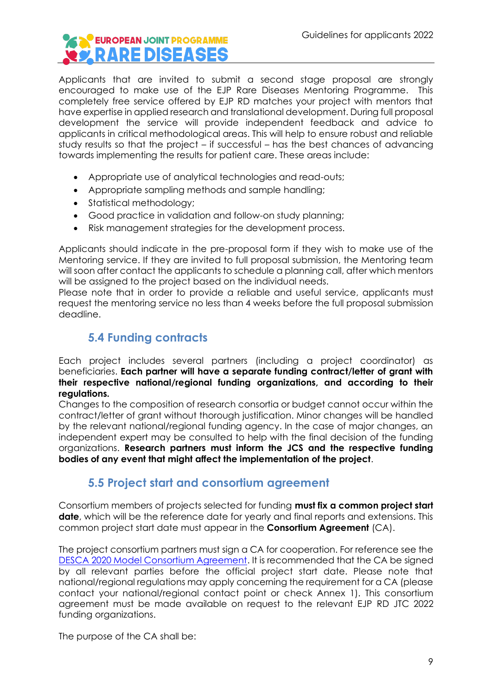

Applicants that are invited to submit a second stage proposal are strongly encouraged to make use of the EJP Rare Diseases Mentoring Programme. This completely free service offered by EJP RD matches your project with mentors that have expertise in applied research and translational development. During full proposal development the service will provide independent feedback and advice to applicants in critical methodological areas. This will help to ensure robust and reliable study results so that the project – if successful – has the best chances of advancing towards implementing the results for patient care. These areas include:

- Appropriate use of analytical technologies and read-outs;
- Appropriate sampling methods and sample handling;
- Statistical methodology;
- Good practice in validation and follow-on study planning;
- Risk management strategies for the development process.

Applicants should indicate in the pre-proposal form if they wish to make use of the Mentoring service. If they are invited to full proposal submission, the Mentoring team will soon after contact the applicants to schedule a planning call, after which mentors will be assigned to the project based on the individual needs.

Please note that in order to provide a reliable and useful service, applicants must request the mentoring service no less than 4 weeks before the full proposal submission deadline.

## **5.4 Funding contracts**

<span id="page-8-0"></span>Each project includes several partners (including a project coordinator) as beneficiaries. **Each partner will have a separate funding contract/letter of grant with their respective national/regional funding organizations, and according to their regulations.**

Changes to the composition of research consortia or budget cannot occur within the contract/letter of grant without thorough justification. Minor changes will be handled by the relevant national/regional funding agency. In the case of major changes, an independent expert may be consulted to help with the final decision of the funding organizations. **Research partners must inform the JCS and the respective funding bodies of any event that might affect the implementation of the project**.

## **5.5 Project start and consortium agreement**

<span id="page-8-1"></span>Consortium members of projects selected for funding **must fix a common project start date**, which will be the reference date for yearly and final reports and extensions. This common project start date must appear in the **Consortium Agreement** (CA).

The project consortium partners must sign a CA for cooperation. For reference see the [DESCA 2020 Model Consortium Agreement.](http://www.desca-2020.eu/) It is recommended that the CA be signed by all relevant parties before the official project start date. Please note that national/regional regulations may apply concerning the requirement for a CA (please contact your national/regional contact point or check Annex 1). This consortium agreement must be made available on request to the relevant EJP RD JTC 2022 funding organizations.

The purpose of the CA shall be: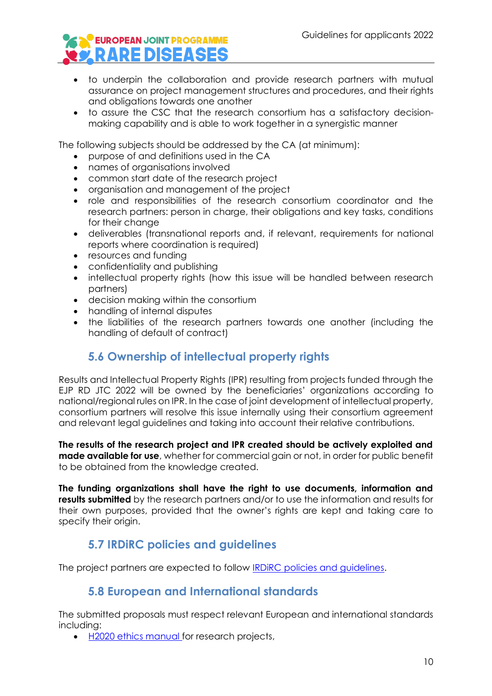

- to underpin the collaboration and provide research partners with mutual assurance on project management structures and procedures, and their rights and obligations towards one another
- to assure the CSC that the research consortium has a satisfactory decisionmaking capability and is able to work together in a synergistic manner

The following subjects should be addressed by the CA (at minimum):

- purpose of and definitions used in the CA
- names of organisations involved
- common start date of the research project
- organisation and management of the project
- role and responsibilities of the research consortium coordinator and the research partners: person in charge, their obligations and key tasks, conditions for their change
- deliverables (transnational reports and, if relevant, requirements for national reports where coordination is required)
- resources and funding
- confidentiality and publishing
- intellectual property rights (how this issue will be handled between research partners)
- decision making within the consortium
- handling of internal disputes
- the liabilities of the research partners towards one another (including the handling of default of contract)

## **5.6 Ownership of intellectual property rights**

<span id="page-9-0"></span>Results and Intellectual Property Rights (IPR) resulting from projects funded through the EJP RD JTC 2022 will be owned by the beneficiaries' organizations according to national/regional rules on IPR. In the case of joint development of intellectual property, consortium partners will resolve this issue internally using their consortium agreement and relevant legal guidelines and taking into account their relative contributions.

**The results of the research project and IPR created should be actively exploited and made available for use**, whether for commercial gain or not, in order for public benefit to be obtained from the knowledge created.

**The funding organizations shall have the right to use documents, information and results submitted** by the research partners and/or to use the information and results for their own purposes, provided that the owner's rights are kept and taking care to specify their origin.

## **5.7 IRDiRC policies and guidelines**

<span id="page-9-2"></span><span id="page-9-1"></span>The project partners are expected to follow **IRDIRC policies and guidelines.** 

## **5.8 European and International standards**

The submitted proposals must respect relevant European and international standards including:

• [H2020 ethics manual](https://ec.europa.eu/research/participants/docs/h2020-funding-guide/cross-cutting-issues/ethics_en.htm) for research projects,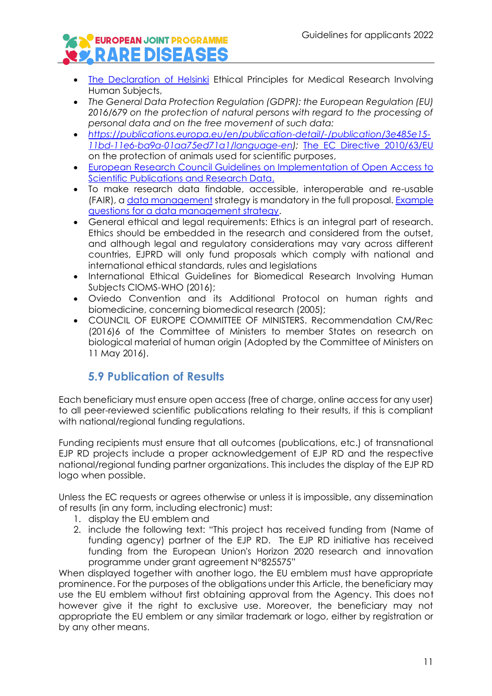

- [The Declaration of Helsinki](https://jamanetwork.com/journals/jama/fullarticle/1760318) Ethical Principles for Medical Research Involving Human Subjects,
- *The General Data Protection Regulation (GDPR): the European Regulation (EU) 2016/679 on the protection of natural persons with regard to the processing of personal data and on the free movement of such data:*
- *[https://publications.europa.eu/en/publication-detail/-/publication/3e485e15-](https://publications.europa.eu/en/publication-detail/-/publication/3e485e15-11bd-11e6-ba9a-01aa75ed71a1/language-en) [11bd-11e6-ba9a-01aa75ed71a1/language-en\)](https://publications.europa.eu/en/publication-detail/-/publication/3e485e15-11bd-11e6-ba9a-01aa75ed71a1/language-en);* [The EC Directive 2010/63/EU](http://eur-lex.europa.eu/legal-content/EN/TXT/?uri=CELEX:32010L0063) on the protection of animals used for scientific purposes,
- [European Research Council Guidelines on Implementation of Open Access to](http://ec.europa.eu/research/participants/docs/h2020-funding-guide/cross-cutting-issues/open-access-data-management/open-access_en.htm)  [Scientific Publications and Research Data,](http://ec.europa.eu/research/participants/docs/h2020-funding-guide/cross-cutting-issues/open-access-data-management/open-access_en.htm)
- To make research data findable, accessible, interoperable and re-usable (FAIR), [a data management](https://rdmkit.elixir-europe.org/) strategy is mandatory in the full proposal[. Example](http://ec.europa.eu/research/participants/data/ref/h2020/grants_manual/hi/oa_pilot/h2020-hi-oa-data-mgt_en.pdf)  [questions for a data management strategy.](http://ec.europa.eu/research/participants/data/ref/h2020/grants_manual/hi/oa_pilot/h2020-hi-oa-data-mgt_en.pdf)
- General ethical and legal requirements: Ethics is an integral part of research. Ethics should be embedded in the research and considered from the outset, and although legal and regulatory considerations may vary across different countries, EJPRD will only fund proposals which comply with national and international ethical standards, rules and legislations
- International Ethical Guidelines for Biomedical Research Involving Human Subjects CIOMS-WHO (2016);
- Oviedo Convention and its Additional Protocol on human rights and biomedicine, concerning biomedical research (2005);
- COUNCIL OF EUROPE COMMITTEE OF MINISTERS. Recommendation CM/Rec (2016)6 of the Committee of Ministers to member States on research on biological material of human origin (Adopted by the Committee of Ministers on 11 May 2016).

## **5.9 Publication of Results**

<span id="page-10-0"></span>Each beneficiary must ensure open access (free of charge, online access for any user) to all peer-reviewed scientific publications relating to their results, if this is compliant with national/regional funding regulations.

Funding recipients must ensure that all outcomes (publications, etc.) of transnational EJP RD projects include a proper acknowledgement of EJP RD and the respective national/regional funding partner organizations. This includes the display of the EJP RD logo when possible.

Unless the EC requests or agrees otherwise or unless it is impossible, any dissemination of results (in any form, including electronic) must:

- 1. display the EU emblem and
- 2. include the following text: "This project has received funding from (Name of funding agency) partner of the EJP RD. The EJP RD initiative has received funding from the European Union's Horizon 2020 research and innovation programme under grant agreement N°825575"

When displayed together with another logo, the EU emblem must have appropriate prominence. For the purposes of the obligations under this Article, the beneficiary may use the EU emblem without first obtaining approval from the Agency. This does not however give it the right to exclusive use. Moreover, the beneficiary may not appropriate the EU emblem or any similar trademark or logo, either by registration or by any other means.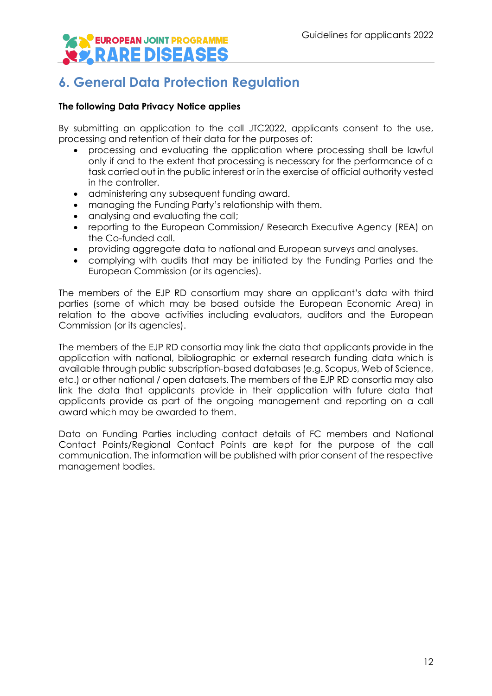

# <span id="page-11-0"></span>**6. General Data Protection Regulation**

#### **The following Data Privacy Notice applies**

By submitting an application to the call JTC2022, applicants consent to the use, processing and retention of their data for the purposes of:

- processing and evaluating the application where processing shall be lawful only if and to the extent that processing is necessary for the performance of a task carried out in the public interest or in the exercise of official authority vested in the controller.
- administering any subsequent funding award.
- managing the Funding Party's relationship with them.
- analysing and evaluating the call;
- reporting to the European Commission/ Research Executive Agency (REA) on the Co-funded call.
- providing aggregate data to national and European surveys and analyses.
- complying with audits that may be initiated by the Funding Parties and the European Commission (or its agencies).

The members of the EJP RD consortium may share an applicant's data with third parties (some of which may be based outside the European Economic Area) in relation to the above activities including evaluators, auditors and the European Commission (or its agencies).

The members of the EJP RD consortia may link the data that applicants provide in the application with national, bibliographic or external research funding data which is available through public subscription-based databases (e.g. Scopus, Web of Science, etc.) or other national / open datasets. The members of the EJP RD consortia may also link the data that applicants provide in their application with future data that applicants provide as part of the ongoing management and reporting on a call award which may be awarded to them.

Data on Funding Parties including contact details of FC members and National Contact Points/Regional Contact Points are kept for the purpose of the call communication. The information will be published with prior consent of the respective management bodies.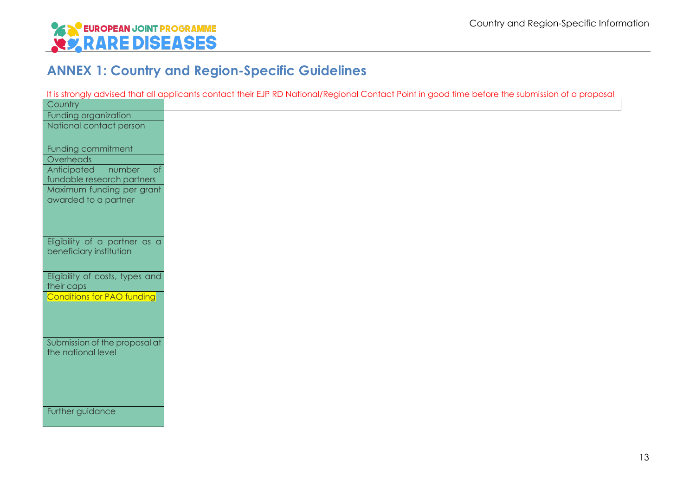

# **ANNEX 1: Country and Region-Specific Guidelines**

<span id="page-12-1"></span><span id="page-12-0"></span>

| Country                                             |  |  |
|-----------------------------------------------------|--|--|
| Funding organization                                |  |  |
| National contact person                             |  |  |
|                                                     |  |  |
| Funding commitment                                  |  |  |
| Overheads                                           |  |  |
| Anticipated<br>number<br>of                         |  |  |
| fundable research partners                          |  |  |
| Maximum funding per grant                           |  |  |
| awarded to a partner                                |  |  |
|                                                     |  |  |
|                                                     |  |  |
| Eligibility of a partner as a                       |  |  |
| beneficiary institution                             |  |  |
|                                                     |  |  |
| Eligibility of costs, types and                     |  |  |
| their caps                                          |  |  |
| <b>Conditions for PAO funding</b>                   |  |  |
|                                                     |  |  |
|                                                     |  |  |
|                                                     |  |  |
| Submission of the proposal at<br>the national level |  |  |
|                                                     |  |  |
|                                                     |  |  |
|                                                     |  |  |
|                                                     |  |  |
|                                                     |  |  |
| Further guidance                                    |  |  |
|                                                     |  |  |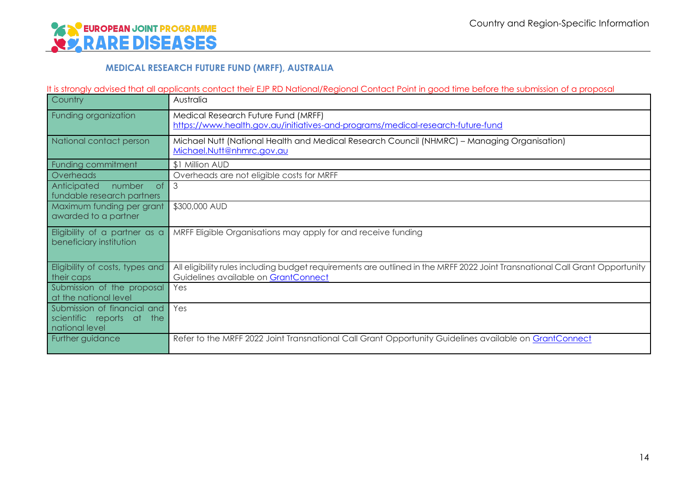

#### **MEDICAL RESEARCH FUTURE FUND (MRFF), AUSTRALIA**

| Country                                                                    | Australia                                                                                                                                                                   |
|----------------------------------------------------------------------------|-----------------------------------------------------------------------------------------------------------------------------------------------------------------------------|
| Funding organization                                                       | Medical Research Future Fund (MRFF)<br>https://www.health.gov.au/initiatives-and-programs/medical-research-future-fund                                                      |
| National contact person                                                    | Michael Nutt (National Health and Medical Research Council (NHMRC) - Managing Organisation)<br>Michael.Nutt@nhmrc.gov.au                                                    |
| Funding commitment                                                         | \$1 Million AUD                                                                                                                                                             |
| Overheads                                                                  | Overheads are not eligible costs for MRFF                                                                                                                                   |
| $\circ$<br>Anticipated<br>number<br>fundable research partners             | -3                                                                                                                                                                          |
| Maximum funding per grant<br>awarded to a partner                          | \$300,000 AUD                                                                                                                                                               |
| Eligibility of a partner as a<br>beneficiary institution                   | MRFF Eligible Organisations may apply for and receive funding                                                                                                               |
| Eligibility of costs, types and<br>their caps                              | All eligibility rules including budget requirements are outlined in the MRFF 2022 Joint Transnational Call Grant Opportunity<br>Guidelines available on <b>GrantConnect</b> |
| Submission of the proposal<br>at the national level                        | Yes                                                                                                                                                                         |
| Submission of financial and<br>scientific reports at the<br>national level | Yes                                                                                                                                                                         |
| Further guidance                                                           | Refer to the MRFF 2022 Joint Transnational Call Grant Opportunity Guidelines available on GrantConnect                                                                      |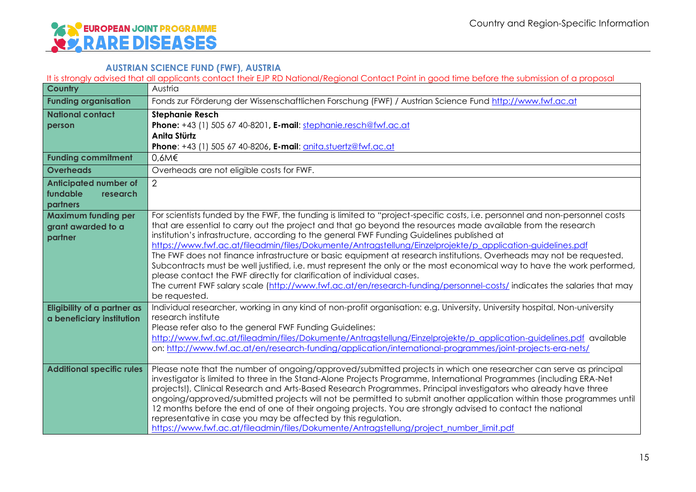

#### **AUSTRIAN SCIENCE FUND (FWF), AUSTRIA**

<span id="page-14-0"></span>

| Country                          | Austria                                                                                                                                                                                                                                      |
|----------------------------------|----------------------------------------------------------------------------------------------------------------------------------------------------------------------------------------------------------------------------------------------|
| <b>Funding organisation</b>      | Fonds zur Förderung der Wissenschaftlichen Forschung (FWF) / Austrian Science Fund http://www.fwf.ac.at                                                                                                                                      |
| <b>National contact</b>          | <b>Stephanie Resch</b>                                                                                                                                                                                                                       |
| person                           | Phone: +43 (1) 505 67 40-8201, E-mail: stephanie.resch@fwf.ac.at                                                                                                                                                                             |
|                                  | Anita Stürtz                                                                                                                                                                                                                                 |
|                                  | <b>Phone:</b> +43 (1) 505 67 40-8206, <b>E-mail:</b> anita.stuertz@fwf.ac.at                                                                                                                                                                 |
| <b>Funding commitment</b>        | $0,6M\notin$                                                                                                                                                                                                                                 |
| <b>Overheads</b>                 | Overheads are not eligible costs for FWF.                                                                                                                                                                                                    |
| <b>Anticipated number of</b>     | 2                                                                                                                                                                                                                                            |
| fundable<br>research             |                                                                                                                                                                                                                                              |
| partners                         |                                                                                                                                                                                                                                              |
| <b>Maximum funding per</b>       | For scientists funded by the FWF, the funding is limited to "project-specific costs, i.e. personnel and non-personnel costs<br>that are essential to carry out the project and that go beyond the resources made available from the research |
| grant awarded to a<br>partner    | institution's infrastructure, according to the general FWF Funding Guidelines published at                                                                                                                                                   |
|                                  | https://www.fwf.ac.at/fileadmin/files/Dokumente/Antragstellung/Einzelprojekte/p_application-guidelines.pdf                                                                                                                                   |
|                                  | The FWF does not finance infrastructure or basic equipment at research institutions. Overheads may not be requested.                                                                                                                         |
|                                  | Subcontracts must be well justified, i.e. must represent the only or the most economical way to have the work performed,                                                                                                                     |
|                                  | please contact the FWF directly for clarification of individual cases.                                                                                                                                                                       |
|                                  | The current FWF salary scale (http://www.fwf.ac.at/en/research-funding/personnel-costs/ indicates the salaries that may<br>be requested.                                                                                                     |
| Eligibility of a partner as      | Individual researcher, working in any kind of non-profit organisation: e.g. University, University hospital, Non-university                                                                                                                  |
| a beneficiary institution        | research institute                                                                                                                                                                                                                           |
|                                  | Please refer also to the general FWF Funding Guidelines:                                                                                                                                                                                     |
|                                  | http://www.fwf.ac.at/fileadmin/files/Dokumente/Antragstellung/Einzelprojekte/p_application-guidelines.pdf_available                                                                                                                          |
|                                  | on: http://www.fwf.ac.at/en/research-funding/application/international-programmes/joint-projects-era-nets/                                                                                                                                   |
|                                  |                                                                                                                                                                                                                                              |
| <b>Additional specific rules</b> | Please note that the number of ongoing/approved/submitted projects in which one researcher can serve as principal                                                                                                                            |
|                                  | investigator is limited to three in the Stand-Alone Projects Programme, International Programmes (including ERA-Net<br>projects!), Clinical Research and Arts-Based Research Programmes. Principal investigators who already have three      |
|                                  | ongoing/approved/submitted projects will not be permitted to submit another application within those programmes until                                                                                                                        |
|                                  | 12 months before the end of one of their ongoing projects. You are strongly advised to contact the national                                                                                                                                  |
|                                  | representative in case you may be affected by this regulation.                                                                                                                                                                               |
|                                  | https://www.fwf.ac.at/fileadmin/files/Dokumente/Antragstellung/project_number_limit.pdf                                                                                                                                                      |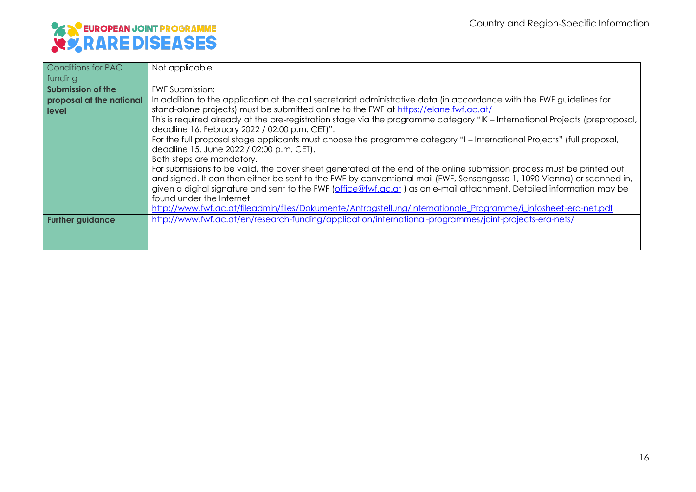

| <b>Conditions for PAO</b> | Not applicable                                                                                                               |
|---------------------------|------------------------------------------------------------------------------------------------------------------------------|
| funding                   |                                                                                                                              |
| Submission of the         | FWF Submission:                                                                                                              |
| proposal at the national  | In addition to the application at the call secretariat administrative data (in accordance with the FWF guidelines for        |
| level                     | stand-alone projects) must be submitted online to the FWF at https://elane.fwf.ac.at/                                        |
|                           | This is required already at the pre-registration stage via the programme category "IK – International Projects (preproposal, |
|                           | deadline 16. February 2022 / 02:00 p.m. CET)".                                                                               |
|                           | For the full proposal stage applicants must choose the programme category "I - International Projects" (full proposal,       |
|                           | deadline 15. June 2022 / 02:00 p.m. CET).                                                                                    |
|                           | Both steps are mandatory.                                                                                                    |
|                           | For submissions to be valid, the cover sheet generated at the end of the online submission process must be printed out       |
|                           | and signed. It can then either be sent to the FWF by conventional mail (FWF, Sensengasse 1, 1090 Vienna) or scanned in,      |
|                           | given a digital signature and sent to the FWF (office@fwf.ac.at) as an e-mail attachment. Detailed information may be        |
|                           | found under the Internet                                                                                                     |
|                           | http://www.fwf.ac.at/fileadmin/files/Dokumente/Antragstellung/Internationale Programme/i infosheet-era-net.pdf               |
| <b>Further guidance</b>   | http://www.fwf.ac.at/en/research-funding/application/international-programmes/joint-projects-era-nets/                       |
|                           |                                                                                                                              |
|                           |                                                                                                                              |
|                           |                                                                                                                              |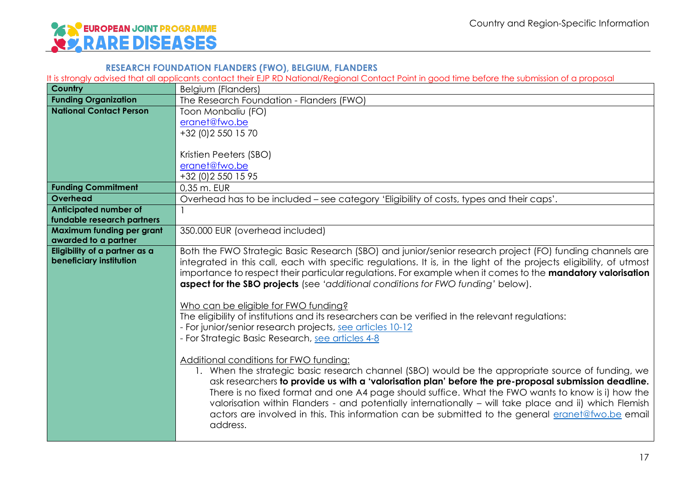

#### **RESEARCH FOUNDATION FLANDERS (FWO), BELGIUM, FLANDERS**

<span id="page-16-0"></span>

| Country                                           | Belgium (Flanders)                                                                                                  |
|---------------------------------------------------|---------------------------------------------------------------------------------------------------------------------|
| <b>Funding Organization</b>                       | The Research Foundation - Flanders (FWO)                                                                            |
| <b>National Contact Person</b>                    | Toon Monbaliu (FO)                                                                                                  |
|                                                   | eranet@fwo.be                                                                                                       |
|                                                   | +32 (0) 2 550 15 70                                                                                                 |
|                                                   |                                                                                                                     |
|                                                   | Kristien Peeters (SBO)                                                                                              |
|                                                   | eranet@fwo.be                                                                                                       |
|                                                   | +32 (0) 2 550 15 95                                                                                                 |
| <b>Funding Commitment</b>                         | 0,35 m. EUR                                                                                                         |
| Overhead                                          | Overhead has to be included - see category 'Eligibility of costs, types and their caps'.                            |
| <b>Anticipated number of</b>                      |                                                                                                                     |
| fundable research partners                        |                                                                                                                     |
| Maximum funding per grant<br>awarded to a partner | 350.000 EUR (overhead included)                                                                                     |
| Eligibility of a partner as a                     | Both the FWO Strategic Basic Research (SBO) and junior/senior research project (FO) funding channels are            |
| beneficiary institution                           | integrated in this call, each with specific regulations. It is, in the light of the projects eligibility, of utmost |
|                                                   | importance to respect their particular regulations. For example when it comes to the mandatory valorisation         |
|                                                   | aspect for the SBO projects (see 'additional conditions for FWO funding' below).                                    |
|                                                   |                                                                                                                     |
|                                                   | Who can be eligible for FWO funding?                                                                                |
|                                                   | The eligibility of institutions and its researchers can be verified in the relevant regulations:                    |
|                                                   | - For junior/senior research projects, see articles 10-12                                                           |
|                                                   | - For Strategic Basic Research, see articles 4-8                                                                    |
|                                                   |                                                                                                                     |
|                                                   | Additional conditions for FWO funding:                                                                              |
|                                                   | 1. When the strategic basic research channel (SBO) would be the appropriate source of funding, we                   |
|                                                   | ask researchers to provide us with a 'valorisation plan' before the pre-proposal submission deadline.               |
|                                                   | There is no fixed format and one A4 page should suffice. What the FWO wants to know is i) how the                   |
|                                                   | valorisation within Flanders - and potentially internationally – will take place and ii) which Flemish              |
|                                                   | actors are involved in this. This information can be submitted to the general eranet@fwo.be email                   |
|                                                   | address.                                                                                                            |
|                                                   |                                                                                                                     |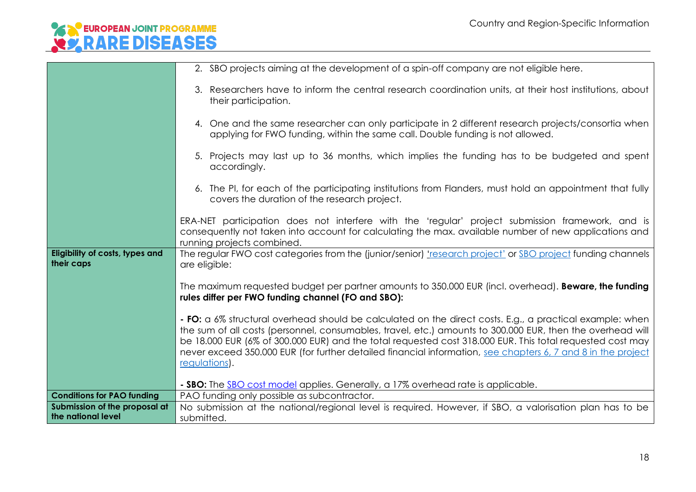

|                                   | 2. SBO projects aiming at the development of a spin-off company are not eligible here.                                                                                                                    |
|-----------------------------------|-----------------------------------------------------------------------------------------------------------------------------------------------------------------------------------------------------------|
|                                   |                                                                                                                                                                                                           |
|                                   | 3. Researchers have to inform the central research coordination units, at their host institutions, about<br>their participation.                                                                          |
|                                   | 4. One and the same researcher can only participate in 2 different research projects/consortia when                                                                                                       |
|                                   | applying for FWO funding, within the same call. Double funding is not allowed.                                                                                                                            |
|                                   | 5. Projects may last up to 36 months, which implies the funding has to be budgeted and spent<br>accordingly.                                                                                              |
|                                   | 6. The PI, for each of the participating institutions from Flanders, must hold an appointment that fully<br>covers the duration of the research project.                                                  |
|                                   | ERA-NET participation does not interfere with the 'regular' project submission framework, and is<br>consequently not taken into account for calculating the max, available number of new applications and |
| Eligibility of costs, types and   | running projects combined.<br>The regular FWO cost categories from the (junior/senior) 'research project' or SBO project funding channels                                                                 |
| their caps                        | are eligible:                                                                                                                                                                                             |
|                                   |                                                                                                                                                                                                           |
|                                   | The maximum requested budget per partner amounts to 350.000 EUR (incl. overhead). <b>Beware, the funding</b>                                                                                              |
|                                   | rules differ per FWO funding channel (FO and SBO):                                                                                                                                                        |
|                                   | - FO: a 6% structural overhead should be calculated on the direct costs. E.g., a practical example: when                                                                                                  |
|                                   | the sum of all costs (personnel, consumables, travel, etc.) amounts to 300.000 EUR, then the overhead will                                                                                                |
|                                   | be 18.000 EUR (6% of 300.000 EUR) and the total requested cost 318.000 EUR. This total requested cost may                                                                                                 |
|                                   | never exceed 350.000 EUR (for further detailed financial information, see chapters 6, 7 and 8 in the project                                                                                              |
|                                   | regulations).                                                                                                                                                                                             |
|                                   | - SBO: The SBO cost model applies. Generally, a 17% overhead rate is applicable.                                                                                                                          |
| <b>Conditions for PAO funding</b> | PAO funding only possible as subcontractor.                                                                                                                                                               |
| Submission of the proposal at     | No submission at the national/regional level is required. However, if SBO, a valorisation plan has to be                                                                                                  |
| the national level                | submitted.                                                                                                                                                                                                |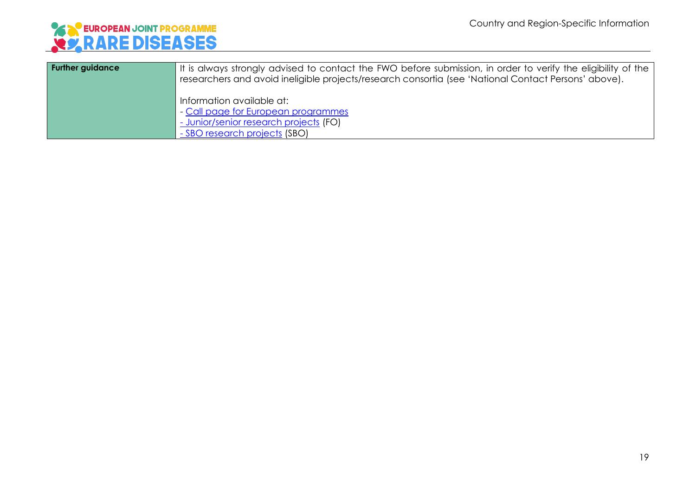

| Further guidance | It is always strongly advised to contact the FWO before submission, in order to verify the eligibility of the $ $<br>researchers and avoid ineligible projects/research consortia (see 'National Contact Persons' above). |
|------------------|---------------------------------------------------------------------------------------------------------------------------------------------------------------------------------------------------------------------------|
|                  | Information available at:<br>- Call page for European programmes<br>- Junior/senior research projects (FO)<br>- SBO research projects (SBO)                                                                               |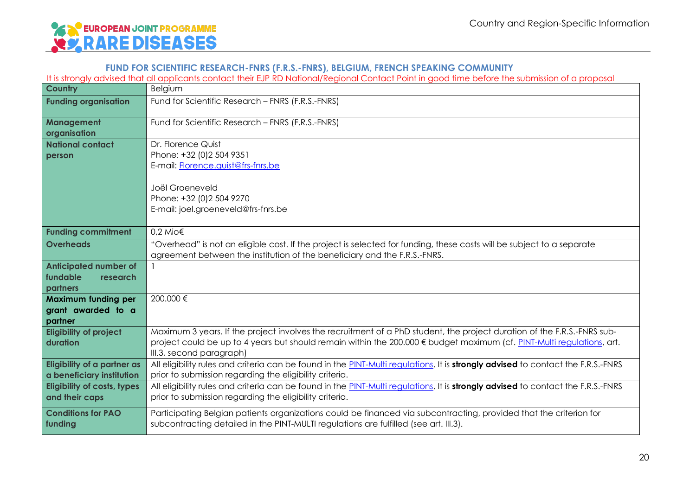#### **FUND FOR SCIENTIFIC RESEARCH-FNRS (F.R.S.-FNRS), BELGIUM, FRENCH SPEAKING COMMUNITY**

<span id="page-19-0"></span>

| <b>Country</b>                            | Belgium                                                                                                                                                                                                                                           |
|-------------------------------------------|---------------------------------------------------------------------------------------------------------------------------------------------------------------------------------------------------------------------------------------------------|
| <b>Funding organisation</b>               | Fund for Scientific Research - FNRS (F.R.S.-FNRS)                                                                                                                                                                                                 |
| <b>Management</b><br>organisation         | Fund for Scientific Research - FNRS (F.R.S.-FNRS)                                                                                                                                                                                                 |
| <b>National contact</b>                   | Dr. Florence Quist                                                                                                                                                                                                                                |
| person                                    | Phone: +32 (0) 2 504 9351                                                                                                                                                                                                                         |
|                                           | E-mail: Florence.quist@frs-fnrs.be                                                                                                                                                                                                                |
|                                           |                                                                                                                                                                                                                                                   |
|                                           | Joël Groeneveld                                                                                                                                                                                                                                   |
|                                           | Phone: +32 (0) 2 504 9270<br>E-mail: joel.groeneveld@frs-fnrs.be                                                                                                                                                                                  |
|                                           |                                                                                                                                                                                                                                                   |
| <b>Funding commitment</b>                 | 0,2 Mio€                                                                                                                                                                                                                                          |
| <b>Overheads</b>                          | "Overhead" is not an eligible cost. If the project is selected for funding, these costs will be subject to a separate<br>agreement between the institution of the beneficiary and the F.R.S.-FNRS.                                                |
| <b>Anticipated number of</b>              |                                                                                                                                                                                                                                                   |
| fundable<br>research                      |                                                                                                                                                                                                                                                   |
| partners                                  |                                                                                                                                                                                                                                                   |
| <b>Maximum funding per</b>                | 200.000 €                                                                                                                                                                                                                                         |
| grant awarded to a                        |                                                                                                                                                                                                                                                   |
| partner                                   |                                                                                                                                                                                                                                                   |
| <b>Eligibility of project</b><br>duration | Maximum 3 years. If the project involves the recruitment of a PhD student, the project duration of the F.R.S.-FNRS sub-<br>project could be up to 4 years but should remain within the 200.000 € budget maximum (cf. PINT-Multi regulations, art. |
|                                           | III.3, second paragraph)                                                                                                                                                                                                                          |
| Eligibility of a partner as               | All eligibility rules and criteria can be found in the <b>PINT-Multi regulations</b> . It is <b>strongly advised</b> to contact the F.R.S.-FNRS                                                                                                   |
| a beneficiary institution                 | prior to submission regarding the eligibility criteria.                                                                                                                                                                                           |
| <b>Eligibility of costs, types</b>        | All eligibility rules and criteria can be found in the <b>PINT-Multi regulations</b> . It is <b>strongly advised</b> to contact the F.R.S.-FNRS                                                                                                   |
| and their caps                            | prior to submission regarding the eligibility criteria.                                                                                                                                                                                           |
| <b>Conditions for PAO</b>                 | Participating Belgian patients organizations could be financed via subcontracting, provided that the criterion for                                                                                                                                |
| funding                                   | subcontracting detailed in the PINT-MULTI regulations are fulfilled (see art. III.3).                                                                                                                                                             |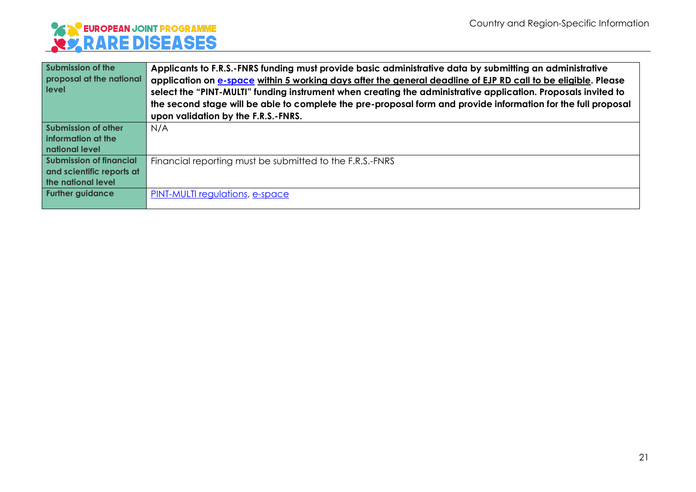

| Submission of the<br>proposal at the national<br>level | Applicants to F.R.S.-FNRS funding must provide basic administrative data by submitting an administrative<br>application on e-space within 5 working days after the general deadline of EJP RD call to be eligible. Please<br>select the "PINT-MULTI" funding instrument when creating the administrative application. Proposals invited to |
|--------------------------------------------------------|--------------------------------------------------------------------------------------------------------------------------------------------------------------------------------------------------------------------------------------------------------------------------------------------------------------------------------------------|
|                                                        | the second stage will be able to complete the pre-proposal form and provide information for the full proposal                                                                                                                                                                                                                              |
|                                                        | upon validation by the F.R.S.-FNRS.                                                                                                                                                                                                                                                                                                        |
| Submission of other                                    | N/A                                                                                                                                                                                                                                                                                                                                        |
| information at the                                     |                                                                                                                                                                                                                                                                                                                                            |
| national level                                         |                                                                                                                                                                                                                                                                                                                                            |
| <b>Submission of financial</b>                         | Financial reporting must be submitted to the F.R.S.-FNRS                                                                                                                                                                                                                                                                                   |
| and scientific reports at                              |                                                                                                                                                                                                                                                                                                                                            |
| the national level                                     |                                                                                                                                                                                                                                                                                                                                            |
| <b>Further guidance</b>                                | <b>PINT-MULTI regulations, e-space</b>                                                                                                                                                                                                                                                                                                     |
|                                                        |                                                                                                                                                                                                                                                                                                                                            |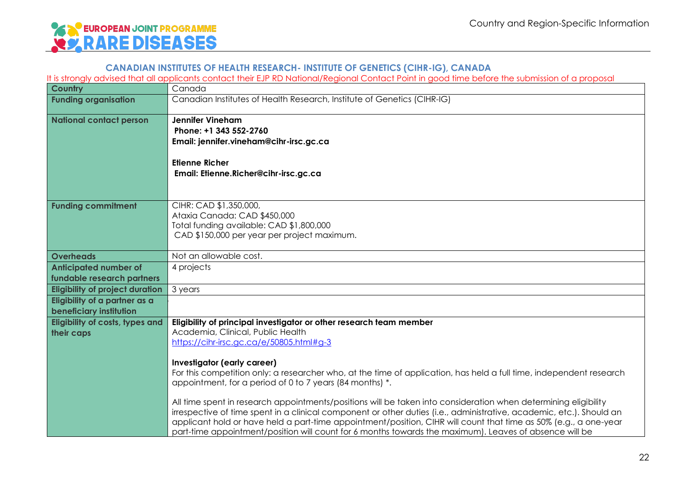

#### **CANADIAN INSTITUTES OF HEALTH RESEARCH- INSTITUTE OF GENETICS (CIHR-IG), CANADA**

<span id="page-21-0"></span>

| <b>Country</b>                                           | Canada                                                                                                                                                                                                                                                                                                                                                                                                                                                                                                                                                                                                                                                                                  |
|----------------------------------------------------------|-----------------------------------------------------------------------------------------------------------------------------------------------------------------------------------------------------------------------------------------------------------------------------------------------------------------------------------------------------------------------------------------------------------------------------------------------------------------------------------------------------------------------------------------------------------------------------------------------------------------------------------------------------------------------------------------|
| <b>Funding organisation</b>                              | Canadian Institutes of Health Research, Institute of Genetics (CIHR-IG)                                                                                                                                                                                                                                                                                                                                                                                                                                                                                                                                                                                                                 |
| <b>National contact person</b>                           | <b>Jennifer Vineham</b><br>Phone: +1 343 552-2760<br>Email: jennifer.vineham@cihr-irsc.gc.ca<br><b>Etienne Richer</b><br>Email: Etienne.Richer@cihr-irsc.gc.ca                                                                                                                                                                                                                                                                                                                                                                                                                                                                                                                          |
| <b>Funding commitment</b>                                | CIHR: CAD \$1,350,000,<br>Ataxia Canada: CAD \$450,000<br>Total funding available: CAD \$1,800,000<br>CAD \$150,000 per year per project maximum.                                                                                                                                                                                                                                                                                                                                                                                                                                                                                                                                       |
| <b>Overheads</b>                                         | Not an allowable cost.                                                                                                                                                                                                                                                                                                                                                                                                                                                                                                                                                                                                                                                                  |
| <b>Anticipated number of</b>                             | 4 projects                                                                                                                                                                                                                                                                                                                                                                                                                                                                                                                                                                                                                                                                              |
| fundable research partners                               |                                                                                                                                                                                                                                                                                                                                                                                                                                                                                                                                                                                                                                                                                         |
| <b>Eligibility of project duration</b>                   | 3 years                                                                                                                                                                                                                                                                                                                                                                                                                                                                                                                                                                                                                                                                                 |
| Eligibility of a partner as a<br>beneficiary institution |                                                                                                                                                                                                                                                                                                                                                                                                                                                                                                                                                                                                                                                                                         |
| Eligibility of costs, types and                          | Eligibility of principal investigator or other research team member<br>Academia, Clinical, Public Health                                                                                                                                                                                                                                                                                                                                                                                                                                                                                                                                                                                |
| their caps                                               | https://cihr-irsc.gc.ca/e/50805.html#g-3                                                                                                                                                                                                                                                                                                                                                                                                                                                                                                                                                                                                                                                |
|                                                          | Investigator (early career)<br>For this competition only: a researcher who, at the time of application, has held a full time, independent research<br>appointment, for a period of 0 to 7 years (84 months) *.<br>All time spent in research appointments/positions will be taken into consideration when determining eligibility<br>irrespective of time spent in a clinical component or other duties (i.e., administrative, academic, etc.). Should an<br>applicant hold or have held a part-time appointment/position, CIHR will count that time as 50% (e.g., a one-year<br>part-time appointment/position will count for 6 months towards the maximum). Leaves of absence will be |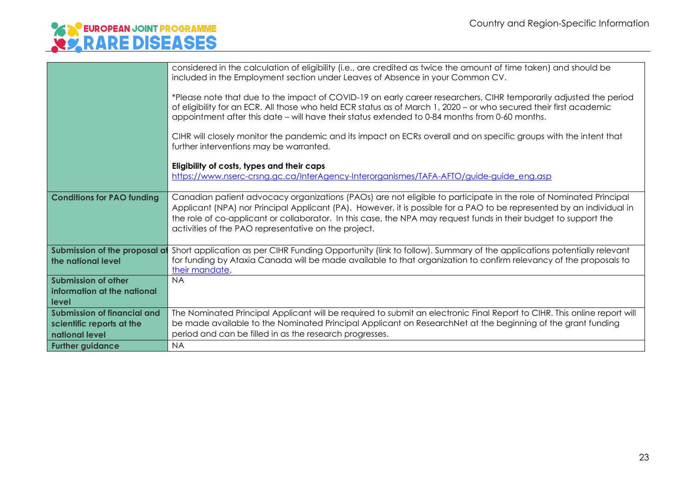

|                                                                 | considered in the calculation of eligibility (i.e., are credited as twice the amount of time taken) and should be<br>included in the Employment section under Leaves of Absence in your Common CV.                                                                                                                                                                                                                     |
|-----------------------------------------------------------------|------------------------------------------------------------------------------------------------------------------------------------------------------------------------------------------------------------------------------------------------------------------------------------------------------------------------------------------------------------------------------------------------------------------------|
|                                                                 | *Please note that due to the impact of COVID-19 on early career researchers, CIHR temporarily adjusted the period<br>of eligibility for an ECR. All those who held ECR status as of March 1, 2020 - or who secured their first academic<br>appointment after this date – will have their status extended to 0-84 months from 0-60 months.                                                                              |
|                                                                 | CIHR will closely monitor the pandemic and its impact on ECRs overall and on specific groups with the intent that<br>further interventions may be warranted.                                                                                                                                                                                                                                                           |
|                                                                 | Eligibility of costs, types and their caps                                                                                                                                                                                                                                                                                                                                                                             |
|                                                                 | https://www.nserc-crsng.gc.ca/InterAgency-Interorganismes/TAFA-AFTO/guide-guide eng.asp                                                                                                                                                                                                                                                                                                                                |
| <b>Conditions for PAO funding</b>                               | Canadian patient advocacy organizations (PAOs) are not eligible to participate in the role of Nominated Principal<br>Applicant (NPA) nor Principal Applicant (PA). However, it is possible for a PAO to be represented by an individual in<br>the role of co-applicant or collaborator. In this case, the NPA may request funds in their budget to support the<br>activities of the PAO representative on the project. |
| Submission of the proposal at<br>the national level             | Short application as per CIHR Funding Opportunity (link to follow). Summary of the applications potentially relevant<br>for funding by Ataxia Canada will be made available to that organization to confirm relevancy of the proposals to<br>their mandate.                                                                                                                                                            |
| Submission of other                                             | <b>NA</b>                                                                                                                                                                                                                                                                                                                                                                                                              |
| information at the national                                     |                                                                                                                                                                                                                                                                                                                                                                                                                        |
| level                                                           |                                                                                                                                                                                                                                                                                                                                                                                                                        |
| <b>Submission of financial and</b><br>scientific reports at the | The Nominated Principal Applicant will be required to submit an electronic Final Report to CIHR. This online report will<br>be made available to the Nominated Principal Applicant on ResearchNet at the beginning of the grant funding                                                                                                                                                                                |
| national level                                                  | period and can be filled in as the research progresses.                                                                                                                                                                                                                                                                                                                                                                |
| <b>Further guidance</b>                                         | <b>NA</b>                                                                                                                                                                                                                                                                                                                                                                                                              |
|                                                                 |                                                                                                                                                                                                                                                                                                                                                                                                                        |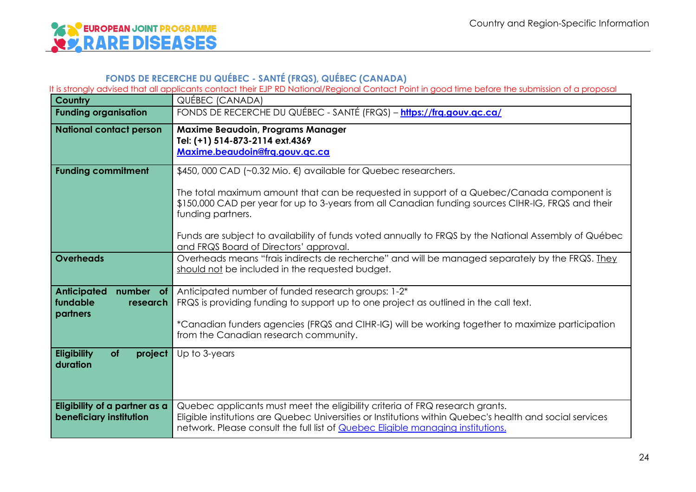

#### **FONDS DE RECERCHE DU QUÉBEC - SANTÉ (FRQS), QUÉBEC (CANADA)**

<span id="page-23-0"></span>

| <b>Country</b>                                                      | QUÉBEC (CANADA)                                                                                                                                                                                                                                                                                                                                                                                |
|---------------------------------------------------------------------|------------------------------------------------------------------------------------------------------------------------------------------------------------------------------------------------------------------------------------------------------------------------------------------------------------------------------------------------------------------------------------------------|
| <b>Funding organisation</b>                                         | FONDS DE RECERCHE DU QUÉBEC - SANTÉ (FRQS) – https://frq.gouv.gc.ca/                                                                                                                                                                                                                                                                                                                           |
| <b>National contact person</b>                                      | <b>Maxime Beaudoin, Programs Manager</b><br>Tel: (+1) 514-873-2114 ext.4369<br>Maxime.beaudoin@frq.gouv.gc.ca                                                                                                                                                                                                                                                                                  |
| <b>Funding commitment</b>                                           | \$450,000 CAD (~0.32 Mio. €) available for Quebec researchers.<br>The total maximum amount that can be requested in support of a Quebec/Canada component is<br>\$150,000 CAD per year for up to 3-years from all Canadian funding sources CIHR-IG, FRQS and their<br>funding partners.<br>Funds are subject to availability of funds voted annually to FRQS by the National Assembly of Québec |
| <b>Overheads</b>                                                    | and FRQS Board of Directors' approval.<br>Overheads means "frais indirects de recherche" and will be managed separately by the FRQS. They                                                                                                                                                                                                                                                      |
|                                                                     | should not be included in the requested budget.                                                                                                                                                                                                                                                                                                                                                |
| <b>Anticipated</b><br>number of<br>fundable<br>research<br>partners | Anticipated number of funded research groups: 1-2*<br>FRQS is providing funding to support up to one project as outlined in the call text.<br>*Canadian funders agencies (FRQS and CIHR-IG) will be working together to maximize participation<br>from the Canadian research community.                                                                                                        |
| of<br>Eligibility<br>project<br>duration                            | Up to 3-years                                                                                                                                                                                                                                                                                                                                                                                  |
| Eligibility of a partner as a<br>beneficiary institution            | Quebec applicants must meet the eligibility criteria of FRQ research grants.<br>Eligible institutions are Quebec Universities or Institutions within Quebec's health and social services<br>network. Please consult the full list of <b>Quebec Eligible managing institutions.</b>                                                                                                             |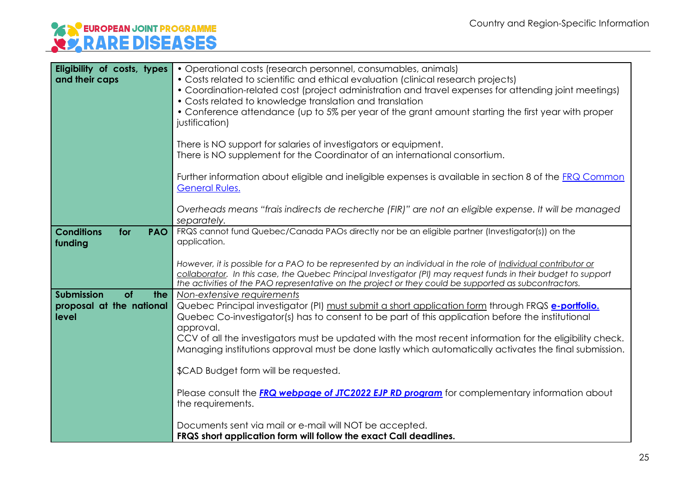# **EUROPEAN JOINT PROGRAMME**

| Eligibility of costs, types<br>and their caps                | • Operational costs (research personnel, consumables, animals)<br>• Costs related to scientific and ethical evaluation (clinical research projects)<br>• Coordination-related cost (project administration and travel expenses for attending joint meetings)<br>• Costs related to knowledge translation and translation<br>• Conference attendance (up to 5% per year of the grant amount starting the first year with proper<br>justification)                                                                                                                                                                                                                                                      |
|--------------------------------------------------------------|-------------------------------------------------------------------------------------------------------------------------------------------------------------------------------------------------------------------------------------------------------------------------------------------------------------------------------------------------------------------------------------------------------------------------------------------------------------------------------------------------------------------------------------------------------------------------------------------------------------------------------------------------------------------------------------------------------|
|                                                              | There is NO support for salaries of investigators or equipment.<br>There is NO supplement for the Coordinator of an international consortium.                                                                                                                                                                                                                                                                                                                                                                                                                                                                                                                                                         |
|                                                              | Further information about eligible and ineligible expenses is available in section 8 of the FRQ Common<br><b>General Rules.</b>                                                                                                                                                                                                                                                                                                                                                                                                                                                                                                                                                                       |
|                                                              | Overheads means "frais indirects de recherche (FIR)" are not an eligible expense. It will be managed<br>separately.                                                                                                                                                                                                                                                                                                                                                                                                                                                                                                                                                                                   |
| <b>Conditions</b><br><b>PAO</b><br>for<br>funding            | FRQS cannot fund Quebec/Canada PAOs directly nor be an eligible partner (Investigator(s)) on the<br>application.<br>However, it is possible for a PAO to be represented by an individual in the role of Individual contributor or<br>collaborator. In this case, the Quebec Principal Investigator (PI) may request funds in their budget to support<br>the activities of the PAO representative on the project or they could be supported as subcontractors.                                                                                                                                                                                                                                         |
| Submission<br>of<br>the<br>proposal at the national<br>level | Non-extensive requirements<br>Quebec Principal investigator (PI) must submit a short application form through FRQS e-portfolio.<br>Quebec Co-investigator(s) has to consent to be part of this application before the institutional<br>approval.<br>CCV of all the investigators must be updated with the most recent information for the eligibility check.<br>Managing institutions approval must be done lastly which automatically activates the final submission.<br>\$CAD Budget form will be requested.<br>Please consult the <b>FRQ webpage of JTC2022 EJP RD program</b> for complementary information about<br>the requirements.<br>Documents sent via mail or e-mail will NOT be accepted. |
|                                                              | FRQS short application form will follow the exact Call deadlines.                                                                                                                                                                                                                                                                                                                                                                                                                                                                                                                                                                                                                                     |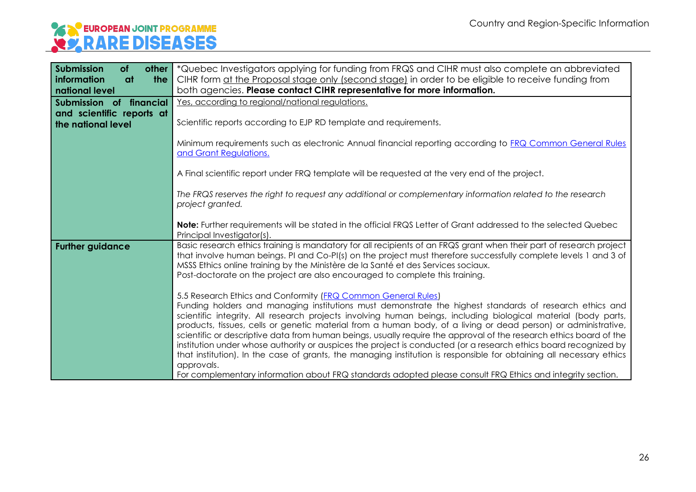

| <b>Submission</b><br><b>of</b><br>other | $\,$ *Quebec Investigators applying for funding from FRQS and CIHR must also complete an abbreviated                                                                                                                                     |
|-----------------------------------------|------------------------------------------------------------------------------------------------------------------------------------------------------------------------------------------------------------------------------------------|
| information<br><b>the</b><br><b>at</b>  | CIHR form at the Proposal stage only (second stage) in order to be eligible to receive funding from                                                                                                                                      |
| national level                          | both agencies. Please contact CIHR representative for more information.                                                                                                                                                                  |
| Submission of financial                 | Yes, according to regional/national regulations.                                                                                                                                                                                         |
| and scientific reports at               |                                                                                                                                                                                                                                          |
| <b>the national level</b>               | Scientific reports according to EJP RD template and requirements.                                                                                                                                                                        |
|                                         |                                                                                                                                                                                                                                          |
|                                         | Minimum requirements such as electronic Annual financial reporting according to FRQ Common General Rules                                                                                                                                 |
|                                         | and Grant Regulations.                                                                                                                                                                                                                   |
|                                         | A Final scientific report under FRQ template will be requested at the very end of the project.                                                                                                                                           |
|                                         |                                                                                                                                                                                                                                          |
|                                         | The FRQS reserves the right to request any additional or complementary information related to the research                                                                                                                               |
|                                         | project granted.                                                                                                                                                                                                                         |
|                                         |                                                                                                                                                                                                                                          |
|                                         | Note: Further requirements will be stated in the official FRQS Letter of Grant addressed to the selected Quebec                                                                                                                          |
|                                         | Principal Investigator(s).                                                                                                                                                                                                               |
| <b>Further guidance</b>                 | Basic research ethics training is mandatory for all recipients of an FRQS grant when their part of research project<br>that involve human beings. PI and Co-PI(s) on the project must therefore successfully complete levels 1 and 3 of  |
|                                         | MSSS Ethics online training by the Ministère de la Santé et des Services sociaux.                                                                                                                                                        |
|                                         | Post-doctorate on the project are also encouraged to complete this training.                                                                                                                                                             |
|                                         |                                                                                                                                                                                                                                          |
|                                         | 5.5 Research Ethics and Conformity (FRQ Common General Rules)                                                                                                                                                                            |
|                                         | Funding holders and managing institutions must demonstrate the highest standards of research ethics and                                                                                                                                  |
|                                         | scientific integrity. All research projects involving human beings, including biological material (body parts,                                                                                                                           |
|                                         | products, tissues, cells or genetic material from a human body, of a living or dead person) or administrative,                                                                                                                           |
|                                         | scientific or descriptive data from human beings, usually require the approval of the research ethics board of the                                                                                                                       |
|                                         | institution under whose authority or auspices the project is conducted (or a research ethics board recognized by<br>that institution). In the case of grants, the managing institution is responsible for obtaining all necessary ethics |
|                                         | approvals.                                                                                                                                                                                                                               |
|                                         | For complementary information about FRQ standards adopted please consult FRQ Ethics and integrity section.                                                                                                                               |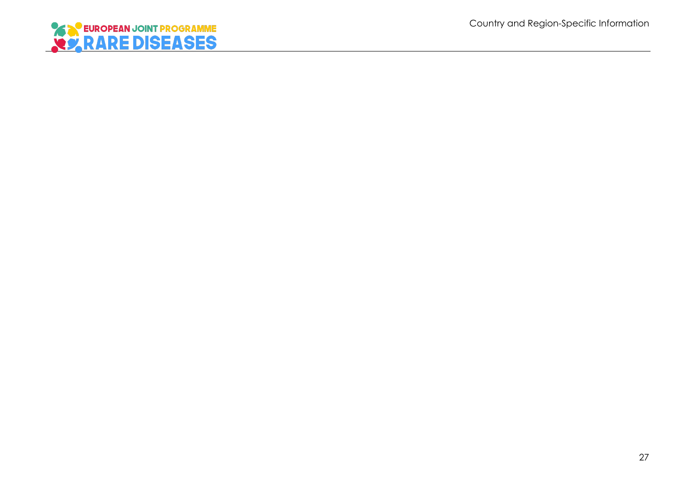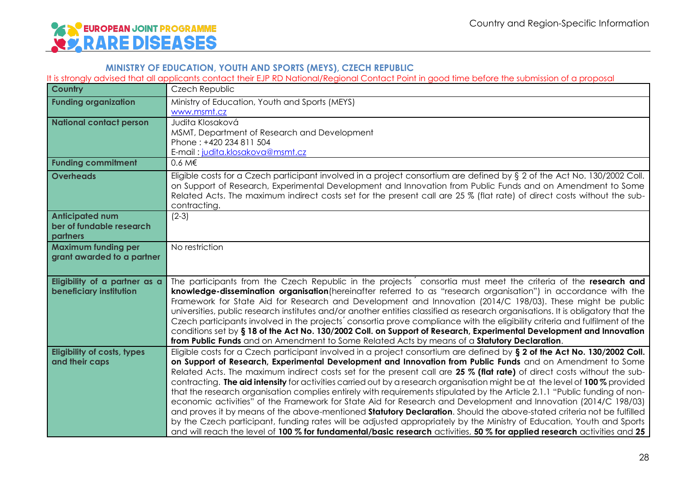

#### **MINISTRY OF EDUCATION, YOUTH AND SPORTS (MEYS), CZECH REPUBLIC**

<span id="page-27-0"></span>

| Country                                                        | Czech Republic                                                                                                                                                                                                                                                                                                                                                                                                                                                                                                                                                                                                                                                                                                                                                                                                                                                                                                                                                                                                                                                                                                                   |
|----------------------------------------------------------------|----------------------------------------------------------------------------------------------------------------------------------------------------------------------------------------------------------------------------------------------------------------------------------------------------------------------------------------------------------------------------------------------------------------------------------------------------------------------------------------------------------------------------------------------------------------------------------------------------------------------------------------------------------------------------------------------------------------------------------------------------------------------------------------------------------------------------------------------------------------------------------------------------------------------------------------------------------------------------------------------------------------------------------------------------------------------------------------------------------------------------------|
| <b>Funding organization</b>                                    | Ministry of Education, Youth and Sports (MEYS)                                                                                                                                                                                                                                                                                                                                                                                                                                                                                                                                                                                                                                                                                                                                                                                                                                                                                                                                                                                                                                                                                   |
| <b>National contact person</b>                                 | www.msmt.cz<br>Judita Klosaková<br>MSMT, Department of Research and Development<br>Phone: +420 234 811 504<br>E-mail: judita.klosakova@msmt.cz                                                                                                                                                                                                                                                                                                                                                                                                                                                                                                                                                                                                                                                                                                                                                                                                                                                                                                                                                                                   |
| <b>Funding commitment</b>                                      | $0.6 M \in$                                                                                                                                                                                                                                                                                                                                                                                                                                                                                                                                                                                                                                                                                                                                                                                                                                                                                                                                                                                                                                                                                                                      |
| <b>Overheads</b>                                               | Eligible costs for a Czech participant involved in a project consortium are defined by § 2 of the Act No. 130/2002 Coll.<br>on Support of Research, Experimental Development and Innovation from Public Funds and on Amendment to Some<br>Related Acts. The maximum indirect costs set for the present call are 25 % (flat rate) of direct costs without the sub-<br>contracting.                                                                                                                                                                                                                                                                                                                                                                                                                                                                                                                                                                                                                                                                                                                                                |
| <b>Anticipated num</b><br>ber of fundable research<br>partners | $(2-3)$                                                                                                                                                                                                                                                                                                                                                                                                                                                                                                                                                                                                                                                                                                                                                                                                                                                                                                                                                                                                                                                                                                                          |
| <b>Maximum funding per</b><br>grant awarded to a partner       | No restriction                                                                                                                                                                                                                                                                                                                                                                                                                                                                                                                                                                                                                                                                                                                                                                                                                                                                                                                                                                                                                                                                                                                   |
| Eligibility of a partner as a<br>beneficiary institution       | The participants from the Czech Republic in the projects consortia must meet the criteria of the research and<br>knowledge-dissemination organisation (hereinafter referred to as "research organisation") in accordance with the<br>Framework for State Aid for Research and Development and Innovation (2014/C 198/03). These might be public<br>universities, public research institutes and/or another entities classified as research organisations. It is obligatory that the<br>Czech participants involved in the projects' consortia prove compliance with the eligibility criteria and fulfilment of the<br>conditions set by § 18 of the Act No. 130/2002 Coll. on Support of Research, Experimental Development and Innovation<br>from Public Funds and on Amendment to Some Related Acts by means of a Statutory Declaration.                                                                                                                                                                                                                                                                                       |
| <b>Eligibility of costs, types</b><br>and their caps           | Eligible costs for a Czech participant involved in a project consortium are defined by § 2 of the Act No. 130/2002 Coll.<br>on Support of Research, Experimental Development and Innovation from Public Funds and on Amendment to Some<br>Related Acts. The maximum indirect costs set for the present call are 25 % (flat rate) of direct costs without the sub-<br>contracting. The aid intensity for activities carried out by a research organisation might be at the level of 100% provided<br>that the research organisation complies entirely with requirements stipulated by the Article 2.1.1 "Public funding of non-<br>economic activities" of the Framework for State Aid for Research and Development and Innovation (2014/C 198/03)<br>and proves it by means of the above-mentioned Statutory Declaration. Should the above-stated criteria not be fulfilled<br>by the Czech participant, funding rates will be adjusted appropriately by the Ministry of Education, Youth and Sports<br>and will reach the level of 100 % for fundamental/basic research activities, 50 % for applied research activities and 25 |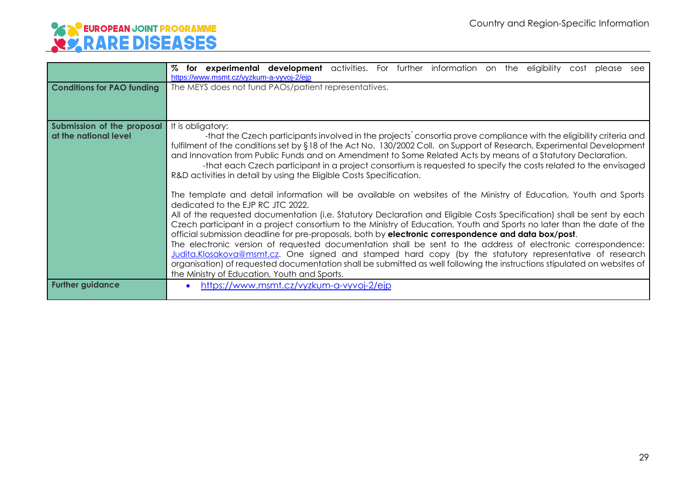

|                                   | for experimental development activities. For further information on<br>%<br>the eligibility<br>please<br>cost<br>see     |
|-----------------------------------|--------------------------------------------------------------------------------------------------------------------------|
|                                   | https://www.msmt.cz/vyzkum-a-vyvoj-2/ejp                                                                                 |
| <b>Conditions for PAO funding</b> | The MEYS does not fund PAOs/patient representatives.                                                                     |
|                                   |                                                                                                                          |
|                                   |                                                                                                                          |
|                                   |                                                                                                                          |
| Submission of the proposal        | It is obligatory:                                                                                                        |
| at the national level             | -that the Czech participants involved in the projects' consortia prove compliance with the eligibility criteria and      |
|                                   | fulfilment of the conditions set by §18 of the Act No. 130/2002 Coll. on Support of Research, Experimental Development   |
|                                   | and Innovation from Public Funds and on Amendment to Some Related Acts by means of a Statutory Declaration.              |
|                                   | -that each Czech participant in a project consortium is requested to specify the costs related to the envisaged          |
|                                   | R&D activities in detail by using the Eligible Costs Specification.                                                      |
|                                   |                                                                                                                          |
|                                   | The template and detail information will be available on websites of the Ministry of Education, Youth and Sports         |
|                                   | dedicated to the EJP RC JTC 2022.                                                                                        |
|                                   | All of the requested documentation (i.e. Statutory Declaration and Eligible Costs Specification) shall be sent by each   |
|                                   | Czech participant in a project consortium to the Ministry of Education, Youth and Sports no later than the date of the   |
|                                   | official submission deadline for pre-proposals, both by electronic correspondence and data box/post.                     |
|                                   | The electronic version of requested documentation shall be sent to the address of electronic correspondence:             |
|                                   | Judita.Klosakova@msmt.cz. One signed and stamped hard copy (by the statutory representative of research                  |
|                                   | organisation) of requested documentation shall be submitted as well following the instructions stipulated on websites of |
|                                   | the Ministry of Education, Youth and Sports.                                                                             |
|                                   |                                                                                                                          |
| <b>Further guidance</b>           | https://www.msmt.cz/vyzkum-a-vyvoj-2/ejp<br>$\bullet$                                                                    |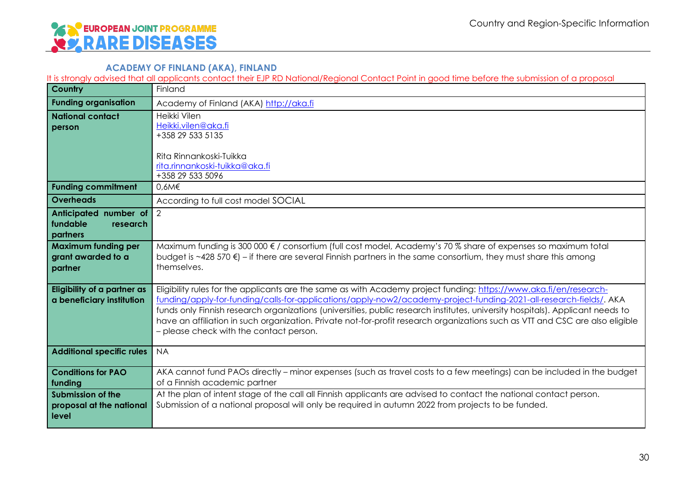

#### **ACADEMY OF FINLAND (AKA), FINLAND**

<span id="page-29-0"></span>

| Country                                                     | Finland                                                                                                                                                                                                                                                                                                                                                                                                                                                                                                                                                |
|-------------------------------------------------------------|--------------------------------------------------------------------------------------------------------------------------------------------------------------------------------------------------------------------------------------------------------------------------------------------------------------------------------------------------------------------------------------------------------------------------------------------------------------------------------------------------------------------------------------------------------|
| <b>Funding organisation</b>                                 | Academy of Finland (AKA) http://aka.fi                                                                                                                                                                                                                                                                                                                                                                                                                                                                                                                 |
| <b>National contact</b><br>person                           | Heikki Vilen<br>Heikki.vilen@aka.fi<br>+358 29 533 5135                                                                                                                                                                                                                                                                                                                                                                                                                                                                                                |
|                                                             | Rita Rinnankoski-Tuikka<br>rita.rinnankoski-tuikka@aka.fi<br>+358 29 533 5096                                                                                                                                                                                                                                                                                                                                                                                                                                                                          |
| <b>Funding commitment</b>                                   | $0,6M\notin$                                                                                                                                                                                                                                                                                                                                                                                                                                                                                                                                           |
| <b>Overheads</b>                                            | According to full cost model SOCIAL                                                                                                                                                                                                                                                                                                                                                                                                                                                                                                                    |
| Anticipated number of<br>fundable<br>research<br>partners   | 2                                                                                                                                                                                                                                                                                                                                                                                                                                                                                                                                                      |
| <b>Maximum funding per</b><br>grant awarded to a<br>partner | Maximum funding is 300 000 € / consortium (full cost model, Academy's 70 % share of expenses so maximum total<br>budget is ~428 570 $\xi$ ) – if there are several Finnish partners in the same consortium, they must share this among<br>themselves.                                                                                                                                                                                                                                                                                                  |
| Eligibility of a partner as<br>a beneficiary institution    | Eligibility rules for the applicants are the same as with Academy project funding: https://www.aka.fi/en/research-<br>funding/apply-for-funding/calls-for-applications/apply-now2/academy-project-funding-2021-all-research-fields/. AKA<br>funds only Finnish research organizations (universities, public research institutes, university hospitals). Applicant needs to<br>have an affiliation in such organization. Private not-for-profit research organizations such as VTT and CSC are also eligible<br>- please check with the contact person. |
| <b>Additional specific rules</b>                            | <b>NA</b>                                                                                                                                                                                                                                                                                                                                                                                                                                                                                                                                              |
| <b>Conditions for PAO</b><br>funding                        | AKA cannot fund PAOs directly – minor expenses (such as travel costs to a few meetings) can be included in the budget<br>of a Finnish academic partner                                                                                                                                                                                                                                                                                                                                                                                                 |
| Submission of the<br>proposal at the national<br>level      | At the plan of intent stage of the call all Finnish applicants are advised to contact the national contact person.<br>Submission of a national proposal will only be required in autumn 2022 from projects to be funded.                                                                                                                                                                                                                                                                                                                               |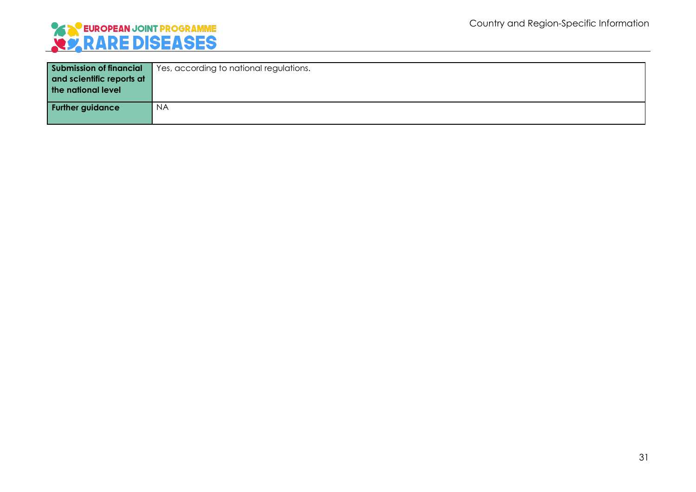

| Submission of financial   | Yes, according to national regulations. |
|---------------------------|-----------------------------------------|
| and scientific reports at |                                         |
| the national level        |                                         |
| <b>Further guidance</b>   | <b>NA</b>                               |
|                           |                                         |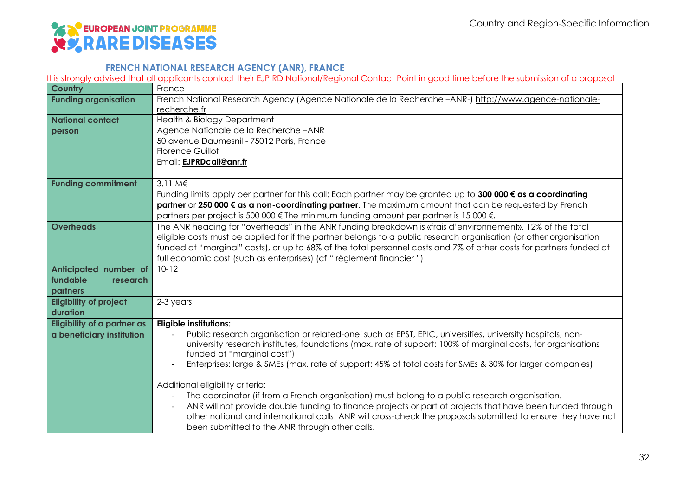

#### **FRENCH NATIONAL RESEARCH AGENCY (ANR), FRANCE**

<span id="page-31-0"></span>

| <b>Country</b>                     | France                                                                                                                                                                                                                                |
|------------------------------------|---------------------------------------------------------------------------------------------------------------------------------------------------------------------------------------------------------------------------------------|
| <b>Funding organisation</b>        | French National Research Agency (Agence Nationale de la Recherche -ANR-) http://www.agence-nationale-<br>recherche.fr                                                                                                                 |
| <b>National contact</b>            | Health & Biology Department                                                                                                                                                                                                           |
| person                             | Agence Nationale de la Recherche-ANR                                                                                                                                                                                                  |
|                                    | 50 avenue Daumesnil - 75012 Paris, France                                                                                                                                                                                             |
|                                    | <b>Florence Guillot</b>                                                                                                                                                                                                               |
|                                    | Email: EJPRDcall@anr.fr                                                                                                                                                                                                               |
| <b>Funding commitment</b>          | 3.11 $M \in$                                                                                                                                                                                                                          |
|                                    | Funding limits apply per partner for this call: Each partner may be granted up to 300 000 $\epsilon$ as a coordinating                                                                                                                |
|                                    | partner or 250 000 € as a non-coordinating partner. The maximum amount that can be requested by French                                                                                                                                |
|                                    | partners per project is 500 000 € The minimum funding amount per partner is 15 000 €.                                                                                                                                                 |
| <b>Overheads</b>                   | The ANR heading for "overheads" in the ANR funding breakdown is «frais d'environnement». 12% of the total                                                                                                                             |
|                                    | eligible costs must be applied for if the partner belongs to a public research organisation (or other organisation                                                                                                                    |
|                                    | funded at "marginal" costs), or up to 68% of the total personnel costs and 7% of other costs for partners funded at                                                                                                                   |
|                                    | full economic cost (such as enterprises) (cf "règlement financier")                                                                                                                                                                   |
| Anticipated number of              | $10 - 12$                                                                                                                                                                                                                             |
| fundable<br>research               |                                                                                                                                                                                                                                       |
| partners                           |                                                                                                                                                                                                                                       |
| <b>Eligibility of project</b>      | 2-3 years                                                                                                                                                                                                                             |
| duration                           |                                                                                                                                                                                                                                       |
| <b>Eligibility of a partner as</b> | <b>Eligible institutions:</b>                                                                                                                                                                                                         |
| a beneficiary institution          | Public research organisation or related-one <sup>[</sup> such as EPST, EPIC, universities, university hospitals, non-<br>university research institutes, foundations (max. rate of support: 100% of marginal costs, for organisations |
|                                    | funded at "marginal cost")                                                                                                                                                                                                            |
|                                    | Enterprises: large & SMEs (max. rate of support: 45% of total costs for SMEs & 30% for larger companies)                                                                                                                              |
|                                    |                                                                                                                                                                                                                                       |
|                                    | Additional eligibility criteria:                                                                                                                                                                                                      |
|                                    | The coordinator (if from a French organisation) must belong to a public research organisation.                                                                                                                                        |
|                                    | ANR will not provide double funding to finance projects or part of projects that have been funded through                                                                                                                             |
|                                    | other national and international calls. ANR will cross-check the proposals submitted to ensure they have not                                                                                                                          |
|                                    | been submitted to the ANR through other calls.                                                                                                                                                                                        |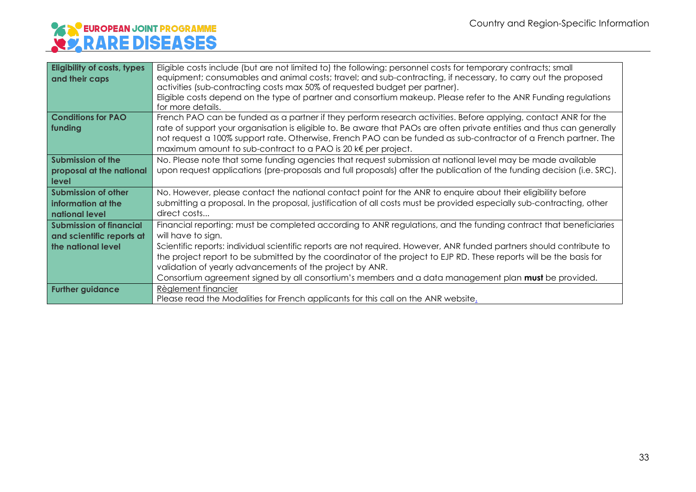

| <b>Eligibility of costs, types</b> | Eligible costs include (but are not limited to) the following: personnel costs for temporary contracts; small          |
|------------------------------------|------------------------------------------------------------------------------------------------------------------------|
| and their caps                     | equipment; consumables and animal costs; travel; and sub-contracting, if necessary, to carry out the proposed          |
|                                    | activities (sub-contracting costs max 50% of requested budget per partner).                                            |
|                                    | Eligible costs depend on the type of partner and consortium makeup. Please refer to the ANR Funding regulations        |
|                                    | for more details.                                                                                                      |
| <b>Conditions for PAO</b>          | French PAO can be funded as a partner if they perform research activities. Before applying, contact ANR for the        |
| funding                            | rate of support your organisation is eligible to. Be aware that PAOs are often private entities and thus can generally |
|                                    | not request a 100% support rate. Otherwise, French PAO can be funded as sub-contractor of a French partner. The        |
|                                    | maximum amount to sub-contract to a PAO is 20 k€ per project.                                                          |
| Submission of the                  | No. Please note that some funding agencies that request submission at national level may be made available             |
| proposal at the national           | upon request applications (pre-proposals and full proposals) after the publication of the funding decision (i.e. SRC). |
| level                              |                                                                                                                        |
| Submission of other                | No. However, please contact the national contact point for the ANR to enquire about their eligibility before           |
| information at the                 | submitting a proposal. In the proposal, justification of all costs must be provided especially sub-contracting, other  |
| national level                     | direct costs                                                                                                           |
| <b>Submission of financial</b>     | Financial reporting: must be completed according to ANR regulations, and the funding contract that beneficiaries       |
| and scientific reports at          | will have to sign.                                                                                                     |
| the national level                 | Scientific reports: individual scientific reports are not required. However, ANR funded partners should contribute to  |
|                                    | the project report to be submitted by the coordinator of the project to EJP RD. These reports will be the basis for    |
|                                    | validation of yearly advancements of the project by ANR.                                                               |
|                                    | Consortium agreement signed by all consortium's members and a data management plan <b>must</b> be provided.            |
| <b>Further guidance</b>            | Règlement financier                                                                                                    |
|                                    | Please read the Modalities for French applicants for this call on the ANR website.                                     |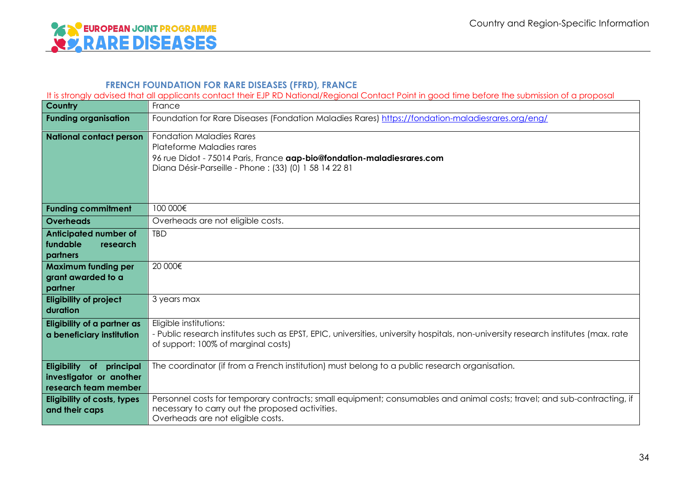

#### **FRENCH FOUNDATION FOR RARE DISEASES (FFRD), FRANCE**

<span id="page-33-0"></span>

| Country                                                                     | France                                                                                                                                                                                                          |
|-----------------------------------------------------------------------------|-----------------------------------------------------------------------------------------------------------------------------------------------------------------------------------------------------------------|
| <b>Funding organisation</b>                                                 | Foundation for Rare Diseases (Fondation Maladies Rares) https://fondation-maladiesrares.org/eng/                                                                                                                |
| <b>National contact person</b>                                              | <b>Fondation Maladies Rares</b><br>Plateforme Maladies rares<br>96 rue Didot - 75014 Paris, France aap-bio@fondation-maladiesrares.com<br>Diana Désir-Parseille - Phone : (33) (0) 1 58 14 22 81                |
| <b>Funding commitment</b>                                                   | 100 000€                                                                                                                                                                                                        |
| <b>Overheads</b>                                                            | Overheads are not eligible costs.                                                                                                                                                                               |
| <b>Anticipated number of</b><br>fundable<br>research<br>partners            | <b>TBD</b>                                                                                                                                                                                                      |
| <b>Maximum funding per</b><br>grant awarded to a<br>partner                 | 20 000€                                                                                                                                                                                                         |
| <b>Eligibility of project</b><br>duration                                   | 3 years max                                                                                                                                                                                                     |
| Eligibility of a partner as<br>a beneficiary institution                    | Eligible institutions:<br>- Public research institutes such as EPST, EPIC, universities, university hospitals, non-university research institutes (max. rate<br>of support: 100% of marginal costs)             |
| Eligibility of principal<br>investigator or another<br>research team member | The coordinator (if from a French institution) must belong to a public research organisation.                                                                                                                   |
| <b>Eligibility of costs, types</b><br>and their caps                        | Personnel costs for temporary contracts; small equipment; consumables and animal costs; travel; and sub-contracting, if<br>necessary to carry out the proposed activities.<br>Overheads are not eligible costs. |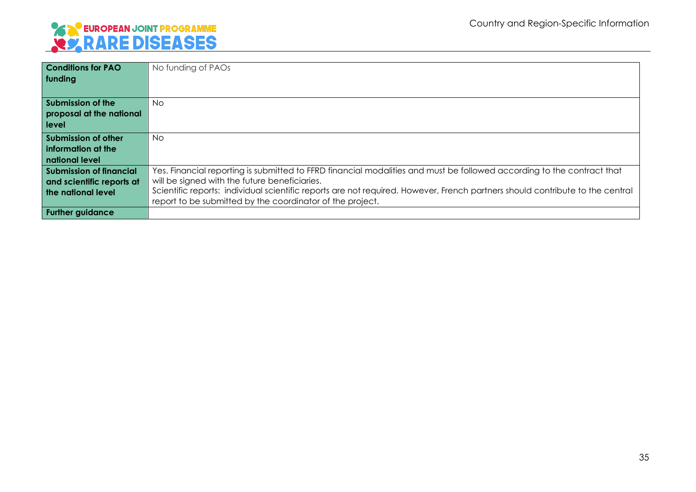

| <b>Conditions for PAO</b> | No funding of PAOs                                                                                                            |
|---------------------------|-------------------------------------------------------------------------------------------------------------------------------|
| funding                   |                                                                                                                               |
|                           |                                                                                                                               |
| Submission of the         | <b>No</b>                                                                                                                     |
| proposal at the national  |                                                                                                                               |
| level                     |                                                                                                                               |
| Submission of other       | <b>No</b>                                                                                                                     |
| <b>information at the</b> |                                                                                                                               |
| national level            |                                                                                                                               |
| Submission of financial   | Yes. Financial reporting is submitted to FFRD financial modalities and must be followed according to the contract that        |
| and scientific reports at | will be signed with the future beneficiaries.                                                                                 |
| the national level        | Scientific reports: individual scientific reports are not required. However, French partners should contribute to the central |
|                           | report to be submitted by the coordinator of the project.                                                                     |
| <b>Further guidance</b>   |                                                                                                                               |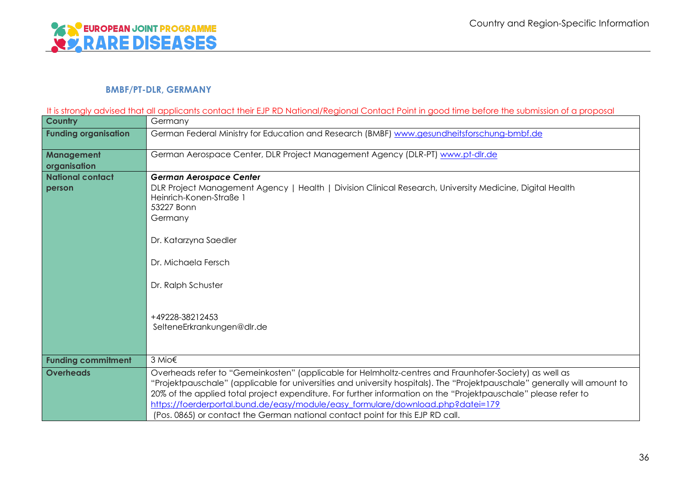

#### **BMBF/PT-DLR, GERMANY**

<span id="page-35-0"></span>

| Country                     | Germany                                                                                                                                                                                                                                                                                                                                                                                                                                                                                                                      |
|-----------------------------|------------------------------------------------------------------------------------------------------------------------------------------------------------------------------------------------------------------------------------------------------------------------------------------------------------------------------------------------------------------------------------------------------------------------------------------------------------------------------------------------------------------------------|
| <b>Funding organisation</b> | German Federal Ministry for Education and Research (BMBF) www.gesundheitsforschung-bmbf.de                                                                                                                                                                                                                                                                                                                                                                                                                                   |
| Management<br>organisation  | German Aerospace Center, DLR Project Management Agency (DLR-PT) www.pt-dlr.de                                                                                                                                                                                                                                                                                                                                                                                                                                                |
| <b>National contact</b>     | <b>German Aerospace Center</b>                                                                                                                                                                                                                                                                                                                                                                                                                                                                                               |
| person                      | DLR Project Management Agency   Health   Division Clinical Research, University Medicine, Digital Health<br>Heinrich-Konen-Straße 1<br>53227 Bonn<br>Germany                                                                                                                                                                                                                                                                                                                                                                 |
|                             | Dr. Katarzyna Saedler                                                                                                                                                                                                                                                                                                                                                                                                                                                                                                        |
|                             | Dr. Michaela Fersch                                                                                                                                                                                                                                                                                                                                                                                                                                                                                                          |
|                             | Dr. Ralph Schuster                                                                                                                                                                                                                                                                                                                                                                                                                                                                                                           |
|                             | +49228-38212453<br>SelteneErkrankungen@dlr.de                                                                                                                                                                                                                                                                                                                                                                                                                                                                                |
| <b>Funding commitment</b>   | 3 Mio€                                                                                                                                                                                                                                                                                                                                                                                                                                                                                                                       |
| <b>Overheads</b>            | Overheads refer to "Gemeinkosten" (applicable for Helmholtz-centres and Fraunhofer-Society) as well as<br>"Projektpauschale" (applicable for universities and university hospitals). The "Projektpauschale" generally will amount to<br>20% of the applied total project expenditure. For further information on the "Projektpauschale" please refer to<br>https://foerderportal.bund.de/easy/module/easy_formulare/download.php?datei=179<br>(Pos. 0865) or contact the German national contact point for this EJP RD call. |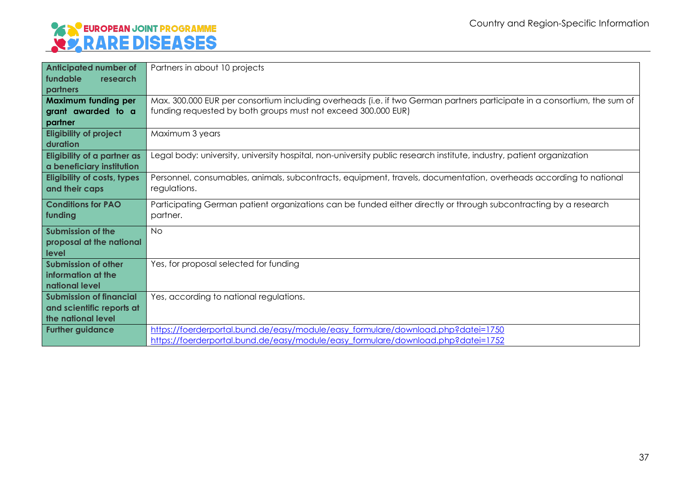

| <b>Anticipated number of</b>       | Partners in about 10 projects                                                                                            |
|------------------------------------|--------------------------------------------------------------------------------------------------------------------------|
| fundable<br>research               |                                                                                                                          |
| partners                           |                                                                                                                          |
| Maximum funding per                | Max. 300.000 EUR per consortium including overheads (i.e. if two German partners participate in a consortium, the sum of |
| grant awarded to a                 | funding requested by both groups must not exceed 300.000 EUR)                                                            |
| partner                            |                                                                                                                          |
| <b>Eligibility of project</b>      | Maximum 3 years                                                                                                          |
| duration                           |                                                                                                                          |
| Eligibility of a partner as        | Legal body: university, university hospital, non-university public research institute, industry, patient organization    |
| a beneficiary institution          |                                                                                                                          |
| <b>Eligibility of costs, types</b> | Personnel, consumables, animals, subcontracts, equipment, travels, documentation, overheads according to national        |
| and their caps                     | regulations.                                                                                                             |
| <b>Conditions for PAO</b>          | Participating German patient organizations can be funded either directly or through subcontracting by a research         |
| funding                            | partner.                                                                                                                 |
|                                    |                                                                                                                          |
| Submission of the                  | <b>No</b>                                                                                                                |
| proposal at the national           |                                                                                                                          |
| level                              |                                                                                                                          |
| <b>Submission of other</b>         | Yes, for proposal selected for funding                                                                                   |
| information at the                 |                                                                                                                          |
| national level                     |                                                                                                                          |
| <b>Submission of financial</b>     | Yes, according to national regulations.                                                                                  |
| and scientific reports at          |                                                                                                                          |
| the national level                 |                                                                                                                          |
| <b>Further guidance</b>            | https://foerderportal.bund.de/easy/module/easy_formulare/download.php?datei=1750                                         |
|                                    | https://foerderportal.bund.de/easy/module/easy formulare/download.php?datei=1752                                         |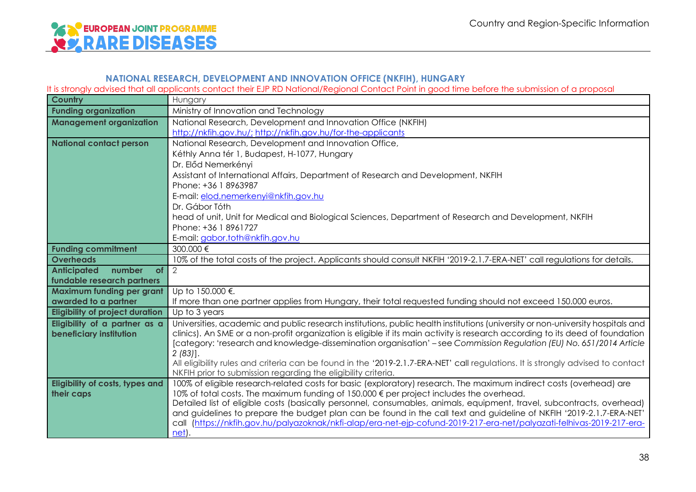

### **NATIONAL RESEARCH, DEVELOPMENT AND INNOVATION OFFICE (NKFIH), HUNGARY**

| <b>Country</b>                                                   | Hungary                                                                                                                                                                                                                                      |
|------------------------------------------------------------------|----------------------------------------------------------------------------------------------------------------------------------------------------------------------------------------------------------------------------------------------|
| <b>Funding organization</b>                                      | Ministry of Innovation and Technology                                                                                                                                                                                                        |
| <b>Management organization</b>                                   | National Research, Development and Innovation Office (NKFIH)                                                                                                                                                                                 |
|                                                                  | http://nkfih.gov.hu/; http://nkfih.gov.hu/for-the-applicants                                                                                                                                                                                 |
| <b>National contact person</b>                                   | National Research, Development and Innovation Office,                                                                                                                                                                                        |
|                                                                  | Kéthly Anna tér 1, Budapest, H-1077, Hungary                                                                                                                                                                                                 |
|                                                                  | Dr. Előd Nemerkényi                                                                                                                                                                                                                          |
|                                                                  | Assistant of International Affairs, Department of Research and Development, NKFIH                                                                                                                                                            |
|                                                                  | Phone: +36 1 8963987                                                                                                                                                                                                                         |
|                                                                  | E-mail: elod.nemerkenyi@nkfih.gov.hu                                                                                                                                                                                                         |
|                                                                  | Dr. Gábor Tóth                                                                                                                                                                                                                               |
|                                                                  | head of unit, Unit for Medical and Biological Sciences, Department of Research and Development, NKFIH                                                                                                                                        |
|                                                                  | Phone: +36 1 8961727                                                                                                                                                                                                                         |
|                                                                  | E-mail: gabor.toth@nkfih.gov.hu                                                                                                                                                                                                              |
| <b>Funding commitment</b>                                        | 300.000 €                                                                                                                                                                                                                                    |
| <b>Overheads</b>                                                 | 10% of the total costs of the project. Applicants should consult NKFIH '2019-2.1.7-ERA-NET' call regulations for details.                                                                                                                    |
| <b>Anticipated</b><br>number<br>of<br>fundable research partners | 2                                                                                                                                                                                                                                            |
| Maximum funding per grant                                        | Up to 150.000 €.                                                                                                                                                                                                                             |
| awarded to a partner                                             | If more than one partner applies from Hungary, their total requested funding should not exceed 150.000 euros.                                                                                                                                |
| <b>Eligibility of project duration</b>                           | Up to 3 years                                                                                                                                                                                                                                |
| Eligibility of a partner as a                                    | Universities, academic and public research institutions, public health institutions (university or non-university hospitals and                                                                                                              |
| beneficiary institution                                          | clinics). An SME or a non-profit organization is eligible if its main activity is research according to its deed of foundation                                                                                                               |
|                                                                  | [category: 'research and knowledge-dissemination organisation' - see Commission Regulation (EU) No. 651/2014 Article                                                                                                                         |
|                                                                  | $2(83)$ ].                                                                                                                                                                                                                                   |
|                                                                  | All eligibility rules and criteria can be found in the '2019-2.1.7-ERA-NET' call regulations. It is strongly advised to contact                                                                                                              |
|                                                                  | NKFIH prior to submission regarding the eligibility criteria.                                                                                                                                                                                |
| Eligibility of costs, types and                                  | 100% of eligible research-related costs for basic (exploratory) research. The maximum indirect costs (overhead) are                                                                                                                          |
| their caps                                                       | 10% of total costs. The maximum funding of 150.000 € per project includes the overhead.                                                                                                                                                      |
|                                                                  | Detailed list of eligible costs (basically personnel, consumables, animals, equipment, travel, subcontracts, overhead)                                                                                                                       |
|                                                                  | and guidelines to prepare the budget plan can be found in the call text and guideline of NKFIH '2019-2.1.7-ERA-NET'<br>call (https://nkfih.gov.hu/palyazoknak/nkfi-alap/era-net-ejp-cofund-2019-217-era-net/palyazati-felhivas-2019-217-era- |
|                                                                  | net).                                                                                                                                                                                                                                        |
|                                                                  |                                                                                                                                                                                                                                              |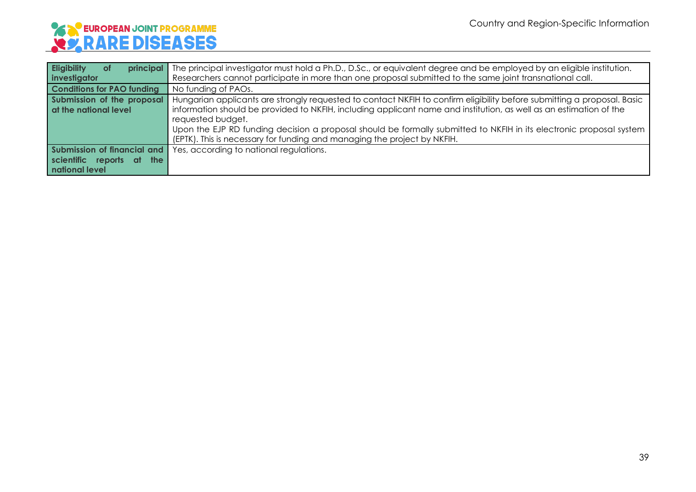

| <b>Eligibility</b><br>principal<br><b>of</b><br>investigator                      | The principal investigator must hold a Ph.D., D.Sc., or equivalent degree and be employed by an eligible institution.<br>Researchers cannot participate in more than one proposal submitted to the same joint transnational call.                                                                                                                                                                                                                                     |
|-----------------------------------------------------------------------------------|-----------------------------------------------------------------------------------------------------------------------------------------------------------------------------------------------------------------------------------------------------------------------------------------------------------------------------------------------------------------------------------------------------------------------------------------------------------------------|
| <b>Conditions for PAO funding</b>                                                 | No funding of PAOs.                                                                                                                                                                                                                                                                                                                                                                                                                                                   |
| Submission of the proposal<br>at the national level                               | Hungarian applicants are strongly requested to contact NKFIH to confirm eligibility before submitting a proposal. Basic<br>information should be provided to NKFIH, including applicant name and institution, as well as an estimation of the<br>requested budget.<br>Upon the EJP RD funding decision a proposal should be formally submitted to NKFIH in its electronic proposal system<br>(EPTK). This is necessary for funding and managing the project by NKFIH. |
| Submission of financial and<br>scientific reports<br>the<br>-at<br>national level | Yes, according to national regulations.                                                                                                                                                                                                                                                                                                                                                                                                                               |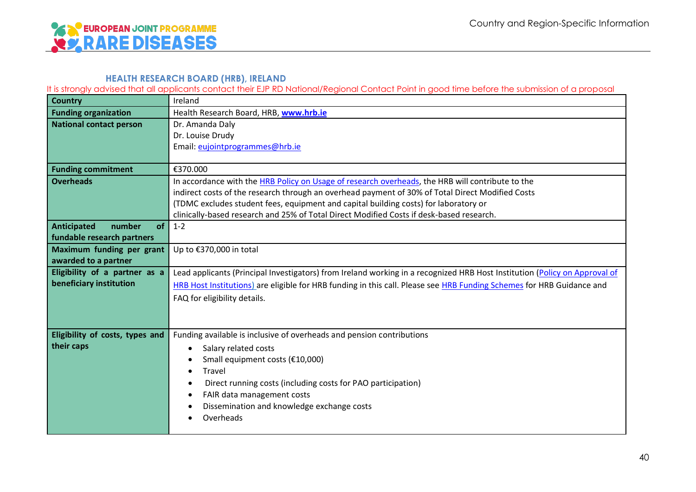

### **HEALTH RESEARCH BOARD (HRB), IRELAND**

| <b>Country</b>                     | Ireland                                                                                                                    |
|------------------------------------|----------------------------------------------------------------------------------------------------------------------------|
| <b>Funding organization</b>        | Health Research Board, HRB, www.hrb.ie                                                                                     |
| <b>National contact person</b>     | Dr. Amanda Daly                                                                                                            |
|                                    | Dr. Louise Drudy                                                                                                           |
|                                    | Email: eujointprogrammes@hrb.ie                                                                                            |
|                                    |                                                                                                                            |
| <b>Funding commitment</b>          | €370.000                                                                                                                   |
| <b>Overheads</b>                   | In accordance with the HRB Policy on Usage of research overheads, the HRB will contribute to the                           |
|                                    | indirect costs of the research through an overhead payment of 30% of Total Direct Modified Costs                           |
|                                    | (TDMC excludes student fees, equipment and capital building costs) for laboratory or                                       |
|                                    | clinically-based research and 25% of Total Direct Modified Costs if desk-based research.                                   |
| <b>Anticipated</b><br>number<br>of | $1-2$                                                                                                                      |
| fundable research partners         |                                                                                                                            |
| Maximum funding per grant          | Up to €370,000 in total                                                                                                    |
| awarded to a partner               |                                                                                                                            |
| Eligibility of a partner as a      | Lead applicants (Principal Investigators) from Ireland working in a recognized HRB Host Institution (Policy on Approval of |
| beneficiary institution            | HRB Host Institutions) are eligible for HRB funding in this call. Please see HRB Funding Schemes for HRB Guidance and      |
|                                    | FAQ for eligibility details.                                                                                               |
|                                    |                                                                                                                            |
|                                    |                                                                                                                            |
| Eligibility of costs, types and    | Funding available is inclusive of overheads and pension contributions                                                      |
| their caps                         | Salary related costs<br>٠                                                                                                  |
|                                    | Small equipment costs (€10,000)                                                                                            |
|                                    | Travel                                                                                                                     |
|                                    | Direct running costs (including costs for PAO participation)                                                               |
|                                    | FAIR data management costs                                                                                                 |
|                                    | Dissemination and knowledge exchange costs                                                                                 |
|                                    | Overheads                                                                                                                  |
|                                    |                                                                                                                            |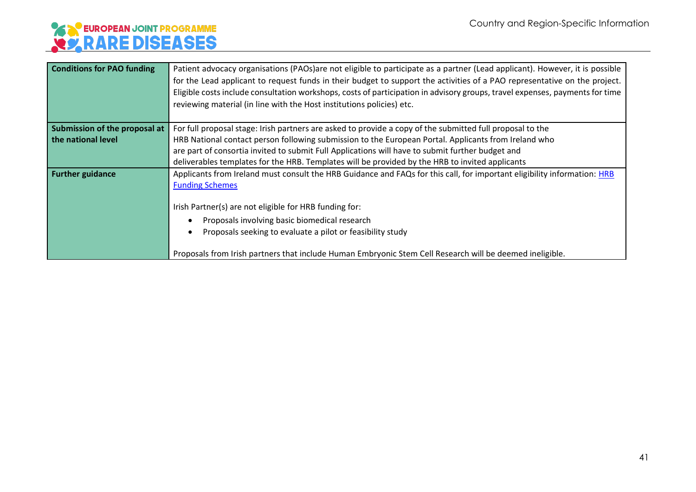

| <b>Conditions for PAO funding</b> | Patient advocacy organisations (PAOs)are not eligible to participate as a partner (Lead applicant). However, it is possible  |
|-----------------------------------|------------------------------------------------------------------------------------------------------------------------------|
|                                   | for the Lead applicant to request funds in their budget to support the activities of a PAO representative on the project.    |
|                                   | Eligible costs include consultation workshops, costs of participation in advisory groups, travel expenses, payments for time |
|                                   | reviewing material (in line with the Host institutions policies) etc.                                                        |
|                                   |                                                                                                                              |
| Submission of the proposal at     | For full proposal stage: Irish partners are asked to provide a copy of the submitted full proposal to the                    |
| the national level                | HRB National contact person following submission to the European Portal. Applicants from Ireland who                         |
|                                   | are part of consortia invited to submit Full Applications will have to submit further budget and                             |
|                                   | deliverables templates for the HRB. Templates will be provided by the HRB to invited applicants                              |
| <b>Further guidance</b>           | Applicants from Ireland must consult the HRB Guidance and FAQs for this call, for important eligibility information: HRB     |
|                                   | <b>Funding Schemes</b>                                                                                                       |
|                                   |                                                                                                                              |
|                                   | Irish Partner(s) are not eligible for HRB funding for:                                                                       |
|                                   | Proposals involving basic biomedical research                                                                                |
|                                   | Proposals seeking to evaluate a pilot or feasibility study                                                                   |
|                                   |                                                                                                                              |
|                                   | Proposals from Irish partners that include Human Embryonic Stem Cell Research will be deemed ineligible.                     |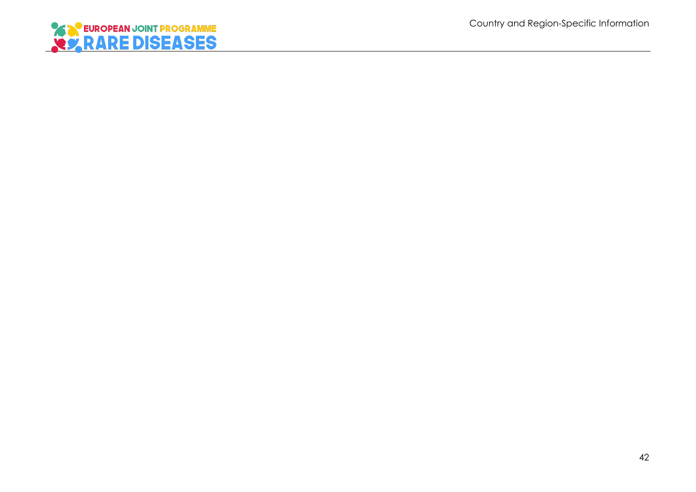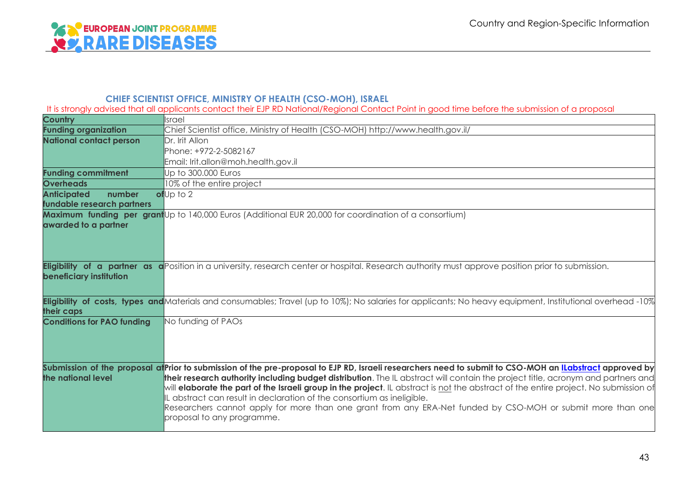

### **CHIEF SCIENTIST OFFICE, MINISTRY OF HEALTH (CSO-MOH), ISRAEL**

| Country                                                    | Israel                                                                                                                                                                                                                                                                                                                                                                                                                                                                                                        |
|------------------------------------------------------------|---------------------------------------------------------------------------------------------------------------------------------------------------------------------------------------------------------------------------------------------------------------------------------------------------------------------------------------------------------------------------------------------------------------------------------------------------------------------------------------------------------------|
| <b>Funding organization</b>                                | Chief Scientist office, Ministry of Health (CSO-MOH) http://www.health.gov.il/                                                                                                                                                                                                                                                                                                                                                                                                                                |
| <b>National contact person</b>                             | Dr. Irit Allon                                                                                                                                                                                                                                                                                                                                                                                                                                                                                                |
|                                                            | Phone: +972-2-5082167                                                                                                                                                                                                                                                                                                                                                                                                                                                                                         |
|                                                            | Email: Irit.allon@moh.health.gov.il                                                                                                                                                                                                                                                                                                                                                                                                                                                                           |
| <b>Funding commitment</b>                                  | Up to 300.000 Euros                                                                                                                                                                                                                                                                                                                                                                                                                                                                                           |
| <b>Overheads</b>                                           | 10% of the entire project                                                                                                                                                                                                                                                                                                                                                                                                                                                                                     |
| <b>Anticipated</b><br>number<br>fundable research partners | $of$ Up to 2                                                                                                                                                                                                                                                                                                                                                                                                                                                                                                  |
| awarded to a partner                                       | <b>Maximum funding per grant</b> Up to 140,000 Euros (Additional EUR 20,000 for coordination of a consortium)                                                                                                                                                                                                                                                                                                                                                                                                 |
| beneficiary institution                                    | <b>Eligibility of a partner as a</b> Position in a university, research center or hospital. Research authority must approve position prior to submission.                                                                                                                                                                                                                                                                                                                                                     |
| their caps                                                 | Eligibility of costs, types and Materials and consumables; Travel (up to 10%); No salaries for applicants; No heavy equipment, Institutional overhead -10%                                                                                                                                                                                                                                                                                                                                                    |
| <b>Conditions for PAO funding</b>                          | No funding of PAOs                                                                                                                                                                                                                                                                                                                                                                                                                                                                                            |
|                                                            | Submission of the proposal at Prior to submission of the pre-proposal to EJP RD, Israeli researchers need to submit to CSO-MOH an <u>ILabstract</u> approved by                                                                                                                                                                                                                                                                                                                                               |
| the national level                                         | their research authority including budget distribution. The IL abstract will contain the project title, acronym and partners and<br>will <b>elaborate the part of the Israeli group in the project.</b> IL abstract is <u>not</u> the abstract of the entire project. No submission of<br>IL abstract can result in declaration of the consortium as ineligible.<br>Researchers cannot apply for more than one grant from any ERA-Net funded by CSO-MOH or submit more than one<br>proposal to any programme. |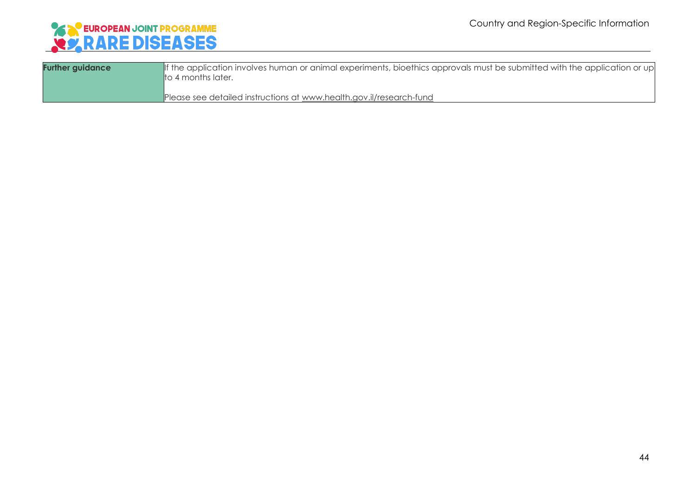

| <b>Further guidance</b> | If the application involves human or animal experiments, bioethics approvals must be submitted with the application or up<br>to 4 months later. |
|-------------------------|-------------------------------------------------------------------------------------------------------------------------------------------------|
|                         | Please see detailed instructions at www.health.gov.il/research-fund                                                                             |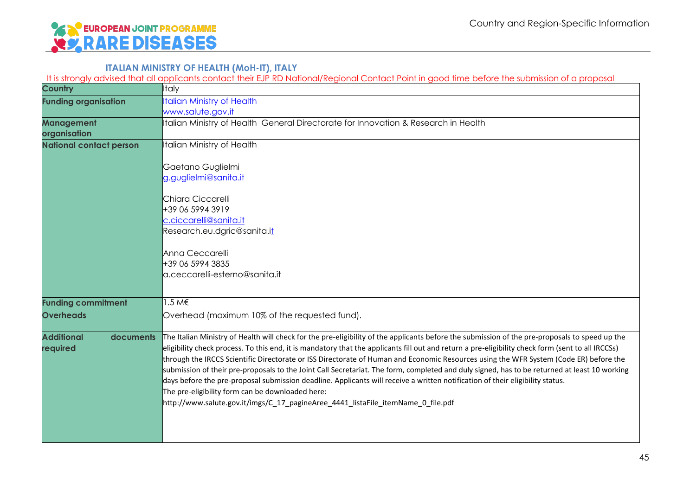

### **ITALIAN MINISTRY OF HEALTH (MoH-IT), ITALY**

| <b>Country</b>                 | <b>Italy</b>                                                                                                                                      |
|--------------------------------|---------------------------------------------------------------------------------------------------------------------------------------------------|
| <b>Funding organisation</b>    | talian Ministry of Health                                                                                                                         |
|                                | www.salute.gov.it                                                                                                                                 |
| <b>Management</b>              | Italian Ministry of Health General Directorate for Innovation & Research in Health                                                                |
| organisation                   |                                                                                                                                                   |
| <b>National contact person</b> | Italian Ministry of Health                                                                                                                        |
|                                |                                                                                                                                                   |
|                                | Gaetano Guglielmi                                                                                                                                 |
|                                | g.guglielmi@sanita.it                                                                                                                             |
|                                | Chiara Ciccarelli                                                                                                                                 |
|                                | +39 06 5994 3919                                                                                                                                  |
|                                | c.ciccarelli@sanita.it                                                                                                                            |
|                                | Research.eu.dgric@sanita.it                                                                                                                       |
|                                |                                                                                                                                                   |
|                                | Anna Ceccarelli                                                                                                                                   |
|                                | +39 06 5994 3835                                                                                                                                  |
|                                | la.ceccarelli-esterno@sanita.it                                                                                                                   |
|                                |                                                                                                                                                   |
| <b>Funding commitment</b>      | $1.5M\in$                                                                                                                                         |
| <b>Overheads</b>               | Overhead (maximum 10% of the requested fund).                                                                                                     |
|                                |                                                                                                                                                   |
| <b>Additional</b><br>documents | The Italian Ministry of Health will check for the pre-eligibility of the applicants before the submission of the pre-proposals to speed up the    |
| required                       | eligibility check process. To this end, it is mandatory that the applicants fill out and return a pre-eligibility check form (sent to all IRCCSS) |
|                                | through the IRCCS Scientific Directorate or ISS Directorate of Human and Economic Resources using the WFR System (Code ER) before the             |
|                                | submission of their pre-proposals to the Joint Call Secretariat. The form, completed and duly signed, has to be returned at least 10 working      |
|                                | days before the pre-proposal submission deadline. Applicants will receive a written notification of their eligibility status.                     |
|                                | The pre-eligibility form can be downloaded here:                                                                                                  |
|                                | http://www.salute.gov.it/imgs/C_17_pagineAree_4441_listaFile_itemName_0_file.pdf                                                                  |
|                                |                                                                                                                                                   |
|                                |                                                                                                                                                   |
|                                |                                                                                                                                                   |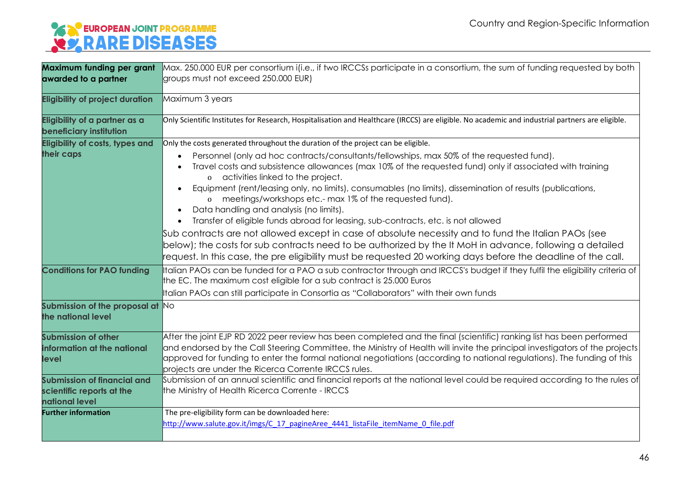

| Maximum funding per grant                                       | Max. 250.000 EUR per consortium i(i.e., if two IRCCSs participate in a consortium, the sum of funding requested by both                                                                                                                                                                                        |
|-----------------------------------------------------------------|----------------------------------------------------------------------------------------------------------------------------------------------------------------------------------------------------------------------------------------------------------------------------------------------------------------|
| awarded to a partner                                            | groups must not exceed 250.000 EUR)                                                                                                                                                                                                                                                                            |
|                                                                 |                                                                                                                                                                                                                                                                                                                |
| <b>Eligibility of project duration</b>                          | Maximum 3 years                                                                                                                                                                                                                                                                                                |
| Eligibility of a partner as a<br>beneficiary institution        | Only Scientific Institutes for Research, Hospitalisation and Healthcare (IRCCS) are eligible. No academic and industrial partners are eligible.                                                                                                                                                                |
| <b>Eligibility of costs, types and</b>                          | Only the costs generated throughout the duration of the project can be eligible.                                                                                                                                                                                                                               |
| their caps                                                      | Personnel (only ad hoc contracts/consultants/fellowships, max 50% of the requested fund).                                                                                                                                                                                                                      |
|                                                                 | Travel costs and subsistence allowances (max 10% of the requested fund) only if associated with training<br>o activities linked to the project.                                                                                                                                                                |
|                                                                 | Equipment (rent/leasing only, no limits), consumables (no limits), dissemination of results (publications,<br>o meetings/workshops etc.- max 1% of the requested fund).                                                                                                                                        |
|                                                                 | Data handling and analysis (no limits).                                                                                                                                                                                                                                                                        |
|                                                                 | Transfer of eligible funds abroad for leasing, sub-contracts, etc. is not allowed                                                                                                                                                                                                                              |
|                                                                 | Sub contracts are not allowed except in case of absolute necessity and to fund the Italian PAOs (see                                                                                                                                                                                                           |
|                                                                 | below); the costs for sub contracts need to be authorized by the It MoH in advance, following a detailed<br>request. In this case, the pre eligibility must be requested 20 working days before the deadline of the call.                                                                                      |
| <b>Conditions for PAO funding</b>                               | Italian PAOs can be funded for a PAO a sub contractor through and IRCCS's budget if they fulfil the eligibility criteria of<br>the EC. The maximum cost eligible for a sub contract is 25.000 Euros                                                                                                            |
|                                                                 | Italian PAOs can still participate in Consortia as "Collaborators" with their own funds                                                                                                                                                                                                                        |
| Submission of the proposal at No<br>the national level          |                                                                                                                                                                                                                                                                                                                |
| <b>Submission of other</b>                                      | After the joint EJP RD 2022 peer review has been completed and the final (scientific) ranking list has been performed                                                                                                                                                                                          |
| information at the national<br>level                            | and endorsed by the Call Steering Committee, the Ministry of Health will invite the principal investigators of the projects<br>approved for funding to enter the formal national negotiations (according to national regulations). The funding of this<br>projects are under the Ricerca Corrente IRCCS rules. |
| <b>Submission of financial and</b><br>scientific reports at the | Submission of an annual scientific and financial reports at the national level could be required according to the rules of<br>the Ministry of Health Ricerca Corrente - IRCCS                                                                                                                                  |
| national level                                                  |                                                                                                                                                                                                                                                                                                                |
| <b>Further information</b>                                      | The pre-eligibility form can be downloaded here:                                                                                                                                                                                                                                                               |
|                                                                 | http://www.salute.gov.it/imgs/C 17 pagineAree 4441 listaFile itemName 0 file.pdf                                                                                                                                                                                                                               |
|                                                                 |                                                                                                                                                                                                                                                                                                                |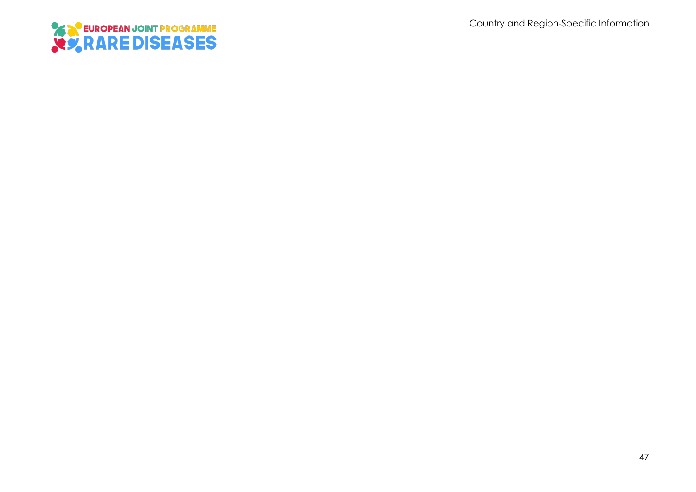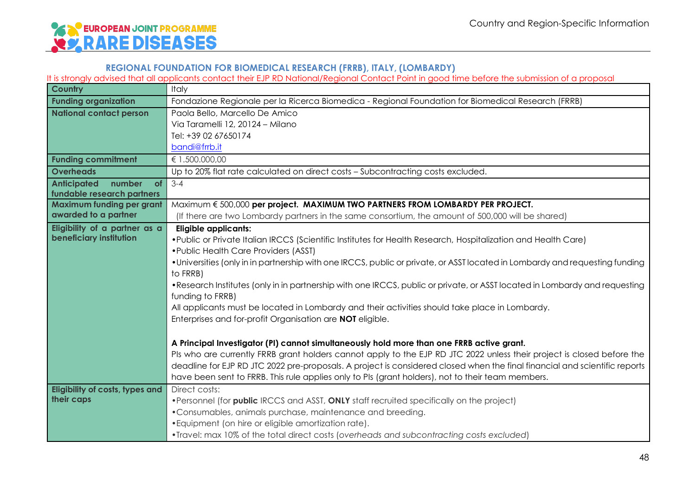

# **REGIONAL FOUNDATION FOR BIOMEDICAL RESEARCH (FRRB), ITALY, (LOMBARDY)**

| <b>Country</b>                                                   | Italy                                                                                                                                           |
|------------------------------------------------------------------|-------------------------------------------------------------------------------------------------------------------------------------------------|
| <b>Funding organization</b>                                      | Fondazione Regionale per la Ricerca Biomedica - Regional Foundation for Biomedical Research (FRRB)                                              |
| <b>National contact person</b>                                   | Paola Bello, Marcello De Amico                                                                                                                  |
|                                                                  | Via Taramelli 12, 20124 - Milano                                                                                                                |
|                                                                  | Tel: +39 02 67650174                                                                                                                            |
|                                                                  | bandi@frrb.it                                                                                                                                   |
| <b>Funding commitment</b>                                        | € 1.500.000,00                                                                                                                                  |
| <b>Overheads</b>                                                 | Up to 20% flat rate calculated on direct costs - Subcontracting costs excluded.                                                                 |
| <b>Anticipated</b><br>number<br>of<br>fundable research partners | $3 - 4$                                                                                                                                         |
| Maximum funding per grant                                        | Maximum € 500,000 per project. MAXIMUM TWO PARTNERS FROM LOMBARDY PER PROJECT.                                                                  |
| awarded to a partner                                             | (If there are two Lombardy partners in the same consortium, the amount of 500,000 will be shared)                                               |
| Eligibility of a partner as a                                    | <b>Eligible applicants:</b>                                                                                                                     |
| beneficiary institution                                          | . Public or Private Italian IRCCS (Scientific Institutes for Health Research, Hospitalization and Health Care)                                  |
|                                                                  | • Public Health Care Providers (ASST)                                                                                                           |
|                                                                  | . Universities (only in in partnership with one IRCCS, public or private, or ASST located in Lombardy and requesting funding<br>to FRRB)        |
|                                                                  | • Research Institutes (only in in partnership with one IRCCS, public or private, or ASST located in Lombardy and requesting<br>funding to FRRB) |
|                                                                  | All applicants must be located in Lombardy and their activities should take place in Lombardy.                                                  |
|                                                                  | Enterprises and for-profit Organisation are <b>NOT</b> eligible.                                                                                |
|                                                                  |                                                                                                                                                 |
|                                                                  | A Principal Investigator (PI) cannot simultaneously hold more than one FRRB active grant.                                                       |
|                                                                  | Pls who are currently FRRB grant holders cannot apply to the EJP RD JTC 2022 unless their project is closed before the                          |
|                                                                  | deadline for EJP RD JTC 2022 pre-proposals. A project is considered closed when the final financial and scientific reports                      |
|                                                                  | have been sent to FRRB. This rule applies only to PIs (grant holders), not to their team members.                                               |
| Eligibility of costs, types and                                  | Direct costs:                                                                                                                                   |
| their caps                                                       | • Personnel (for public IRCCS and ASST, ONLY staff recruited specifically on the project)                                                       |
|                                                                  | •Consumables, animals purchase, maintenance and breeding.                                                                                       |
|                                                                  | • Equipment (on hire or eligible amortization rate).                                                                                            |
|                                                                  | • Travel: max 10% of the total direct costs (overheads and subcontracting costs excluded)                                                       |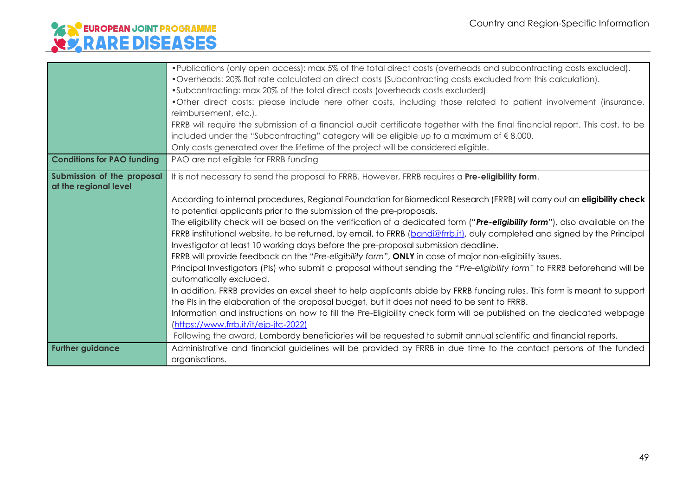

|                                   | •Publications (only open access): max 5% of the total direct costs (overheads and subcontracting costs excluded).                                                                                               |
|-----------------------------------|-----------------------------------------------------------------------------------------------------------------------------------------------------------------------------------------------------------------|
|                                   | . Overheads: 20% flat rate calculated on direct costs (Subcontracting costs excluded from this calculation).                                                                                                    |
|                                   | •Subcontracting: max 20% of the total direct costs (overheads costs excluded)                                                                                                                                   |
|                                   | .Other direct costs: please include here other costs, including those related to patient involvement (insurance,                                                                                                |
|                                   | reimbursement, etc.).                                                                                                                                                                                           |
|                                   | FRRB will require the submission of a financial audit certificate together with the final financial report. This cost, to be                                                                                    |
|                                   | included under the "Subcontracting" category will be eligible up to a maximum of €8.000.                                                                                                                        |
|                                   | Only costs generated over the lifetime of the project will be considered eligible.                                                                                                                              |
| <b>Conditions for PAO funding</b> | PAO are not eligible for FRRB funding                                                                                                                                                                           |
| Submission of the proposal        | It is not necessary to send the proposal to FRRB. However, FRRB requires a Pre-eligibility form.                                                                                                                |
| at the regional level             |                                                                                                                                                                                                                 |
|                                   | According to internal procedures, Regional Foundation for Biomedical Research (FRRB) will carry out an eligibility check                                                                                        |
|                                   | to potential applicants prior to the submission of the pre-proposals.                                                                                                                                           |
|                                   | The eligibility check will be based on the verification of a dedicated form ("Pre-eligibility form"), also available on the                                                                                     |
|                                   | FRRB institutional website, to be returned, by email, to FRRB (bandi@frrb.it), duly completed and signed by the Principal<br>Investigator at least 10 working days before the pre-proposal submission deadline. |
|                                   | FRRB will provide feedback on the "Pre-eligibility form", ONLY in case of major non-eligibility issues.                                                                                                         |
|                                   | Principal Investigators (PIs) who submit a proposal without sending the "Pre-eligibility form" to FRRB beforehand will be<br>automatically excluded.                                                            |
|                                   | In addition, FRRB provides an excel sheet to help applicants abide by FRRB funding rules. This form is meant to support                                                                                         |
|                                   | the PIs in the elaboration of the proposal budget, but it does not need to be sent to FRRB.                                                                                                                     |
|                                   | Information and instructions on how to fill the Pre-Eligibility check form will be published on the dedicated webpage                                                                                           |
|                                   | (https://www.frrb.it/it/ejp-jtc-2022)                                                                                                                                                                           |
|                                   | Following the award, Lombardy beneficiaries will be requested to submit annual scientific and financial reports.                                                                                                |
| <b>Further guidance</b>           | Administrative and financial guidelines will be provided by FRRB in due time to the contact persons of the funded                                                                                               |
|                                   | organisations.                                                                                                                                                                                                  |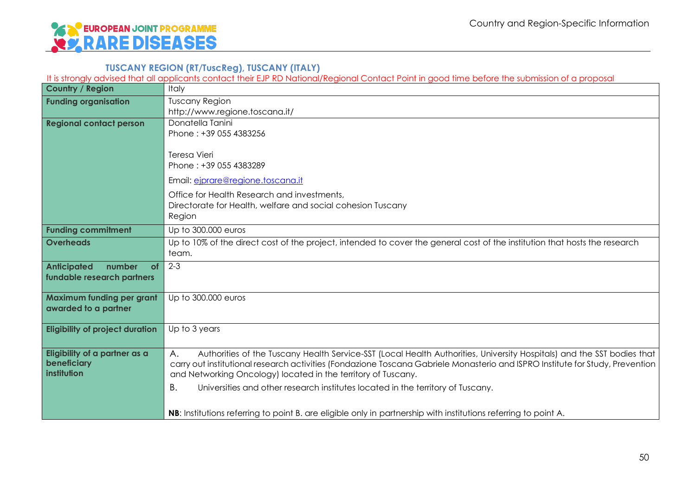

# **TUSCANY REGION (RT/TuscReg), TUSCANY (ITALY)**

| <b>Country / Region</b>                           | Italy                                                                                                                         |
|---------------------------------------------------|-------------------------------------------------------------------------------------------------------------------------------|
| <b>Funding organisation</b>                       | <b>Tuscany Region</b>                                                                                                         |
|                                                   | http://www.regione.toscana.it/                                                                                                |
| <b>Regional contact person</b>                    | Donatella Tanini                                                                                                              |
|                                                   | Phone: +39 055 4383256                                                                                                        |
|                                                   | Teresa Vieri                                                                                                                  |
|                                                   | Phone: +39 055 4383289                                                                                                        |
|                                                   |                                                                                                                               |
|                                                   | Email: ejprare@regione.toscana.it                                                                                             |
|                                                   | Office for Health Research and investments,                                                                                   |
|                                                   | Directorate for Health, welfare and social cohesion Tuscany                                                                   |
|                                                   | Region                                                                                                                        |
| <b>Funding commitment</b>                         | Up to 300.000 euros                                                                                                           |
| <b>Overheads</b>                                  | Up to 10% of the direct cost of the project, intended to cover the general cost of the institution that hosts the research    |
|                                                   | team.                                                                                                                         |
| <b>Anticipated</b><br>number<br><b>of</b>         | $2 - 3$                                                                                                                       |
| fundable research partners                        |                                                                                                                               |
|                                                   |                                                                                                                               |
| Maximum funding per grant<br>awarded to a partner | Up to 300.000 euros                                                                                                           |
|                                                   |                                                                                                                               |
| <b>Eligibility of project duration</b>            | Up to 3 years                                                                                                                 |
|                                                   |                                                                                                                               |
| Eligibility of a partner as a                     | A.<br>Authorities of the Tuscany Health Service-SST (Local Health Authorities, University Hospitals) and the SST bodies that  |
| beneficiary                                       | carry out institutional research activities (Fondazione Toscana Gabriele Monasterio and ISPRO Institute for Study, Prevention |
| institution                                       | and Networking Oncology) located in the territory of Tuscany.                                                                 |
|                                                   | В.<br>Universities and other research institutes located in the territory of Tuscany.                                         |
|                                                   |                                                                                                                               |
|                                                   | NB: Institutions referring to point B. are eligible only in partnership with institutions referring to point A.               |
|                                                   |                                                                                                                               |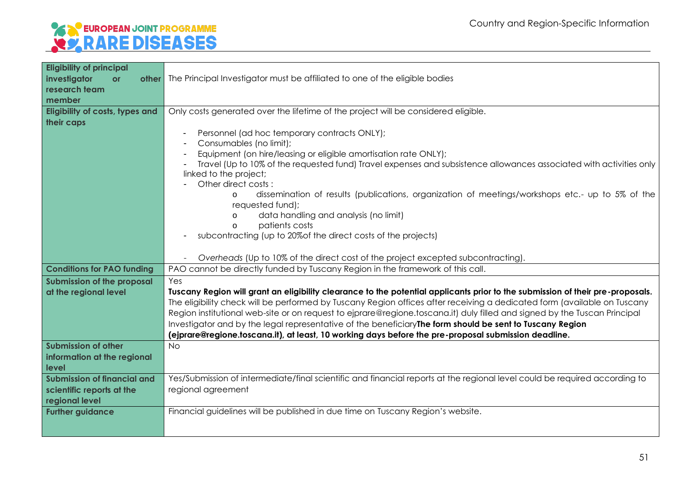

| <b>Eligibility of principal</b><br>investigator<br>other<br><b>or</b><br>research team<br>member | The Principal Investigator must be affiliated to one of the eligible bodies                                                                   |
|--------------------------------------------------------------------------------------------------|-----------------------------------------------------------------------------------------------------------------------------------------------|
| <b>Eligibility of costs, types and</b>                                                           | Only costs generated over the lifetime of the project will be considered eligible.                                                            |
| their caps                                                                                       |                                                                                                                                               |
|                                                                                                  | Personnel (ad hoc temporary contracts ONLY);                                                                                                  |
|                                                                                                  | Consumables (no limit);                                                                                                                       |
|                                                                                                  | Equipment (on hire/leasing or eligible amortisation rate ONLY);                                                                               |
|                                                                                                  | Travel (Up to 10% of the requested fund) Travel expenses and subsistence allowances associated with activities only<br>linked to the project; |
|                                                                                                  | Other direct costs:                                                                                                                           |
|                                                                                                  | dissemination of results (publications, organization of meetings/workshops etc.- up to 5% of the<br>$\Omega$<br>requested fund);              |
|                                                                                                  | data handling and analysis (no limit)<br>o                                                                                                    |
|                                                                                                  | patients costs<br>$\Omega$                                                                                                                    |
|                                                                                                  | subcontracting (up to 20% of the direct costs of the projects)                                                                                |
|                                                                                                  |                                                                                                                                               |
|                                                                                                  | Overheads (Up to 10% of the direct cost of the project excepted subcontracting).                                                              |
| <b>Conditions for PAO funding</b>                                                                | PAO cannot be directly funded by Tuscany Region in the framework of this call.                                                                |
| <b>Submission of the proposal</b>                                                                | Yes                                                                                                                                           |
| at the regional level                                                                            | Tuscany Region will grant an eligibility clearance to the potential applicants prior to the submission of their pre-proposals.                |
|                                                                                                  | The eligibility check will be performed by Tuscany Region offices after receiving a dedicated form (available on Tuscany                      |
|                                                                                                  | Region institutional web-site or on request to ejprare@regione.toscana.it) duly filled and signed by the Tuscan Principal                     |
|                                                                                                  | Investigator and by the legal representative of the beneficiary The form should be sent to Tuscany Region                                     |
|                                                                                                  | (ejprare@regione.toscana.it), at least, 10 working days before the pre-proposal submission deadline.<br><b>No</b>                             |
| <b>Submission of other</b>                                                                       |                                                                                                                                               |
| information at the regional<br>level                                                             |                                                                                                                                               |
| <b>Submission of financial and</b>                                                               | Yes/Submission of intermediate/final scientific and financial reports at the regional level could be required according to                    |
| scientific reports at the                                                                        | regional agreement                                                                                                                            |
| regional level                                                                                   |                                                                                                                                               |
| <b>Further guidance</b>                                                                          | Financial guidelines will be published in due time on Tuscany Region's website.                                                               |
|                                                                                                  |                                                                                                                                               |
|                                                                                                  |                                                                                                                                               |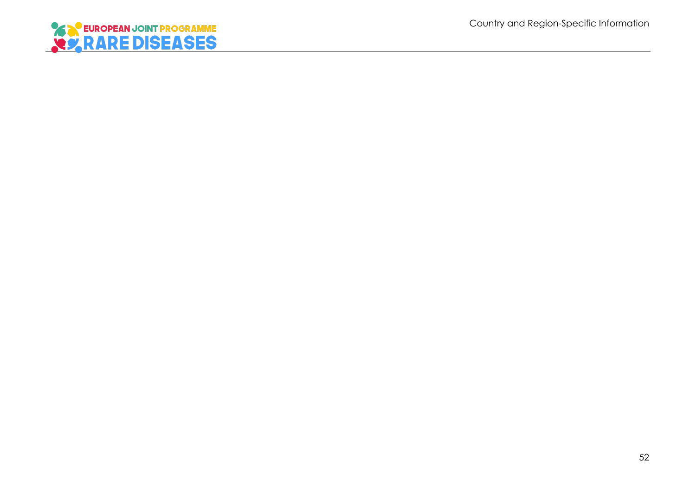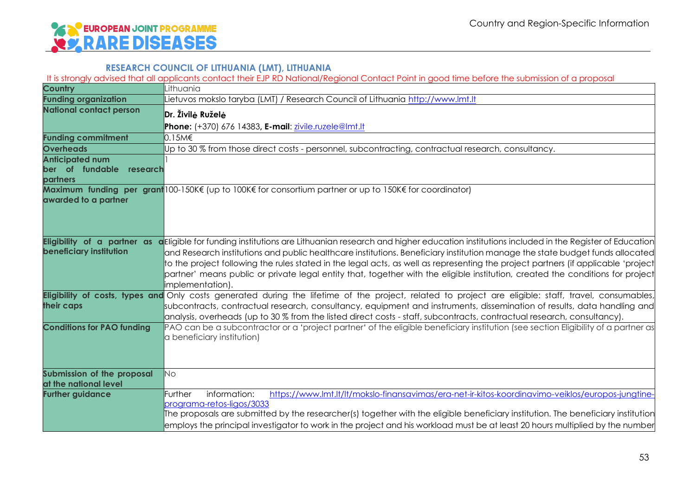

## **RESEARCH COUNCIL OF LITHUANIA (LMT), LITHUANIA**

| <b>Country</b>                          | .ithuania                                                                                                                                                                                                                                                                                                                                                                                                                |
|-----------------------------------------|--------------------------------------------------------------------------------------------------------------------------------------------------------------------------------------------------------------------------------------------------------------------------------------------------------------------------------------------------------------------------------------------------------------------------|
| <b>Funding organization</b>             | ietuvos mokslo taryba (LMT) / Research Council of Lithuania http://www.lmt.lt                                                                                                                                                                                                                                                                                                                                            |
| <b>National contact person</b>          | Dr. Živilė Ruželė                                                                                                                                                                                                                                                                                                                                                                                                        |
|                                         | Phone: (+370) 676 14383, E-mail: zivile.ruzele@lmt.lt                                                                                                                                                                                                                                                                                                                                                                    |
| <b>Funding commitment</b>               | $0.15M\epsilon$                                                                                                                                                                                                                                                                                                                                                                                                          |
| <b>Overheads</b>                        | Jp to 30 % from those direct costs - personnel, subcontracting, contractual research, consultancy.                                                                                                                                                                                                                                                                                                                       |
| <b>Anticipated num</b>                  |                                                                                                                                                                                                                                                                                                                                                                                                                          |
| ber of fundable<br>research<br>partners |                                                                                                                                                                                                                                                                                                                                                                                                                          |
| awarded to a partner                    | Maximum funding per grant 100-150K€ (up to 100K€ for consortium partner or up to 150K€ for coordinator)                                                                                                                                                                                                                                                                                                                  |
|                                         | Eligibility of a partner as a Eligible for funding institutions are Lithuanian research and higher education institutions included in the Register of Education                                                                                                                                                                                                                                                          |
| beneficiary institution                 | and Research institutions and public healthcare institutions. Beneficiary institution manage the state budget funds allocated<br>to the project following the rules stated in the legal acts, as well as representing the project partners (if applicable 'project<br>partner' means public or private legal entity that, together with the eligible institution, created the conditions for project<br>implementation). |
| their caps                              | Eligibility of costs, types and Only costs generated during the lifetime of the project, related to project are eligible: staff, travel, consumables,<br>subcontracts, contractual research, consultancy, equipment and instruments, dissemination of results, data handling and<br>analysis, overheads (up to 30 % from the listed direct costs - staff, subcontracts, contractual research, consultancy).              |
| <b>Conditions for PAO funding</b>       | PAO can be a subcontractor or a 'project partner' of the eligible beneficiary institution (see section Eligibility of a partner as<br>a beneficiary institution)                                                                                                                                                                                                                                                         |
| Submission of the proposal              | N <sub>o</sub>                                                                                                                                                                                                                                                                                                                                                                                                           |
| at the national level                   |                                                                                                                                                                                                                                                                                                                                                                                                                          |
| <b>Further guidance</b>                 | https://www.lmt.lt/lt/mokslo-finansavimas/era-net-ir-kitos-koordinavimo-veiklos/europos-jungtine-<br>information:<br>Further<br>programa-retos-ligos/3033<br>The proposals are submitted by the researcher(s) together with the eligible beneficiary institution. The beneficiary institution                                                                                                                            |
|                                         | employs the principal investigator to work in the project and his workload must be at least 20 hours multiplied by the number                                                                                                                                                                                                                                                                                            |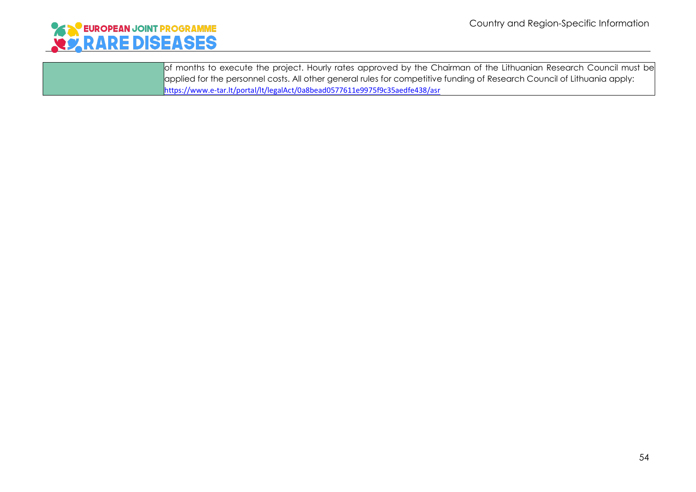

of months to execute the project. Hourly rates approved by the Chairman of the Lithuanian Research Council must be applied for the personnel costs. All other general rules for competitive funding of Research Council of Lithuania apply: <https://www.e-tar.lt/portal/lt/legalAct/0a8bead0577611e9975f9c35aedfe438/asr>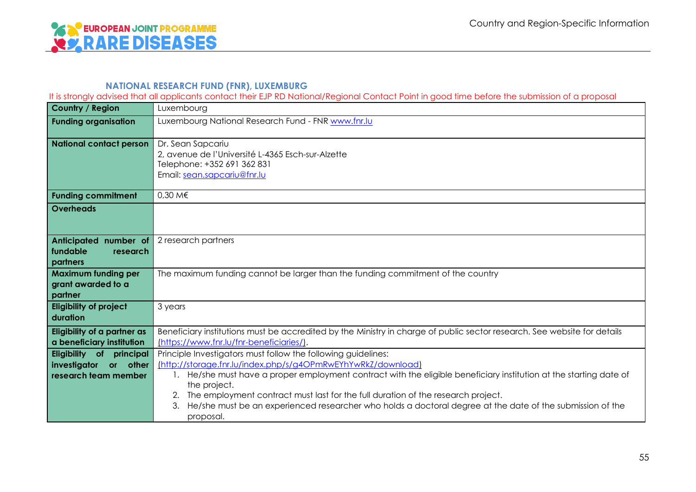

### **NATIONAL RESEARCH FUND (FNR), LUXEMBURG**

| <b>Country / Region</b>                                                            | Luxembourg                                                                                                                                                                                                                                                                                                                                                                                                                                                                              |
|------------------------------------------------------------------------------------|-----------------------------------------------------------------------------------------------------------------------------------------------------------------------------------------------------------------------------------------------------------------------------------------------------------------------------------------------------------------------------------------------------------------------------------------------------------------------------------------|
| <b>Funding organisation</b>                                                        | Luxembourg National Research Fund - FNR www.fnr.lu                                                                                                                                                                                                                                                                                                                                                                                                                                      |
| <b>National contact person</b>                                                     | Dr. Sean Sapcariu<br>2, avenue de l'Université L-4365 Esch-sur-Alzette<br>Telephone: +352 691 362 831<br>Email: sean.sapcariu@fnr.lu                                                                                                                                                                                                                                                                                                                                                    |
| <b>Funding commitment</b>                                                          | $0,30 \text{ M} \in$                                                                                                                                                                                                                                                                                                                                                                                                                                                                    |
| <b>Overheads</b>                                                                   |                                                                                                                                                                                                                                                                                                                                                                                                                                                                                         |
| Anticipated number of<br>fundable<br>research<br>partners                          | 2 research partners                                                                                                                                                                                                                                                                                                                                                                                                                                                                     |
| <b>Maximum funding per</b><br>grant awarded to a<br>partner                        | The maximum funding cannot be larger than the funding commitment of the country                                                                                                                                                                                                                                                                                                                                                                                                         |
| <b>Eligibility of project</b><br>duration                                          | 3 years                                                                                                                                                                                                                                                                                                                                                                                                                                                                                 |
| Eligibility of a partner as<br>a beneficiary institution                           | Beneficiary institutions must be accredited by the Ministry in charge of public sector research. See website for details<br>(https://www.fnr.lu/fnr-beneficiaries/).                                                                                                                                                                                                                                                                                                                    |
| Eligibility of<br>principal<br>investigator<br>other<br>or<br>research team member | Principle Investigators must follow the following guidelines:<br>[http://storage.fnr.lu/index.php/s/g4OPmRwEYhYwRkZ/download]<br>1. He/she must have a proper employment contract with the eligible beneficiary institution at the starting date of<br>the project.<br>The employment contract must last for the full duration of the research project.<br>He/she must be an experienced researcher who holds a doctoral degree at the date of the submission of the<br>3.<br>proposal. |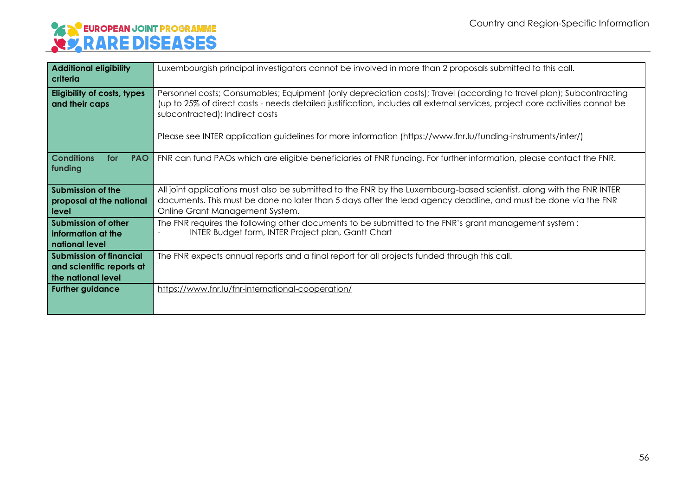

| <b>Additional eligibility</b><br>criteria            | Luxembourgish principal investigators cannot be involved in more than 2 proposals submitted to this call.                                                                                                                                                                              |
|------------------------------------------------------|----------------------------------------------------------------------------------------------------------------------------------------------------------------------------------------------------------------------------------------------------------------------------------------|
| <b>Eligibility of costs, types</b><br>and their caps | Personnel costs; Consumables; Equipment (only depreciation costs); Travel (according to travel plan); Subcontracting<br>(up to 25% of direct costs - needs detailed justification, includes all external services, project core activities cannot be<br>subcontracted); Indirect costs |
|                                                      | Please see INTER application guidelines for more information (https://www.fnr.lu/funding-instruments/inter/)                                                                                                                                                                           |
| <b>Conditions</b><br><b>PAO</b><br>for<br>funding    | FNR can fund PAOs which are eligible beneficiaries of FNR funding. For further information, please contact the FNR.                                                                                                                                                                    |
| Submission of the                                    | All joint applications must also be submitted to the FNR by the Luxembourg-based scientist, along with the FNR INTER                                                                                                                                                                   |
| proposal at the national<br>level                    | documents. This must be done no later than 5 days after the lead agency deadline, and must be done via the FNR<br>Online Grant Management System.                                                                                                                                      |
| <b>Submission of other</b>                           | The FNR requires the following other documents to be submitted to the FNR's grant management system:                                                                                                                                                                                   |
| information at the                                   | INTER Budget form, INTER Project plan, Gantt Chart                                                                                                                                                                                                                                     |
| national level                                       |                                                                                                                                                                                                                                                                                        |
| <b>Submission of financial</b>                       | The FNR expects annual reports and a final report for all projects funded through this call.                                                                                                                                                                                           |
| and scientific reports at                            |                                                                                                                                                                                                                                                                                        |
| the national level                                   |                                                                                                                                                                                                                                                                                        |
| <b>Further guidance</b>                              | https://www.fnr.lu/fnr-international-cooperation/                                                                                                                                                                                                                                      |
|                                                      |                                                                                                                                                                                                                                                                                        |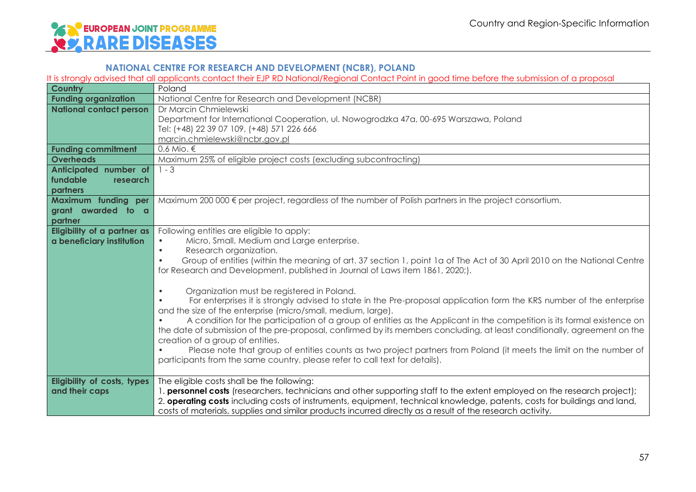

## **NATIONAL CENTRE FOR RESEARCH AND DEVELOPMENT (NCBR), POLAND**

| Country                            | Poland                                                                                                                                                                                |
|------------------------------------|---------------------------------------------------------------------------------------------------------------------------------------------------------------------------------------|
| <b>Funding organization</b>        | National Centre for Research and Development (NCBR)                                                                                                                                   |
| <b>National contact person</b>     | Dr Marcin Chmielewski                                                                                                                                                                 |
|                                    | Department for International Cooperation, ul. Nowogrodzka 47a, 00-695 Warszawa, Poland                                                                                                |
|                                    | Tel: (+48) 22 39 07 109, (+48) 571 226 666                                                                                                                                            |
|                                    | marcin.chmielewski@ncbr.gov.pl                                                                                                                                                        |
| <b>Funding commitment</b>          | $0.6$ Mio. $\epsilon$                                                                                                                                                                 |
| <b>Overheads</b>                   | Maximum 25% of eligible project costs (excluding subcontracting)                                                                                                                      |
| Anticipated number of              | $1 - 3$                                                                                                                                                                               |
| fundable<br>research               |                                                                                                                                                                                       |
| partners                           |                                                                                                                                                                                       |
| Maximum funding per                | Maximum 200 000 $\epsilon$ per project, regardless of the number of Polish partners in the project consortium.                                                                        |
| grant awarded to a                 |                                                                                                                                                                                       |
| partner                            |                                                                                                                                                                                       |
| Eligibility of a partner as        | Following entities are eligible to apply:                                                                                                                                             |
| a beneficiary institution          | Micro, Small, Medium and Large enterprise.                                                                                                                                            |
|                                    | Research organization.                                                                                                                                                                |
|                                    | Group of entities (within the meaning of art. 37 section 1, point 1a of The Act of 30 April 2010 on the National Centre                                                               |
|                                    | for Research and Development, published in Journal of Laws item 1861, 2020;).                                                                                                         |
|                                    |                                                                                                                                                                                       |
|                                    | Organization must be registered in Poland.<br>$\bullet$                                                                                                                               |
|                                    | For enterprises it is strongly advised to state in the Pre-proposal application form the KRS number of the enterprise<br>and the size of the enterprise (micro/small, medium, large). |
|                                    | A condition for the participation of a group of entities as the Applicant in the competition is its formal existence on                                                               |
|                                    | the date of submission of the pre-proposal, confirmed by its members concluding, at least conditionally, agreement on the                                                             |
|                                    | creation of a group of entities.                                                                                                                                                      |
|                                    | Please note that group of entities counts as two project partners from Poland (it meets the limit on the number of                                                                    |
|                                    | participants from the same country, please refer to call text for details).                                                                                                           |
|                                    |                                                                                                                                                                                       |
| <b>Eligibility of costs, types</b> | The eligible costs shall be the following:                                                                                                                                            |
| and their caps                     | 1. personnel costs (researchers, technicians and other supporting staff to the extent employed on the research project);                                                              |
|                                    | 2. operating costs including costs of instruments, equipment, technical knowledge, patents, costs for buildings and land,                                                             |
|                                    | costs of materials, supplies and similar products incurred directly as a result of the research activity.                                                                             |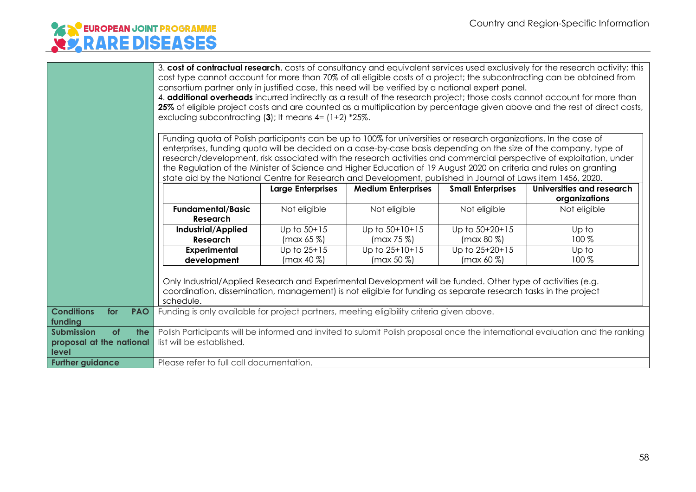

|                                                                     | 3. cost of contractual research, costs of consultancy and equivalent services used exclusively for the research activity; this<br>cost type cannot account for more than 70% of all eligible costs of a project; the subcontracting can be obtained from<br>consortium partner only in justified case, this need will be verified by a national expert panel.<br>4. additional overheads incurred indirectly as a result of the research project; those costs cannot account for more than<br>25% of eligible project costs and are counted as a multiplication by percentage given above and the rest of direct costs,<br>excluding subcontracting $(3)$ ; It means $4 = (1+2)$ *25%.<br>Funding quota of Polish participants can be up to 100% for universities or research organizations. In the case of<br>enterprises, funding quota will be decided on a case-by-case basis depending on the size of the company, type of<br>research/development, risk associated with the research activities and commercial perspective of exploitation, under |                          |                             |                                |                                                                                                                              |
|---------------------------------------------------------------------|---------------------------------------------------------------------------------------------------------------------------------------------------------------------------------------------------------------------------------------------------------------------------------------------------------------------------------------------------------------------------------------------------------------------------------------------------------------------------------------------------------------------------------------------------------------------------------------------------------------------------------------------------------------------------------------------------------------------------------------------------------------------------------------------------------------------------------------------------------------------------------------------------------------------------------------------------------------------------------------------------------------------------------------------------------|--------------------------|-----------------------------|--------------------------------|------------------------------------------------------------------------------------------------------------------------------|
|                                                                     | the Regulation of the Minister of Science and Higher Education of 19 August 2020 on criteria and rules on granting                                                                                                                                                                                                                                                                                                                                                                                                                                                                                                                                                                                                                                                                                                                                                                                                                                                                                                                                      |                          |                             |                                |                                                                                                                              |
|                                                                     | state aid by the National Centre for Research and Development, published in Journal of Laws item 1456, 2020.                                                                                                                                                                                                                                                                                                                                                                                                                                                                                                                                                                                                                                                                                                                                                                                                                                                                                                                                            |                          |                             |                                | Universities and research                                                                                                    |
|                                                                     |                                                                                                                                                                                                                                                                                                                                                                                                                                                                                                                                                                                                                                                                                                                                                                                                                                                                                                                                                                                                                                                         | <b>Large Enterprises</b> | <b>Medium Enterprises</b>   | <b>Small Enterprises</b>       | organizations                                                                                                                |
|                                                                     | <b>Fundamental/Basic</b><br>Research                                                                                                                                                                                                                                                                                                                                                                                                                                                                                                                                                                                                                                                                                                                                                                                                                                                                                                                                                                                                                    | Not eligible             | Not eligible                | Not eligible                   | Not eligible                                                                                                                 |
|                                                                     | <b>Industrial/Applied</b><br><b>Research</b>                                                                                                                                                                                                                                                                                                                                                                                                                                                                                                                                                                                                                                                                                                                                                                                                                                                                                                                                                                                                            | Up to 50+15<br>(max 65 % | Up to 50+10+15<br>(max 75 % | Up to 50+20+15<br>$(max 80 \%$ | Up to<br>100%                                                                                                                |
|                                                                     | <b>Experimental</b><br>development                                                                                                                                                                                                                                                                                                                                                                                                                                                                                                                                                                                                                                                                                                                                                                                                                                                                                                                                                                                                                      | Up to 25+15<br>(max 40 % | Up to 25+10+15<br>(max 50 % | Up to 25+20+15<br>(max 60 %)   | Up to<br>100 %                                                                                                               |
|                                                                     | Only Industrial/Applied Research and Experimental Development will be funded. Other type of activities (e.g.<br>coordination, dissemination, management) is not eligible for funding as separate research tasks in the project<br>schedule.                                                                                                                                                                                                                                                                                                                                                                                                                                                                                                                                                                                                                                                                                                                                                                                                             |                          |                             |                                |                                                                                                                              |
| <b>PAO</b><br><b>Conditions</b><br>for<br>funding                   | Funding is only available for project partners, meeting eligibility criteria given above.                                                                                                                                                                                                                                                                                                                                                                                                                                                                                                                                                                                                                                                                                                                                                                                                                                                                                                                                                               |                          |                             |                                |                                                                                                                              |
| of<br><b>Submission</b><br>the<br>proposal at the national<br>level | list will be established.                                                                                                                                                                                                                                                                                                                                                                                                                                                                                                                                                                                                                                                                                                                                                                                                                                                                                                                                                                                                                               |                          |                             |                                | Polish Participants will be informed and invited to submit Polish proposal once the international evaluation and the ranking |
| <b>Further guidance</b>                                             | Please refer to full call documentation.                                                                                                                                                                                                                                                                                                                                                                                                                                                                                                                                                                                                                                                                                                                                                                                                                                                                                                                                                                                                                |                          |                             |                                |                                                                                                                              |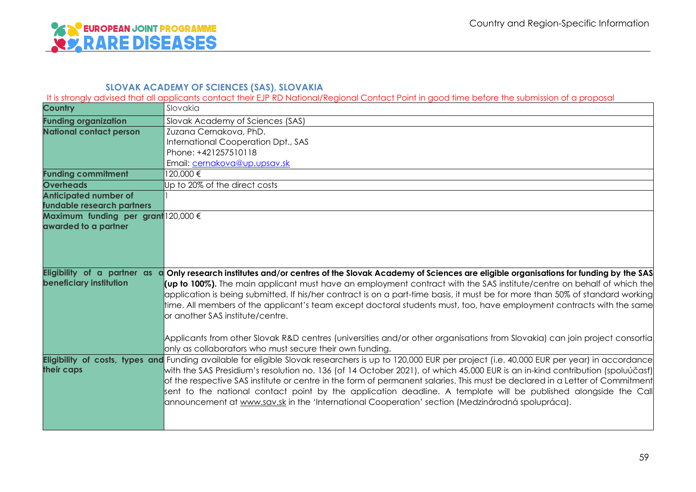

### **SLOVAK ACADEMY OF SCIENCES (SAS), SLOVAKIA**

| <b>Country</b>                                             | Slovakia                                                                                                                                                    |
|------------------------------------------------------------|-------------------------------------------------------------------------------------------------------------------------------------------------------------|
| <b>Funding organization</b>                                | Slovak Academy of Sciences (SAS)                                                                                                                            |
| <b>National contact person</b>                             | Zuzana Cernakova, PhD.                                                                                                                                      |
|                                                            | International Cooperation Dpt., SAS                                                                                                                         |
|                                                            | Phone: +421257510118                                                                                                                                        |
|                                                            | Email: cernakova@up.upsav.sk                                                                                                                                |
| <b>Funding commitment</b>                                  | 120,000 €                                                                                                                                                   |
| <b>Overheads</b>                                           | Jp to 20% of the direct costs                                                                                                                               |
| <b>Anticipated number of</b><br>fundable research partners |                                                                                                                                                             |
| Maximum funding per grant 120,000 €                        |                                                                                                                                                             |
| awarded to a partner                                       |                                                                                                                                                             |
|                                                            |                                                                                                                                                             |
|                                                            |                                                                                                                                                             |
|                                                            | Eligibility of a partner as a Only research institutes and/or centres of the Slovak Academy of Sciences are eligible organisations for funding by the SAS   |
| beneficiary institution                                    | (up to 100%). The main applicant must have an employment contract with the SAS institute/centre on behalf of which the                                      |
|                                                            | application is being submitted. If his/her contract is on a part-time basis, it must be for more than 50% of standard working                               |
|                                                            | time. All members of the applicant's team except doctoral students must, too, have employment contracts with the same                                       |
|                                                            | or another SAS institute/centre.                                                                                                                            |
|                                                            | Applicants from other Slovak R&D centres (universities and/or other organisations from Slovakia) can join project consortia                                 |
|                                                            | only as collaborators who must secure their own funding.                                                                                                    |
|                                                            | Eligibility of costs, types and Funding available for eligible Slovak researchers is up to 120,000 EUR per project (i.e. 40,000 EUR per year) in accordance |
| their caps                                                 | with the SAS Presidium's resolution no. 136 (of 14 October 2021), of which 45,000 EUR is an in-kind contribution (spoluúčasť)                               |
|                                                            | of the respective SAS institute or centre in the form of permanent salaries. This must be declared in a Letter of Commitment                                |
|                                                            | sent to the national contact point by the application deadline. A template will be published alongside the Call                                             |
|                                                            | announcement at www.sav.sk in the 'International Cooperation' section (Medzinárodná spolupráca).                                                            |
|                                                            |                                                                                                                                                             |
|                                                            |                                                                                                                                                             |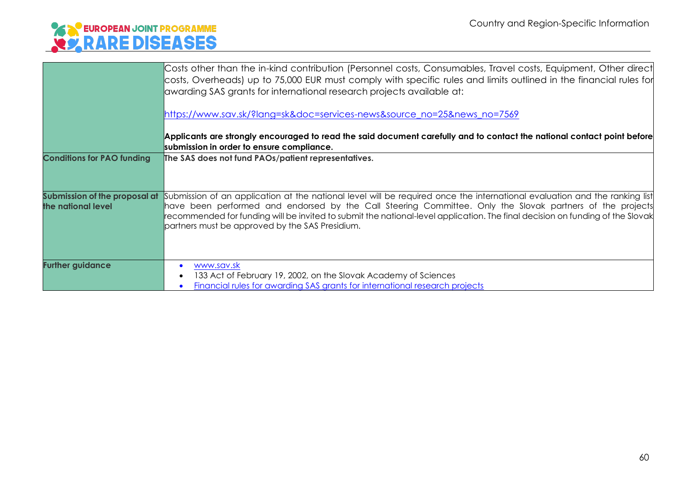

|                                   | Costs other than the in-kind contribution (Personnel costs, Consumables, Travel costs, Equipment, Other direct<br>costs, Overheads) up to 75,000 EUR must comply with specific rules and limits outlined in the financial rules for<br>awarding SAS grants for international research projects available at:<br>https://www.sav.sk/?lang=sk&doc=services-news&source_no=25&news_no=7569                                                                   |
|-----------------------------------|-----------------------------------------------------------------------------------------------------------------------------------------------------------------------------------------------------------------------------------------------------------------------------------------------------------------------------------------------------------------------------------------------------------------------------------------------------------|
|                                   | Applicants are strongly encouraged to read the said document carefully and to contact the national contact point before<br>submission in order to ensure compliance.                                                                                                                                                                                                                                                                                      |
| <b>Conditions for PAO funding</b> | The SAS does not fund PAOs/patient representatives.                                                                                                                                                                                                                                                                                                                                                                                                       |
| the national level                | Submission of the proposal at Submission of an application at the national level will be required once the international evaluation and the ranking list<br>have been performed and endorsed by the Call Steering Committee. Only the Slovak partners of the projects<br>recommended for funding will be invited to submit the national-level application. The final decision on funding of the Slovak<br>partners must be approved by the SAS Presidium. |
| <b>Further guidance</b>           | www.sav.sk<br>133 Act of February 19, 2002, on the Slovak Academy of Sciences<br><b>Financial rules for awarding SAS grants for international research projects</b>                                                                                                                                                                                                                                                                                       |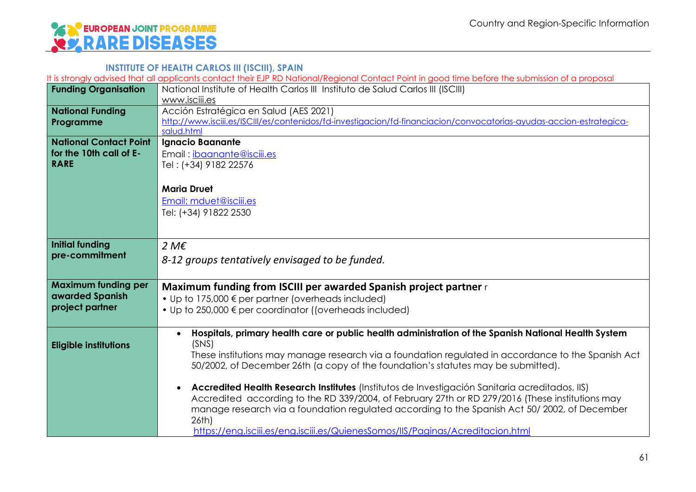

#### **INSTITUTE OF HEALTH CARLOS III (ISCIII), SPAIN**

| <b>Funding Organisation</b>   | National Institute of Health Carlos III Instituto de Salud Carlos III (ISCIII)                                      |
|-------------------------------|---------------------------------------------------------------------------------------------------------------------|
|                               | www.isciii.es                                                                                                       |
| <b>National Funding</b>       | Acción Estratégica en Salud (AES 2021)                                                                              |
| Programme                     | http://www.isciii.es/ISCIII/es/contenidos/fd-investigacion/fd-financiacion/convocatorias-ayudas-accion-estrategica- |
|                               | salud.html                                                                                                          |
| <b>National Contact Point</b> | Ignacio Baanante                                                                                                    |
| for the 10th call of E-       | Email: ibaanante@isciii.es                                                                                          |
| <b>RARE</b>                   | Tel: (+34) 9182 22576                                                                                               |
|                               |                                                                                                                     |
|                               | <b>Maria Druet</b>                                                                                                  |
|                               | Email: mduet@isciii.es                                                                                              |
|                               | Tel: (+34) 91822 2530                                                                                               |
|                               |                                                                                                                     |
|                               |                                                                                                                     |
| <b>Initial funding</b>        | $2M\epsilon$                                                                                                        |
| pre-commitment                | 8-12 groups tentatively envisaged to be funded.                                                                     |
|                               |                                                                                                                     |
| <b>Maximum funding per</b>    | <b>Maximum funding from ISCIII per awarded Spanish project partner</b> r                                            |
| awarded Spanish               | • Up to 175,000 € per partner (overheads included)                                                                  |
| project partner               | • Up to 250,000 € per coordinator ((overheads included)                                                             |
|                               |                                                                                                                     |
|                               | Hospitals, primary health care or public health administration of the Spanish National Health System<br>$\bullet$   |
| <b>Eligible institutions</b>  | (SNS)                                                                                                               |
|                               | These institutions may manage research via a foundation regulated in accordance to the Spanish Act                  |
|                               | 50/2002, of December 26th (a copy of the foundation's statutes may be submitted).                                   |
|                               |                                                                                                                     |
|                               | Accredited Health Research Institutes (Institutos de Investigación Sanitaria acreditados, IIS)<br>$\bullet$         |
|                               | Accredited according to the RD 339/2004, of February 27th or RD 279/2016 (These institutions may                    |
|                               | manage research via a foundation regulated according to the Spanish Act 50/2002, of December                        |
|                               | 26th)                                                                                                               |
|                               | https://eng.isciii.es/eng.isciii.es/QuienesSomos/IIS/Paginas/Acreditacion.html                                      |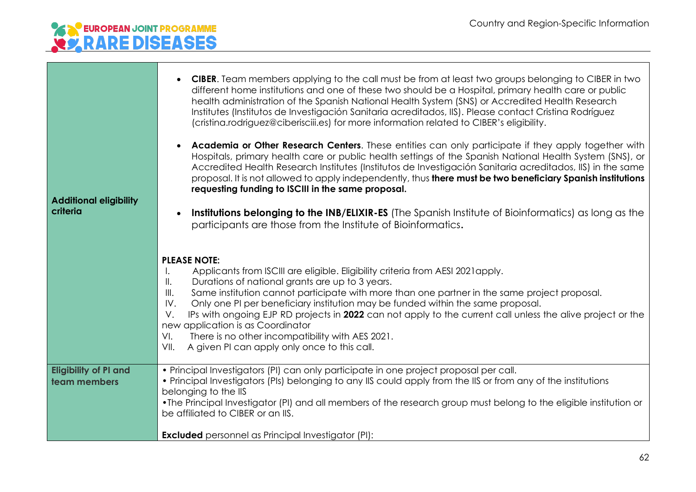

| <b>Additional eligibility</b><br>criteria | <b>CIBER.</b> Team members applying to the call must be from at least two groups belonging to CIBER in two<br>$\bullet$<br>different home institutions and one of these two should be a Hospital, primary health care or public<br>health administration of the Spanish National Health System (SNS) or Accredited Health Research<br>Institutes (Institutos de Investigación Sanitaria acreditados, IIS). Please contact Cristina Rodríguez<br>(cristina.rodriguez@ciberisciii.es) for more information related to CIBER's eligibility.<br><b>Academia or Other Research Centers.</b> These entities can only participate if they apply together with<br>$\bullet$<br>Hospitals, primary health care or public health settings of the Spanish National Health System (SNS), or<br>Accredited Health Research Institutes (Institutos de Investigación Sanitaria acreditados, IIS) in the same<br>proposal. It is not allowed to apply independently, thus there must be two beneficiary Spanish institutions<br>requesting funding to ISCIII in the same proposal.<br>Institutions belonging to the INB/ELIXIR-ES (The Spanish Institute of Bioinformatics) as long as the<br>$\bullet$<br>participants are those from the Institute of Bioinformatics. |
|-------------------------------------------|---------------------------------------------------------------------------------------------------------------------------------------------------------------------------------------------------------------------------------------------------------------------------------------------------------------------------------------------------------------------------------------------------------------------------------------------------------------------------------------------------------------------------------------------------------------------------------------------------------------------------------------------------------------------------------------------------------------------------------------------------------------------------------------------------------------------------------------------------------------------------------------------------------------------------------------------------------------------------------------------------------------------------------------------------------------------------------------------------------------------------------------------------------------------------------------------------------------------------------------------------------|
|                                           | <b>PLEASE NOTE:</b>                                                                                                                                                                                                                                                                                                                                                                                                                                                                                                                                                                                                                                                                                                                                                                                                                                                                                                                                                                                                                                                                                                                                                                                                                                     |
|                                           | Applicants from ISCIII are eligible. Eligibility criteria from AESI 2021 apply.<br>Durations of national grants are up to 3 years.<br>Ⅱ.                                                                                                                                                                                                                                                                                                                                                                                                                                                                                                                                                                                                                                                                                                                                                                                                                                                                                                                                                                                                                                                                                                                |
|                                           | Same institution cannot participate with more than one partner in the same project proposal.<br>III.                                                                                                                                                                                                                                                                                                                                                                                                                                                                                                                                                                                                                                                                                                                                                                                                                                                                                                                                                                                                                                                                                                                                                    |
|                                           | IV.<br>Only one PI per beneficiary institution may be funded within the same proposal.<br>IPs with ongoing EJP RD projects in 2022 can not apply to the current call unless the alive project or the<br>V.                                                                                                                                                                                                                                                                                                                                                                                                                                                                                                                                                                                                                                                                                                                                                                                                                                                                                                                                                                                                                                              |
|                                           | new application is as Coordinator<br>There is no other incompatibility with AES 2021.<br>VI.                                                                                                                                                                                                                                                                                                                                                                                                                                                                                                                                                                                                                                                                                                                                                                                                                                                                                                                                                                                                                                                                                                                                                            |
|                                           | A given PI can apply only once to this call.<br>VII.                                                                                                                                                                                                                                                                                                                                                                                                                                                                                                                                                                                                                                                                                                                                                                                                                                                                                                                                                                                                                                                                                                                                                                                                    |
| <b>Eligibility of PI and</b>              | • Principal Investigators (PI) can only participate in one project proposal per call.                                                                                                                                                                                                                                                                                                                                                                                                                                                                                                                                                                                                                                                                                                                                                                                                                                                                                                                                                                                                                                                                                                                                                                   |
| team members                              | • Principal Investigators (PIs) belonging to any IIS could apply from the IIS or from any of the institutions<br>belonging to the IIS                                                                                                                                                                                                                                                                                                                                                                                                                                                                                                                                                                                                                                                                                                                                                                                                                                                                                                                                                                                                                                                                                                                   |
|                                           | • The Principal Investigator (PI) and all members of the research group must belong to the eligible institution or<br>be affiliated to CIBER or an IIS.                                                                                                                                                                                                                                                                                                                                                                                                                                                                                                                                                                                                                                                                                                                                                                                                                                                                                                                                                                                                                                                                                                 |
|                                           | <b>Excluded</b> personnel as Principal Investigator (PI):                                                                                                                                                                                                                                                                                                                                                                                                                                                                                                                                                                                                                                                                                                                                                                                                                                                                                                                                                                                                                                                                                                                                                                                               |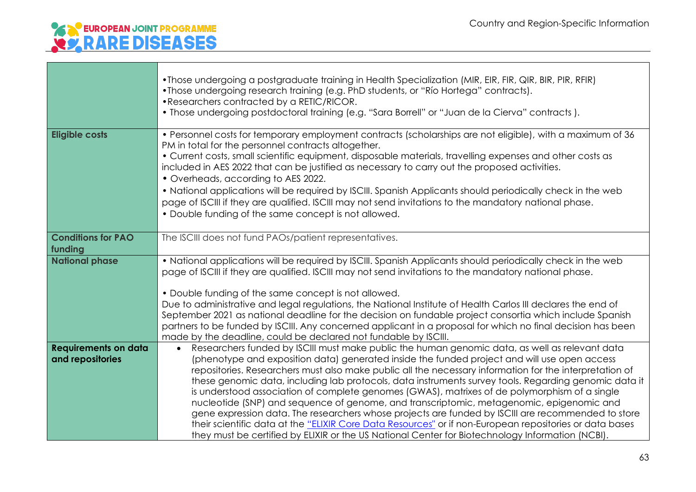

|                                                 | • Those undergoing a postgraduate training in Health Specialization (MIR, EIR, FIR, QIR, BIR, PIR, RFIR)<br>• Those undergoing research training (e.g. PhD students, or "Río Hortega" contracts).<br>. Researchers contracted by a RETIC/RICOR.<br>• Those undergoing postdoctoral training (e.g. "Sara Borrell" or "Juan de la Cierva" contracts).                                                                                                                                                                                                                                                                                                                                                                                                                                                                                                                                                                                               |
|-------------------------------------------------|---------------------------------------------------------------------------------------------------------------------------------------------------------------------------------------------------------------------------------------------------------------------------------------------------------------------------------------------------------------------------------------------------------------------------------------------------------------------------------------------------------------------------------------------------------------------------------------------------------------------------------------------------------------------------------------------------------------------------------------------------------------------------------------------------------------------------------------------------------------------------------------------------------------------------------------------------|
| <b>Eligible costs</b>                           | • Personnel costs for temporary employment contracts (scholarships are not eligible), with a maximum of 36<br>PM in total for the personnel contracts altogether.<br>• Current costs, small scientific equipment, disposable materials, travelling expenses and other costs as<br>included in AES 2022 that can be justified as necessary to carry out the proposed activities.<br>• Overheads, according to AES 2022.<br>. National applications will be required by ISCIII. Spanish Applicants should periodically check in the web<br>page of ISCIII if they are qualified. ISCIII may not send invitations to the mandatory national phase.<br>• Double funding of the same concept is not allowed.                                                                                                                                                                                                                                           |
| <b>Conditions for PAO</b><br>funding            | The ISCIII does not fund PAOs/patient representatives.                                                                                                                                                                                                                                                                                                                                                                                                                                                                                                                                                                                                                                                                                                                                                                                                                                                                                            |
| <b>National phase</b>                           | • National applications will be required by ISCIII. Spanish Applicants should periodically check in the web<br>page of ISCIII if they are qualified. ISCIII may not send invitations to the mandatory national phase.<br>• Double funding of the same concept is not allowed.<br>Due to administrative and legal regulations, the National Institute of Health Carlos III declares the end of<br>September 2021 as national deadline for the decision on fundable project consortia which include Spanish<br>partners to be funded by ISCIII. Any concerned applicant in a proposal for which no final decision has been<br>made by the deadline, could be declared not fundable by ISCIII.                                                                                                                                                                                                                                                       |
| <b>Requirements on data</b><br>and repositories | Researchers funded by ISCIII must make public the human genomic data, as well as relevant data<br>$\bullet$<br>(phenotype and exposition data) generated inside the funded project and will use open access<br>repositories. Researchers must also make public all the necessary information for the interpretation of<br>these genomic data, including lab protocols, data instruments survey tools. Regarding genomic data it<br>is understood association of complete genomes (GWAS), matrixes of de polymorphism of a single<br>nucleotide (SNP) and sequence of genome, and transcriptomic, metagenomic, epigenomic and<br>gene expression data. The researchers whose projects are funded by ISCIII are recommended to store<br>their scientific data at the "ELIXIR Core Data Resources" or if non-European repositories or data bases<br>they must be certified by ELIXIR or the US National Center for Biotechnology Information (NCBI). |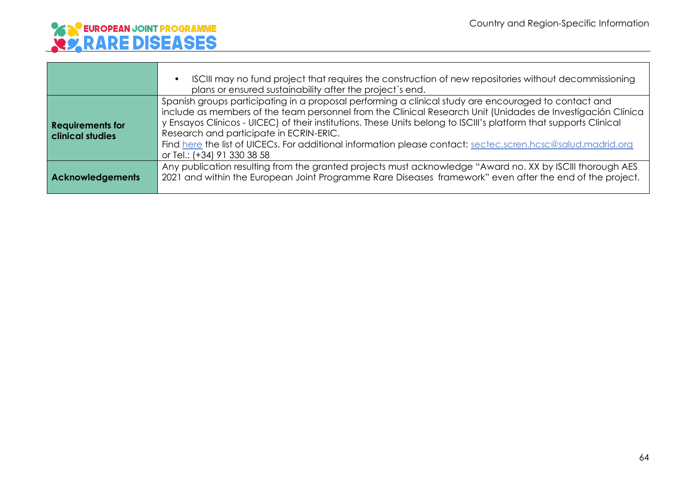

|                                             | ISCIII may no fund project that requires the construction of new repositories without decommissioning<br>plans or ensured sustainability after the project's end.                                                                                                                                                                                                                                                                                                                                                                 |
|---------------------------------------------|-----------------------------------------------------------------------------------------------------------------------------------------------------------------------------------------------------------------------------------------------------------------------------------------------------------------------------------------------------------------------------------------------------------------------------------------------------------------------------------------------------------------------------------|
| <b>Requirements for</b><br>clinical studies | Spanish groups participating in a proposal performing a clinical study are encouraged to contact and<br>include as members of the team personnel from the Clinical Research Unit (Unidades de Investigación Clínica<br>y Ensayos Clínicos - UICEC) of their institutions. These Units belong to ISCIII's platform that supports Clinical<br>Research and participate in ECRIN-ERIC.<br>Find here the list of UICECs. For additional information please contact: sectec.scren.hcsc@salud.madrid.org<br>or Tel.: (+34) 91 330 38 58 |
| <b>Acknowledgements</b>                     | Any publication resulting from the granted projects must acknowledge "Award no. XX by ISCIII thorough AES<br>2021 and within the European Joint Programme Rare Diseases framework" even after the end of the project.                                                                                                                                                                                                                                                                                                             |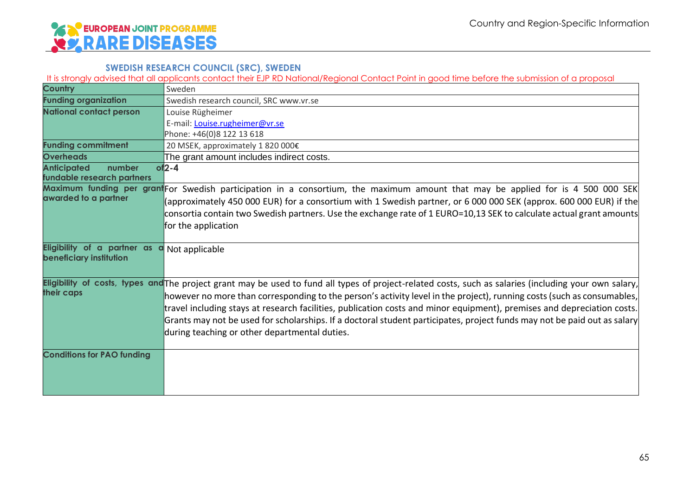

# **SWEDISH RESEARCH COUNCIL (SRC), SWEDEN**

| <b>Country</b>                                                          | Sweden                                                                                                                                                                                                                                                                                                                                                                                                                                                                                                                                                                                   |  |
|-------------------------------------------------------------------------|------------------------------------------------------------------------------------------------------------------------------------------------------------------------------------------------------------------------------------------------------------------------------------------------------------------------------------------------------------------------------------------------------------------------------------------------------------------------------------------------------------------------------------------------------------------------------------------|--|
| <b>Funding organization</b>                                             | Swedish research council, SRC www.vr.se                                                                                                                                                                                                                                                                                                                                                                                                                                                                                                                                                  |  |
| <b>National contact person</b>                                          | Louise Rügheimer                                                                                                                                                                                                                                                                                                                                                                                                                                                                                                                                                                         |  |
|                                                                         | E-mail: Louise.rugheimer@vr.se                                                                                                                                                                                                                                                                                                                                                                                                                                                                                                                                                           |  |
|                                                                         | Phone: +46(0)8 122 13 618                                                                                                                                                                                                                                                                                                                                                                                                                                                                                                                                                                |  |
| <b>Funding commitment</b>                                               | 20 MSEK, approximately 1 820 000€                                                                                                                                                                                                                                                                                                                                                                                                                                                                                                                                                        |  |
| <b>Overheads</b>                                                        | The grant amount includes indirect costs.                                                                                                                                                                                                                                                                                                                                                                                                                                                                                                                                                |  |
| <b>Anticipated</b><br>number<br>fundable research partners              | $of 2-4$                                                                                                                                                                                                                                                                                                                                                                                                                                                                                                                                                                                 |  |
| awarded to a partner                                                    | Maximum funding per grant For Swedish participation in a consortium, the maximum amount that may be applied for is 4 500 000 SEK<br>(approximately 450 000 EUR) for a consortium with 1 Swedish partner, or 6 000 000 SEK (approx. 600 000 EUR) if the<br>consortia contain two Swedish partners. Use the exchange rate of 1 EURO=10,13 SEK to calculate actual grant amounts<br>for the application                                                                                                                                                                                     |  |
| Eligibility of a partner as a Not applicable<br>beneficiary institution |                                                                                                                                                                                                                                                                                                                                                                                                                                                                                                                                                                                          |  |
| their caps                                                              | Eligibility of costs, types and The project grant may be used to fund all types of project-related costs, such as salaries (including your own salary,<br>however no more than corresponding to the person's activity level in the project), running costs (such as consumables,<br>travel including stays at research facilities, publication costs and minor equipment), premises and depreciation costs.<br>Grants may not be used for scholarships. If a doctoral student participates, project funds may not be paid out as salary<br>during teaching or other departmental duties. |  |
| <b>Conditions for PAO funding</b>                                       |                                                                                                                                                                                                                                                                                                                                                                                                                                                                                                                                                                                          |  |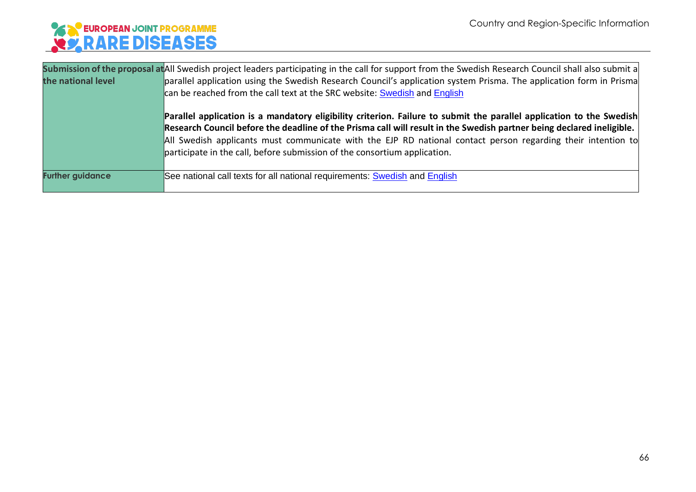

|                         | Submission of the proposal at All Swedish project leaders participating in the call for support from the Swedish Research Council shall also submit a                                                                                                                                                                                                                                                                                      |
|-------------------------|--------------------------------------------------------------------------------------------------------------------------------------------------------------------------------------------------------------------------------------------------------------------------------------------------------------------------------------------------------------------------------------------------------------------------------------------|
| the national level      | parallel application using the Swedish Research Council's application system Prisma. The application form in Prisma<br>can be reached from the call text at the SRC website: Swedish and English                                                                                                                                                                                                                                           |
|                         | Parallel application is a mandatory eligibility criterion. Failure to submit the parallel application to the Swedish<br>Research Council before the deadline of the Prisma call will result in the Swedish partner being declared ineligible.<br>All Swedish applicants must communicate with the EJP RD national contact person regarding their intention to<br>participate in the call, before submission of the consortium application. |
| <b>Further guidance</b> | See national call texts for all national requirements: Swedish and English                                                                                                                                                                                                                                                                                                                                                                 |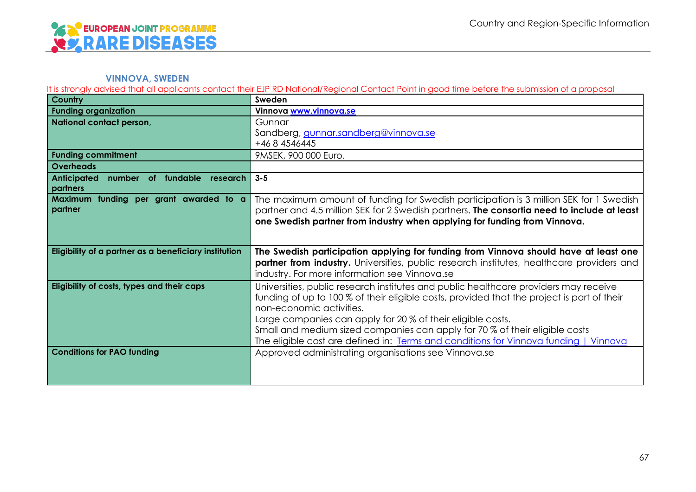

#### **VINNOVA, SWEDEN**

| Country                                                       | Sweden                                                                                                                                                                                                                                                                                                                                                                                                                                               |
|---------------------------------------------------------------|------------------------------------------------------------------------------------------------------------------------------------------------------------------------------------------------------------------------------------------------------------------------------------------------------------------------------------------------------------------------------------------------------------------------------------------------------|
| <b>Funding organization</b>                                   | Vinnova www.vinnova.se                                                                                                                                                                                                                                                                                                                                                                                                                               |
| National contact person,                                      | Gunnar                                                                                                                                                                                                                                                                                                                                                                                                                                               |
|                                                               | Sandberg, <i>gunnar.sandberg@vinnova.se</i>                                                                                                                                                                                                                                                                                                                                                                                                          |
|                                                               | +46 8 4546445                                                                                                                                                                                                                                                                                                                                                                                                                                        |
| <b>Funding commitment</b>                                     | 9MSEK, 900 000 Euro.                                                                                                                                                                                                                                                                                                                                                                                                                                 |
| Overheads                                                     |                                                                                                                                                                                                                                                                                                                                                                                                                                                      |
| <b>Anticipated</b><br>number of fundable research<br>partners | $3 - 5$                                                                                                                                                                                                                                                                                                                                                                                                                                              |
| Maximum funding per grant awarded to a<br>partner             | The maximum amount of funding for Swedish participation is 3 million SEK for 1 Swedish<br>partner and 4.5 million SEK for 2 Swedish partners. The consortia need to include at least<br>one Swedish partner from industry when applying for funding from Vinnova.                                                                                                                                                                                    |
| Eligibility of a partner as a beneficiary institution         | The Swedish participation applying for funding from Vinnova should have at least one<br>partner from industry. Universities, public research institutes, healthcare providers and<br>industry. For more information see Vinnova.se                                                                                                                                                                                                                   |
| Eligibility of costs, types and their caps                    | Universities, public research institutes and public healthcare providers may receive<br>funding of up to 100 % of their eligible costs, provided that the project is part of their<br>non-economic activities.<br>Large companies can apply for 20 % of their eligible costs.<br>Small and medium sized companies can apply for 70 % of their eligible costs<br>The eligible cost are defined in: Terms and conditions for Vinnova funding   Vinnova |
| <b>Conditions for PAO funding</b>                             | Approved administrating organisations see Vinnova.se                                                                                                                                                                                                                                                                                                                                                                                                 |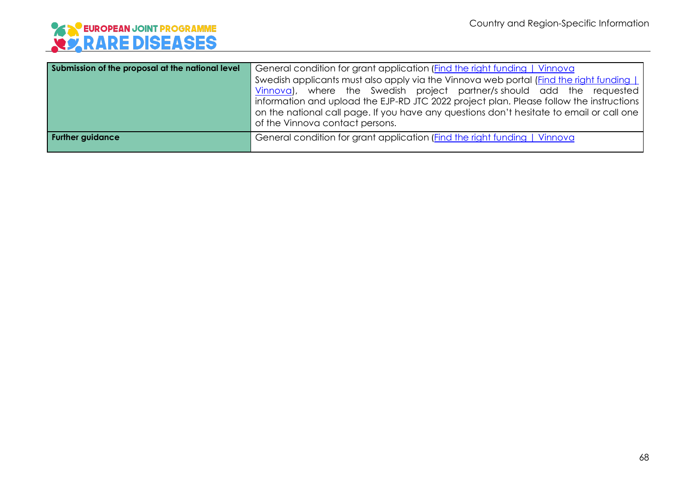

| Submission of the proposal at the national level | General condition for grant application (Find the right funding   Vinnova<br>Swedish applicants must also apply via the Vinnova web portal (Find the right funding  <br>Vinnova), where the Swedish project partner/s should add the requested<br>information and upload the EJP-RD JTC 2022 project plan. Please follow the instructions<br>on the national call page. If you have any questions don't hesitate to email or call one<br>of the Vinnova contact persons. |
|--------------------------------------------------|--------------------------------------------------------------------------------------------------------------------------------------------------------------------------------------------------------------------------------------------------------------------------------------------------------------------------------------------------------------------------------------------------------------------------------------------------------------------------|
| <b>Further guidance</b>                          | General condition for grant application (Find the right funding   Vinnova                                                                                                                                                                                                                                                                                                                                                                                                |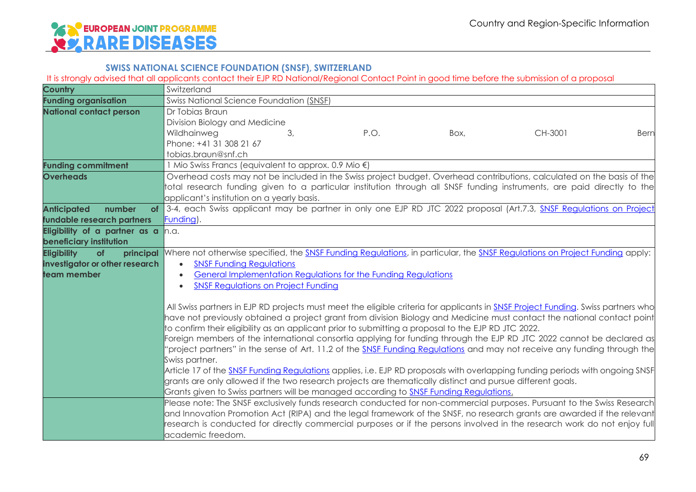

## **SWISS NATIONAL SCIENCE FOUNDATION (SNSF), SWITZERLAND**

| <b>Country</b>                        | Switzerland                                                                                                                      |
|---------------------------------------|----------------------------------------------------------------------------------------------------------------------------------|
| <b>Funding organisation</b>           | Swiss National Science Foundation (SNSF)                                                                                         |
| <b>National contact person</b>        | Dr Tobias Braun                                                                                                                  |
|                                       | Division Biology and Medicine                                                                                                    |
|                                       | Wildhainweg<br>P.O.<br>3,<br>Box,<br>CH-3001<br><b>Bern</b>                                                                      |
|                                       | Phone: +41 31 308 21 67                                                                                                          |
|                                       | tobias.braun@snf.ch                                                                                                              |
| <b>Funding commitment</b>             | 1 Mio Swiss Francs (equivalent to approx. 0.9 Mio €)                                                                             |
| <b>Overheads</b>                      | Overhead costs may not be included in the Swiss project budget. Overhead contributions, calculated on the basis of the           |
|                                       | total research funding given to a particular institution through all SNSF funding instruments, are paid directly to the          |
|                                       | applicant's institution on a yearly basis.                                                                                       |
| <b>Anticipated</b><br>number          | of 3-4, each Swiss applicant may be partner in only one EJP RD JTC 2022 proposal (Art.7.3, SNSF Regulations on Project           |
| fundable research partners            | Funding).                                                                                                                        |
| Eligibility of a partner as a         | n.a.                                                                                                                             |
| beneficiary institution               |                                                                                                                                  |
| <b>Eligibility</b><br>of<br>principal | Where not otherwise specified, the SNSF Funding Regulations, in particular, the SNSF Regulations on Project Funding apply:       |
| investigator or other research        | <b>SNSF Funding Regulations</b><br>$\bullet$                                                                                     |
| team member                           | General Implementation Regulations for the Funding Regulations<br>$\bullet$                                                      |
|                                       | <b>SNSF Regulations on Project Funding</b><br>$\bullet$                                                                          |
|                                       | All Swiss partners in EJP RD projects must meet the eligible criteria for applicants in SNSF Project Funding. Swiss partners who |
|                                       | have not previously obtained a project grant from division Biology and Medicine must contact the national contact point          |
|                                       | to confirm their eligibility as an applicant prior to submitting a proposal to the EJP RD JTC 2022.                              |
|                                       | Foreign members of the international consortia applying for funding through the EJP RD JTC 2022 cannot be declared as            |
|                                       | "project partners" in the sense of Art. 11.2 of the <u>SNSF Funding Regulations</u> and may not receive any funding through the  |
|                                       | Swiss partner.                                                                                                                   |
|                                       | Article 17 of the SNSF Funding Regulations applies, i.e. EJP RD proposals with overlapping funding periods with ongoing SNSF     |
|                                       | grants are only allowed if the two research projects are thematically distinct and pursue different goals.                       |
|                                       | Grants given to Swiss partners will be managed according to <b>SNSF Funding Regulations.</b>                                     |
|                                       | Please note: The SNSF exclusively funds research conducted for non-commercial purposes. Pursuant to the Swiss Research           |
|                                       | and Innovation Promotion Act (RIPA) and the legal framework of the SNSF, no research grants are awarded if the relevant          |
|                                       | research is conducted for directly commercial purposes or if the persons involved in the research work do not enjoy full         |
|                                       | academic freedom.                                                                                                                |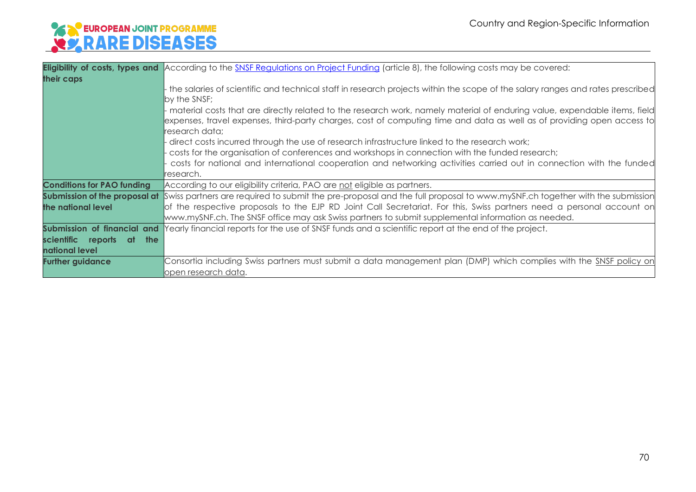

|                                   | <b>Eligibility of costs, types and</b> According to the SNSF Regulations on Project Funding (article 8), the following costs may be covered: |
|-----------------------------------|----------------------------------------------------------------------------------------------------------------------------------------------|
| their caps                        |                                                                                                                                              |
|                                   | - the salaries of scientific and technical staff in research projects within the scope of the salary ranges and rates prescribed             |
|                                   | by the SNSF;                                                                                                                                 |
|                                   | material costs that are directly related to the research work, namely material of enduring value, expendable items, field                    |
|                                   | expenses, travel expenses, third-party charges, cost of computing time and data as well as of providing open access to                       |
|                                   | research data;                                                                                                                               |
|                                   | direct costs incurred through the use of research infrastructure linked to the research work;                                                |
|                                   | costs for the organisation of conferences and workshops in connection with the funded research;                                              |
|                                   | costs for national and international cooperation and networking activities carried out in connection with the funded                         |
|                                   | research.                                                                                                                                    |
| <b>Conditions for PAO funding</b> | According to our eligibility criteria, PAO are not eligible as partners.                                                                     |
| Submission of the proposal at     | Swiss partners are required to submit the pre-proposal and the full proposal to www.mySNF.ch together with the submission                    |
| the national level                | of the respective proposals to the EJP RD Joint Call Secretariat. For this, Swiss partners need a personal account on                        |
|                                   | www.mySNF.ch. The SNSF office may ask Swiss partners to submit supplemental information as needed.                                           |
| Submission of financial and       | Yearly financial reports for the use of SNSF funds and a scientific report at the end of the project.                                        |
| scientific reports at<br>the      |                                                                                                                                              |
| national level                    |                                                                                                                                              |
| <b>Further guidance</b>           | Consortia including Swiss partners must submit a data management plan (DMP) which complies with the SNSF policy on                           |
|                                   | open research data.                                                                                                                          |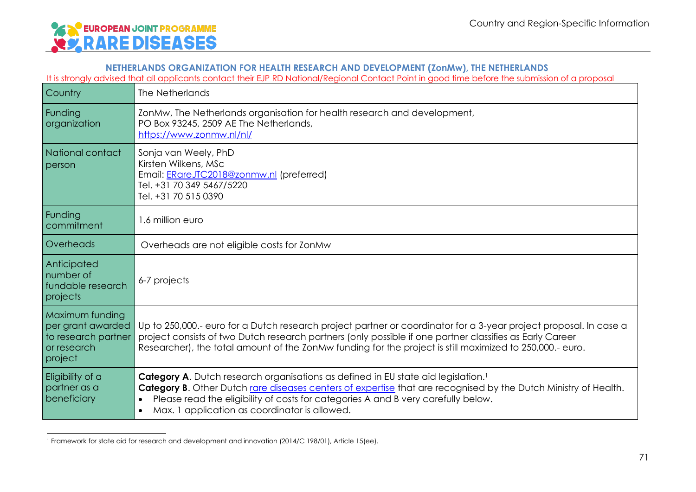# **NETHERLANDS ORGANIZATION FOR HEALTH RESEARCH AND DEVELOPMENT (ZonMw), THE NETHERLANDS**

| Country                                                                               | The Netherlands                                                                                                                                                                                                                                                                                                                                                     |
|---------------------------------------------------------------------------------------|---------------------------------------------------------------------------------------------------------------------------------------------------------------------------------------------------------------------------------------------------------------------------------------------------------------------------------------------------------------------|
| Funding<br>organization                                                               | ZonMw, The Netherlands organisation for health research and development,<br>PO Box 93245, 2509 AE The Netherlands,<br>https://www.zonmw.nl/nl/                                                                                                                                                                                                                      |
| National contact<br>person                                                            | Sonja van Weely, PhD<br>Kirsten Wilkens, MSc<br>Email: ERareJTC2018@zonmw.nl (preferred)<br>Tel. +31 70 349 5467/5220<br>Tel. +31 70 515 0390                                                                                                                                                                                                                       |
| Funding<br>commitment                                                                 | .6 million euro                                                                                                                                                                                                                                                                                                                                                     |
| Overheads                                                                             | Overheads are not eligible costs for ZonMw                                                                                                                                                                                                                                                                                                                          |
| Anticipated<br>number of<br>fundable research<br>projects                             | 6-7 projects                                                                                                                                                                                                                                                                                                                                                        |
| Maximum funding<br>per grant awarded<br>to research partner<br>or research<br>project | Up to 250,000.- euro for a Dutch research project partner or coordinator for a 3-year project proposal. In case a<br>project consists of two Dutch research partners (only possible if one partner classifies as Early Career<br>Researcher), the total amount of the ZonMw funding for the project is still maximized to 250,000.- euro.                           |
| Eligibility of a<br>partner as a<br>beneficiary                                       | Category A. Dutch research organisations as defined in EU state aid legislation. <sup>1</sup><br>Category B. Other Dutch rare diseases centers of expertise that are recognised by the Dutch Ministry of Health.<br>Please read the eligibility of costs for categories A and B very carefully below.<br>$\bullet$<br>Max. 1 application as coordinator is allowed. |

<sup>1</sup> Framework for state aid for research and development and innovation (2014/C 198/01), Article 15(ee).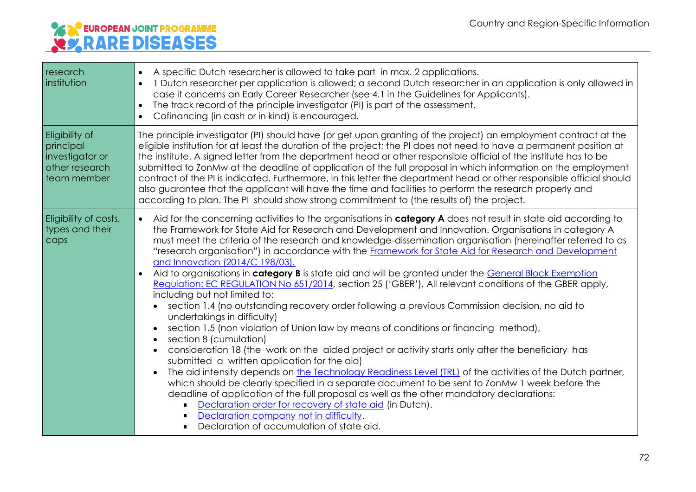

| research<br>institution                                                         | A specific Dutch researcher is allowed to take part in max. 2 applications.<br>1 Dutch researcher per application is allowed; a second Dutch researcher in an application is only allowed in<br>case it concerns an Early Career Researcher (see 4.1 in the Guidelines for Applicants).<br>The track record of the principle investigator (PI) is part of the assessment.<br>$\bullet$<br>Cofinancing (in cash or in kind) is encouraged.<br>$\bullet$                                                                                                                                                                                                                                                                                                                                                                                                                                                                                                                                                                                                                                                                                                                                                                                                                                                                                                                                                                                                                                                                                                                                                              |
|---------------------------------------------------------------------------------|---------------------------------------------------------------------------------------------------------------------------------------------------------------------------------------------------------------------------------------------------------------------------------------------------------------------------------------------------------------------------------------------------------------------------------------------------------------------------------------------------------------------------------------------------------------------------------------------------------------------------------------------------------------------------------------------------------------------------------------------------------------------------------------------------------------------------------------------------------------------------------------------------------------------------------------------------------------------------------------------------------------------------------------------------------------------------------------------------------------------------------------------------------------------------------------------------------------------------------------------------------------------------------------------------------------------------------------------------------------------------------------------------------------------------------------------------------------------------------------------------------------------------------------------------------------------------------------------------------------------|
| Eligibility of<br>principal<br>investigator or<br>other research<br>team member | The principle investigator (PI) should have (or get upon granting of the project) an employment contract at the<br>eligible institution for at least the duration of the project; the PI does not need to have a permanent position at<br>the institute. A signed letter from the department head or other responsible official of the institute has to be<br>submitted to ZonMw at the deadline of application of the full proposal in which information on the employment<br>contract of the PI is indicated. Furthermore, in this letter the department head or other responsible official should<br>also guarantee that the applicant will have the time and facilities to perform the research properly and<br>according to plan. The PI should show strong commitment to (the results of) the project.                                                                                                                                                                                                                                                                                                                                                                                                                                                                                                                                                                                                                                                                                                                                                                                                        |
| Eligibility of costs,<br>types and their<br>caps                                | • Aid for the concerning activities to the organisations in <b>category A</b> does not result in state aid according to<br>the Framework for State Aid for Research and Development and Innovation. Organisations in category A<br>must meet the criteria of the research and knowledge-dissemination organisation (hereinafter referred to as<br>"research organisation") in accordance with the Framework for State Aid for Research and Development<br>and Innovation (2014/C 198/03).<br>Aid to organisations in category B is state aid and will be granted under the General Block Exemption<br>Regulation: EC REGULATION No 651/2014, section 25 ('GBER'). All relevant conditions of the GBER apply,<br>including but not limited to:<br>section 1.4 (no outstanding recovery order following a previous Commission decision, no aid to<br>undertakings in difficulty)<br>section 1.5 (non violation of Union law by means of conditions or financing method),<br>section 8 (cumulation)<br>consideration 18 (the work on the aided project or activity starts only after the beneficiary has<br>submitted a written application for the aid)<br>The aid intensity depends on the Technology Readiness Level (TRL) of the activities of the Dutch partner,<br>which should be clearly specified in a separate document to be sent to ZonMw 1 week before the<br>deadline of application of the full proposal as well as the other mandatory declarations:<br>Declaration order for recovery of state aid (in Dutch).<br>Declaration company not in difficulty.<br>Declaration of accumulation of state aid. |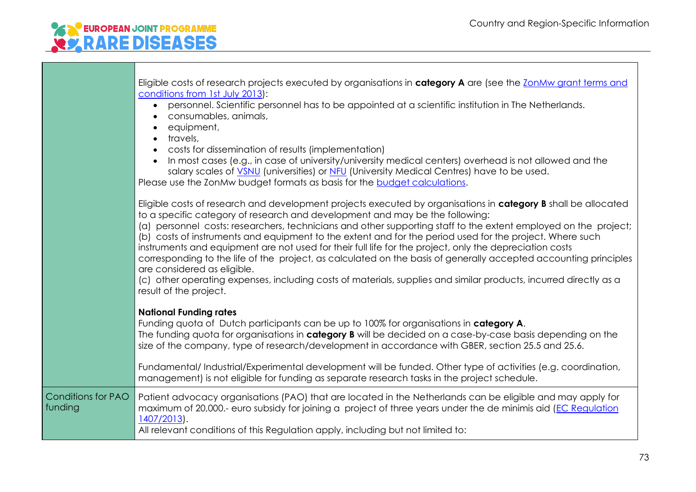

|                                      | Eligible costs of research projects executed by organisations in category A are (see the ZonMw grant terms and<br>conditions from 1st July 2013):<br>personnel. Scientific personnel has to be appointed at a scientific institution in The Netherlands.<br>$\bullet$<br>consumables, animals,<br>$\bullet$<br>equipment,<br>$\bullet$<br>travels,<br>$\bullet$<br>costs for dissemination of results (implementation)<br>In most cases (e.g., in case of university/university medical centers) overhead is not allowed and the<br>salary scales of VSNU (universities) or NFU (University Medical Centres) have to be used.<br>Please use the ZonMw budget formats as basis for the budget calculations.                                                                                                                                 |
|--------------------------------------|--------------------------------------------------------------------------------------------------------------------------------------------------------------------------------------------------------------------------------------------------------------------------------------------------------------------------------------------------------------------------------------------------------------------------------------------------------------------------------------------------------------------------------------------------------------------------------------------------------------------------------------------------------------------------------------------------------------------------------------------------------------------------------------------------------------------------------------------|
|                                      | Eligible costs of research and development projects executed by organisations in category B shall be allocated<br>to a specific category of research and development and may be the following:<br>(a) personnel costs: researchers, technicians and other supporting staff to the extent employed on the project;<br>(b) costs of instruments and equipment to the extent and for the period used for the project. Where such<br>instruments and equipment are not used for their full life for the project, only the depreciation costs<br>corresponding to the life of the project, as calculated on the basis of generally accepted accounting principles<br>are considered as eligible.<br>(c) other operating expenses, including costs of materials, supplies and similar products, incurred directly as a<br>result of the project. |
|                                      | <b>National Funding rates</b><br>Funding quota of Dutch participants can be up to 100% for organisations in category A.<br>The funding quota for organisations in category B will be decided on a case-by-case basis depending on the<br>size of the company, type of research/development in accordance with GBER, section 25.5 and 25.6.<br>Fundamental/Industrial/Experimental development will be funded. Other type of activities (e.g. coordination,<br>management) is not eligible for funding as separate research tasks in the project schedule.                                                                                                                                                                                                                                                                                  |
| <b>Conditions for PAO</b><br>funding | Patient advocacy organisations (PAO) that are located in the Netherlands can be eligible and may apply for<br>maximum of 20,000.- euro subsidy for joining a project of three years under the de minimis aid (EC Regulation<br>1407/2013).<br>All relevant conditions of this Regulation apply, including but not limited to:                                                                                                                                                                                                                                                                                                                                                                                                                                                                                                              |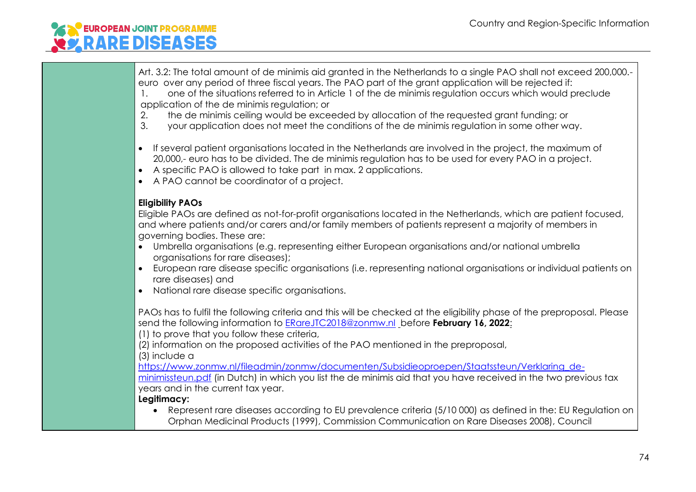# **EUROPEAN JOINT PROGRAMME EX RARE DISEASES**

Art. 3.2: The total amount of de minimis aid granted in the Netherlands to a single PAO shall not exceed 200,000. euro over any period of three fiscal years. The PAO part of the grant application will be rejected if:

1. one of the situations referred to in Article 1 of the de minimis regulation occurs which would preclude application of the de minimis regulation; or

- 2. the de minimis ceiling would be exceeded by allocation of the requested grant funding; or
- 3. your application does not meet the conditions of the de minimis regulation in some other way.
- If several patient organisations located in the Netherlands are involved in the project, the maximum of 20,000,- euro has to be divided. The de minimis regulation has to be used for every PAO in a project.
- A specific PAO is allowed to take part in max. 2 applications.
- A PAO cannot be coordinator of a project.

## **Eligibility PAOs**

Eligible PAOs are defined as not-for-profit organisations located in the Netherlands, which are patient focused, and where patients and/or carers and/or family members of patients represent a majority of members in governing bodies. These are:

- Umbrella organisations (e.g. representing either European organisations and/or national umbrella organisations for rare diseases);
- European rare disease specific organisations (i.e. representing national organisations or individual patients on rare diseases) and
- National rare disease specific organisations.

PAOs has to fulfil the following criteria and this will be checked at the eligibility phase of the preproposal. Please send the following information to [ERareJTC2018@zonmw.nl](mailto:ERareJTC2018@zonmw.nl) before **February 16, 2022**:

(1) to prove that you follow these criteria,

(2) information on the proposed activities of the PAO mentioned in the preproposal,

(3) include a

[https://www.zonmw.nl/fileadmin/zonmw/documenten/Subsidieoproepen/Staatssteun/Verklaring\\_de-](https://www.zonmw.nl/fileadmin/zonmw/documenten/Subsidieoproepen/Staatssteun/Verklaring_de-minimissteun.pdf)

[minimissteun.pdf](https://www.zonmw.nl/fileadmin/zonmw/documenten/Subsidieoproepen/Staatssteun/Verklaring_de-minimissteun.pdf) (in Dutch) in which you list the de minimis aid that you have received in the two previous tax years and in the current tax year.

## **Legitimacy:**

• Represent rare diseases according to EU prevalence criteria (5/10 000) as defined in the: EU Regulation on Orphan Medicinal Products (1999), Commission Communication on Rare Diseases 2008), Council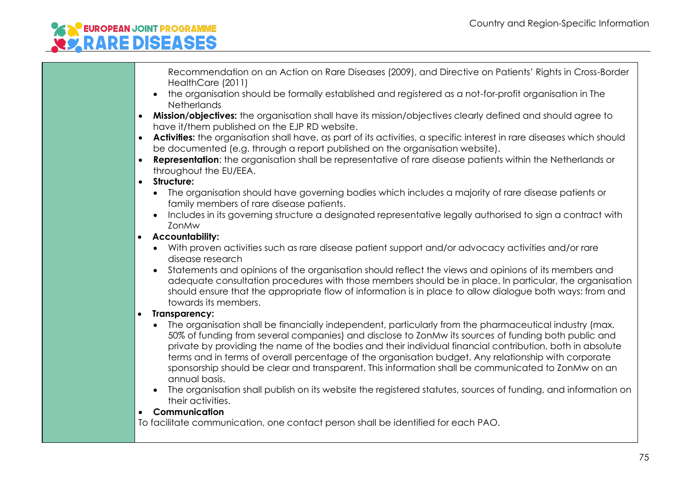

Recommendation on an Action on Rare Diseases (2009), and Directive on Patients' Rights in Cross-Border HealthCare (2011)

- the organisation should be formally established and registered as a not-for-profit organisation in The **Netherlands**
- **Mission/objectives:** the organisation shall have its mission/objectives clearly defined and should agree to have it/them published on the EJP RD website.
- **Activities:** the organisation shall have, as part of its activities, a specific interest in rare diseases which should be documented (e.g. through a report published on the organisation website).
- **Representation**: the organisation shall be representative of rare disease patients within the Netherlands or throughout the EU/EEA.
- **Structure:** 
	- The organisation should have governing bodies which includes a majority of rare disease patients or family members of rare disease patients.
	- Includes in its governing structure a designated representative legally authorised to sign a contract with ZonMw

### • **Accountability:**

- With proven activities such as rare disease patient support and/or advocacy activities and/or rare disease research
- Statements and opinions of the organisation should reflect the views and opinions of its members and adequate consultation procedures with those members should be in place. In particular, the organisation should ensure that the appropriate flow of information is in place to allow dialogue both ways: from and towards its members.

## • **Transparency:**

- The organisation shall be financially independent, particularly from the pharmaceutical industry (max. 50% of funding from several companies) and disclose to ZonMw its sources of funding both public and private by providing the name of the bodies and their individual financial contribution, both in absolute terms and in terms of overall percentage of the organisation budget. Any relationship with corporate sponsorship should be clear and transparent. This information shall be communicated to ZonMw on an annual basis.
- The organisation shall publish on its website the registered statutes, sources of funding, and information on their activities.

### • **Communication**

To facilitate communication, one contact person shall be identified for each PAO.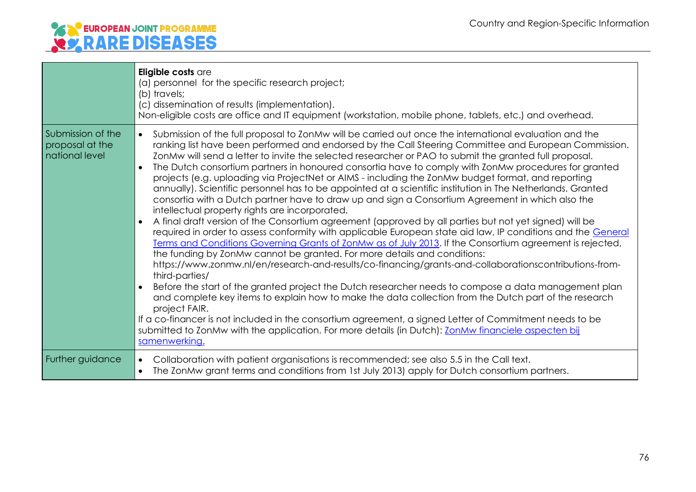

|                                                        | Eligible costs are<br>(a) personnel for the specific research project;<br>(b) travels;<br>(c) dissemination of results (implementation).<br>Non-eligible costs are office and IT equipment (workstation, mobile phone, tablets, etc.) and overhead.                                                                                                                                                                                                                                                                                                                                                                                                                                                                                                                                                                                                                                                                                                                                                                                                                                                                                                                                                                                                                                                                                                                                                                                                                                                                                                                                                                                                                                                                                                                                                                                                       |
|--------------------------------------------------------|-----------------------------------------------------------------------------------------------------------------------------------------------------------------------------------------------------------------------------------------------------------------------------------------------------------------------------------------------------------------------------------------------------------------------------------------------------------------------------------------------------------------------------------------------------------------------------------------------------------------------------------------------------------------------------------------------------------------------------------------------------------------------------------------------------------------------------------------------------------------------------------------------------------------------------------------------------------------------------------------------------------------------------------------------------------------------------------------------------------------------------------------------------------------------------------------------------------------------------------------------------------------------------------------------------------------------------------------------------------------------------------------------------------------------------------------------------------------------------------------------------------------------------------------------------------------------------------------------------------------------------------------------------------------------------------------------------------------------------------------------------------------------------------------------------------------------------------------------------------|
| Submission of the<br>proposal at the<br>national level | Submission of the full proposal to ZonMw will be carried out once the international evaluation and the<br>$\bullet$<br>ranking list have been performed and endorsed by the Call Steering Committee and European Commission.<br>ZonMw will send a letter to invite the selected researcher or PAO to submit the granted full proposal.<br>The Dutch consortium partners in honoured consortia have to comply with ZonMw procedures for granted<br>projects (e.g. uploading via ProjectNet or AIMS - including the ZonMw budget format, and reporting<br>annually). Scientific personnel has to be appointed at a scientific institution in The Netherlands. Granted<br>consortia with a Dutch partner have to draw up and sign a Consortium Agreement in which also the<br>intellectual property rights are incorporated.<br>A final draft version of the Consortium agreement (approved by all parties but not yet signed) will be<br>$\bullet$<br>required in order to assess conformity with applicable European state aid law, IP conditions and the General<br>Terms and Conditions Governing Grants of ZonMw as of July 2013. If the Consortium agreement is rejected,<br>the funding by ZonMw cannot be granted. For more details and conditions:<br>https://www.zonmw.nl/en/research-and-results/co-financing/grants-and-collaborationscontributions-from-<br>third-parties/<br>Before the start of the granted project the Dutch researcher needs to compose a data management plan<br>and complete key items to explain how to make the data collection from the Dutch part of the research<br>project FAIR.<br>If a co-financer is not included in the consortium agreement, a signed Letter of Commitment needs to be<br>submitted to ZonMw with the application. For more details (in Dutch): ZonMw financiele aspecten bij<br>samenwerking. |
| Further guidance                                       | Collaboration with patient organisations is recommended; see also 5.5 in the Call text.<br>$\bullet$<br>The ZonMw grant terms and conditions from 1st July 2013) apply for Dutch consortium partners.<br>$\bullet$                                                                                                                                                                                                                                                                                                                                                                                                                                                                                                                                                                                                                                                                                                                                                                                                                                                                                                                                                                                                                                                                                                                                                                                                                                                                                                                                                                                                                                                                                                                                                                                                                                        |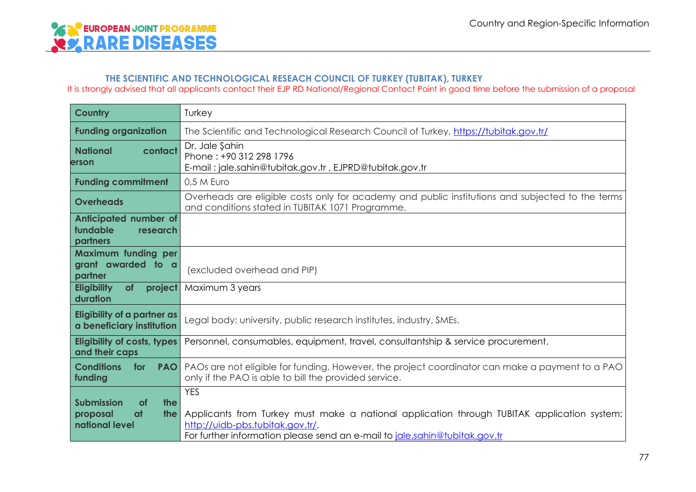

#### **THE SCIENTIFIC AND TECHNOLOGICAL RESEACH COUNCIL OF TURKEY (TUBITAK), TURKEY**

It is strongly advised that all applicants contact their EJP RD National/Regional Contact Point in good time before the submission of a proposal

| <b>Country</b>                                                                          | Turkey                                                                                                                                                                                                                      |
|-----------------------------------------------------------------------------------------|-----------------------------------------------------------------------------------------------------------------------------------------------------------------------------------------------------------------------------|
| <b>Funding organization</b>                                                             | The Scientific and Technological Research Council of Turkey, https://tubitak.gov.tr/                                                                                                                                        |
| contact<br><b>National</b><br>erson                                                     | Dr. Jale Şahin<br>Phone: +90 312 298 1796<br>E-mail: jale.sahin@tubitak.gov.tr, EJPRD@tubitak.gov.tr                                                                                                                        |
| <b>Funding commitment</b>                                                               | 0,5 M Euro                                                                                                                                                                                                                  |
| <b>Overheads</b>                                                                        | Overheads are eligible costs only for academy and public institutions and subjected to the terms<br>and conditions stated in TUBITAK 1071 Programme.                                                                        |
| Anticipated number of<br>fundable<br>research<br>partners                               |                                                                                                                                                                                                                             |
| Maximum funding per<br>grant awarded to a<br>partner                                    | (excluded overhead and PIP)                                                                                                                                                                                                 |
| <b>Eligibility</b><br>project<br><b>of</b><br>duration                                  | Maximum 3 years                                                                                                                                                                                                             |
| <b>Eligibility of a partner as</b><br>a beneficiary institution                         | Legal body: university, public research institutes, industry, SMEs.                                                                                                                                                         |
| Eligibility of costs, types<br>and their caps                                           | Personnel, consumables, equipment, travel, consultantship & service procurement.                                                                                                                                            |
| <b>Conditions</b><br>for<br>funding                                                     | <b>PAO</b> PAOs are not eligible for funding. However, the project coordinator can make a payment to a PAO<br>only if the PAO is able to bill the provided service.                                                         |
| <b>Submission</b><br>the<br><b>of</b><br>proposal<br><b>at</b><br>the<br>national level | <b>YES</b><br>Applicants from Turkey must make a national application through TUBITAK application system:<br>http://uidb-pbs.tubitak.gov.tr/.<br>For further information please send an e-mail to jale.sahin@tubitak.gov.tr |